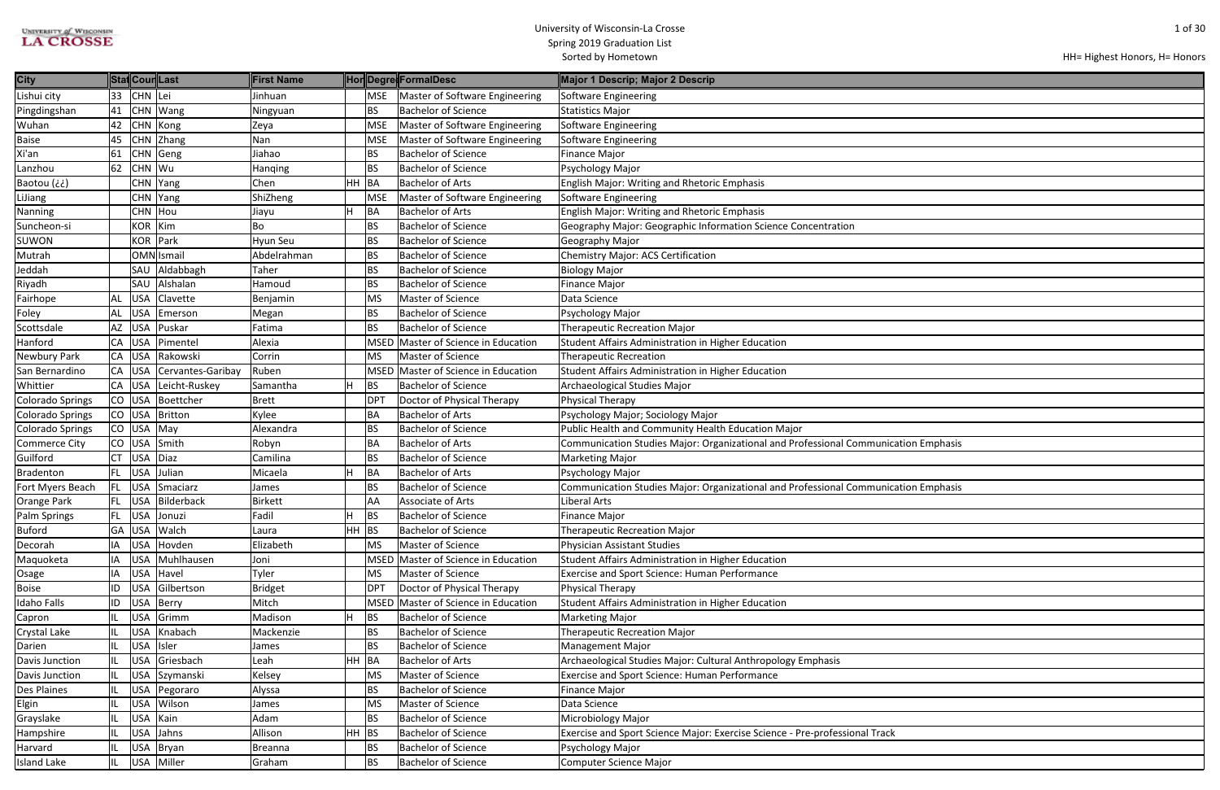| <b>UNIVERSITY of WISCONSIN</b> |
|--------------------------------|
| <b>LA CROSSE</b>               |

| ation Emphasis |
|----------------|
|                |
|                |
| ation Emphasis |
|                |
|                |
|                |
|                |
|                |
|                |
|                |
|                |
|                |
|                |
|                |
|                |
|                |
|                |
|                |
|                |
|                |
|                |
|                |

| 33 CHN Lei<br>Lishui city<br><b>MSE</b><br>Master of Software Engineering<br>Software Engineering<br>Jinhuan<br>Pingdingshan<br>CHN Wang<br><b>BS</b><br><b>Bachelor of Science</b><br>41<br><b>Statistics Major</b><br>Ningyuan<br><b>MSE</b><br>Master of Software Engineering<br>Software Engineering<br>42<br>CHN Kong<br>Zeya<br>CHN Zhang<br>45<br>Nan<br><b>MSE</b><br>Master of Software Engineering<br>Software Engineering<br><b>Bachelor of Science</b><br>Jiahao<br><b>BS</b><br>61<br>CHN Geng<br><b>Finance Major</b><br>62<br>CHN Wu<br><b>BS</b><br><b>Bachelor of Science</b><br>Psychology Major<br>Hanqing<br>HH BA<br><b>Bachelor of Arts</b><br>Baotou (¿¿)<br>CHN Yang<br>Chen<br><b>English Major: Writing and Rhetoric Emphasis</b><br>ShiZheng<br>Master of Software Engineering<br>CHN Yang<br><b>MSE</b><br>Software Engineering<br><b>BA</b><br><b>Bachelor of Arts</b><br><b>English Major: Writing and Rhetoric Emphasis</b><br>CHN Hou<br>Jiayu<br>KOR   Kim<br><b>BS</b><br><b>Bachelor of Science</b><br>Geography Major: Geographic Information Science Concentration<br>Bo<br>KOR Park<br>Hyun Seu<br><b>BS</b><br><b>Bachelor of Science</b><br>Geography Major<br>OMN Ismail<br>Abdelrahman<br><b>BS</b><br><b>Bachelor of Science</b><br>Chemistry Major: ACS Certification<br>Aldabbagh<br><b>BS</b><br><b>Bachelor of Science</b><br>SAU<br>Taher<br><b>Biology Major</b><br><b>BS</b><br>SAU<br>Alshalan<br><b>Bachelor of Science</b><br><b>Finance Major</b><br>Hamoud<br>AL USA<br>Clavette<br>MS<br>Master of Science<br>Data Science<br>Benjamin<br><b>BS</b><br><b>Bachelor of Science</b><br><b>USA</b><br>Psychology Major<br>AL<br>Emerson<br>Megan<br><b>BS</b><br><b>USA</b><br>Puskar<br><b>Bachelor of Science</b><br><b>Therapeutic Recreation Major</b><br>AZ<br>Fatima<br><b>USA</b><br>Pimentel<br>Alexia<br>CA<br>MSED Master of Science in Education<br>Student Affairs Administration in Higher Education<br>Rakowski<br>Master of Science<br>CA USA<br>Corrin<br><b>MS</b><br><b>Therapeutic Recreation</b><br>CA USA<br>Cervantes-Garibay<br>Ruben<br>MSED Master of Science in Education<br>Student Affairs Administration in Higher Education<br>CA USA<br>Leicht-Ruskey<br>BS<br><b>Bachelor of Science</b><br>Archaeological Studies Major<br>Samantha<br>Boettcher<br>Doctor of Physical Therapy<br><b>Physical Therapy</b><br>$CO$ USA<br>DP <sub>1</sub><br><b>Brett</b><br><b>BA</b><br>$CO$ USA<br>Britton<br><b>Bachelor of Arts</b><br>Kylee<br>Psychology Major; Sociology Major<br><b>BS</b><br>Public Health and Community Health Education Major<br>$CO$ USA<br>May<br><b>Bachelor of Science</b><br><b>Colorado Springs</b><br>Alexandra<br>Smith<br><b>BA</b><br><b>Bachelor of Arts</b><br><b>Commerce City</b><br>$CO$ USA<br>Communication Studies Major: Organizational and Professional Communication Emphasis<br>Robyn<br><b>BS</b><br>$CT$ USA<br>Diaz<br><b>Bachelor of Science</b><br>Camilina<br><b>Marketing Major</b><br>Julian<br>BA<br><b>Bachelor of Arts</b><br>FL.<br><b>USA</b><br>Micaela<br>Psychology Major<br><b>BS</b><br><b>Bachelor of Science</b><br>Communication Studies Major: Organizational and Professional Communication Emphasis<br>FL USA<br>Smaciarz<br>James<br>FL USA Bilderback<br>AA<br>Associate of Arts<br>Orange Park<br>Liberal Arts<br><b>Birkett</b><br>Palm Springs<br>FL USA Jonuzi<br>Fadil<br>BS<br><b>Bachelor of Science</b><br>Finance Major<br>Н<br>GA USA<br>Walch<br>HH BS<br><b>Bachelor of Science</b><br><b>Therapeutic Recreation Major</b><br>Laura<br><b>USA</b><br>Hovden<br>Elizabeth<br><b>Master of Science</b><br><b>Physician Assistant Studies</b><br>Decorah<br>IA<br><b>MS</b><br>Muhlhausen<br>MSED Master of Science in Education<br>Student Affairs Administration in Higher Education<br>Maquoketa<br><b>USA</b><br>ΙA<br>Joni<br><b>USA</b><br>Havel<br>Tyler<br>Master of Science<br><b>Exercise and Sport Science: Human Performance</b><br>MS<br>Osage<br>IA<br><b>USA</b><br>Gilbertson<br><b>DPT</b><br>Doctor of Physical Therapy<br>ID<br><b>Bridget</b><br><b>Physical Therapy</b><br>ID<br><b>USA</b><br>Berry<br>Mitch<br>Master of Science in Education<br>Student Affairs Administration in Higher Education<br>Idaho Falls<br><b>MSED</b><br>Grimm<br>Madison<br>н<br><b>BS</b><br><b>Bachelor of Science</b><br><b>USA</b><br><b>Marketing Major</b><br>Capron<br>IL<br>Knabach<br>Mackenzie<br><b>Bachelor of Science</b><br><b>Therapeutic Recreation Major</b><br>Crystal Lake<br><b>USA</b><br><b>BS</b><br>IL<br><b>BS</b><br>Darien<br><b>USA</b><br>Isler<br><b>Bachelor of Science</b><br>Management Major<br>IL<br>James<br>Griesbach<br>HH BA<br><b>Bachelor of Arts</b><br>Archaeological Studies Major: Cultural Anthropology Emphasis<br>IL.<br><b>USA</b><br>Leah<br>Master of Science<br>Exercise and Sport Science: Human Performance<br>Davis Junction<br><b>USA</b><br>Szymanski<br>MS<br>IL<br>Kelsey<br><b>USA</b><br>BS<br><b>Bachelor of Science</b><br><b>Des Plaines</b><br>Pegoraro<br>Alyssa<br>Finance Major<br>IL.<br>Wilson<br>Elgin<br><b>USA</b><br>MS<br><b>Master of Science</b><br>Data Science<br>James<br>Kain<br><b>Bachelor of Science</b><br>Grayslake<br><b>USA</b><br>Adam<br>BS<br>Microbiology Major<br>IL<br>HH BS<br><b>Bachelor of Science</b><br>Exercise and Sport Science Major: Exercise Science - Pre-professional Track<br><b>USA</b><br>Jahns<br>Allison<br>IL<br><b>Bachelor of Science</b><br><b>USA</b><br>Bryan<br>Psychology Major<br>IL<br><b>BS</b><br><b>Breanna</b><br>Miller | City                    |     | StatCourLast | <b>First Name</b> |           | HonDegre FormalDesc        | Major 1 Descrip; Major 2 Descrip |
|-----------------------------------------------------------------------------------------------------------------------------------------------------------------------------------------------------------------------------------------------------------------------------------------------------------------------------------------------------------------------------------------------------------------------------------------------------------------------------------------------------------------------------------------------------------------------------------------------------------------------------------------------------------------------------------------------------------------------------------------------------------------------------------------------------------------------------------------------------------------------------------------------------------------------------------------------------------------------------------------------------------------------------------------------------------------------------------------------------------------------------------------------------------------------------------------------------------------------------------------------------------------------------------------------------------------------------------------------------------------------------------------------------------------------------------------------------------------------------------------------------------------------------------------------------------------------------------------------------------------------------------------------------------------------------------------------------------------------------------------------------------------------------------------------------------------------------------------------------------------------------------------------------------------------------------------------------------------------------------------------------------------------------------------------------------------------------------------------------------------------------------------------------------------------------------------------------------------------------------------------------------------------------------------------------------------------------------------------------------------------------------------------------------------------------------------------------------------------------------------------------------------------------------------------------------------------------------------------------------------------------------------------------------------------------------------------------------------------------------------------------------------------------------------------------------------------------------------------------------------------------------------------------------------------------------------------------------------------------------------------------------------------------------------------------------------------------------------------------------------------------------------------------------------------------------------------------------------------------------------------------------------------------------------------------------------------------------------------------------------------------------------------------------------------------------------------------------------------------------------------------------------------------------------------------------------------------------------------------------------------------------------------------------------------------------------------------------------------------------------------------------------------------------------------------------------------------------------------------------------------------------------------------------------------------------------------------------------------------------------------------------------------------------------------------------------------------------------------------------------------------------------------------------------------------------------------------------------------------------------------------------------------------------------------------------------------------------------------------------------------------------------------------------------------------------------------------------------------------------------------------------------------------------------------------------------------------------------------------------------------------------------------------------------------------------------------------------------------------------------------------------------------------------------------------------------------------------------------------------------------------------------------------------------------------------------------------------------------------------------------------------------------------------------------------------------------------------------------------------------------------------------------------------------------------------------------------------------------------------------------------------------------------------------------------------------------------------------------------------------------------------------------------------------------------------------------------------------------------------------------------------------------------------------------------------------------------------------------------------------------|-------------------------|-----|--------------|-------------------|-----------|----------------------------|----------------------------------|
|                                                                                                                                                                                                                                                                                                                                                                                                                                                                                                                                                                                                                                                                                                                                                                                                                                                                                                                                                                                                                                                                                                                                                                                                                                                                                                                                                                                                                                                                                                                                                                                                                                                                                                                                                                                                                                                                                                                                                                                                                                                                                                                                                                                                                                                                                                                                                                                                                                                                                                                                                                                                                                                                                                                                                                                                                                                                                                                                                                                                                                                                                                                                                                                                                                                                                                                                                                                                                                                                                                                                                                                                                                                                                                                                                                                                                                                                                                                                                                                                                                                                                                                                                                                                                                                                                                                                                                                                                                                                                                                                                                                                                                                                                                                                                                                                                                                                                                                                                                                                                                                                                                                                                                                                                                                                                                                                                                                                                                                                                                                                                                                                                       |                         |     |              |                   |           |                            |                                  |
|                                                                                                                                                                                                                                                                                                                                                                                                                                                                                                                                                                                                                                                                                                                                                                                                                                                                                                                                                                                                                                                                                                                                                                                                                                                                                                                                                                                                                                                                                                                                                                                                                                                                                                                                                                                                                                                                                                                                                                                                                                                                                                                                                                                                                                                                                                                                                                                                                                                                                                                                                                                                                                                                                                                                                                                                                                                                                                                                                                                                                                                                                                                                                                                                                                                                                                                                                                                                                                                                                                                                                                                                                                                                                                                                                                                                                                                                                                                                                                                                                                                                                                                                                                                                                                                                                                                                                                                                                                                                                                                                                                                                                                                                                                                                                                                                                                                                                                                                                                                                                                                                                                                                                                                                                                                                                                                                                                                                                                                                                                                                                                                                                       |                         |     |              |                   |           |                            |                                  |
|                                                                                                                                                                                                                                                                                                                                                                                                                                                                                                                                                                                                                                                                                                                                                                                                                                                                                                                                                                                                                                                                                                                                                                                                                                                                                                                                                                                                                                                                                                                                                                                                                                                                                                                                                                                                                                                                                                                                                                                                                                                                                                                                                                                                                                                                                                                                                                                                                                                                                                                                                                                                                                                                                                                                                                                                                                                                                                                                                                                                                                                                                                                                                                                                                                                                                                                                                                                                                                                                                                                                                                                                                                                                                                                                                                                                                                                                                                                                                                                                                                                                                                                                                                                                                                                                                                                                                                                                                                                                                                                                                                                                                                                                                                                                                                                                                                                                                                                                                                                                                                                                                                                                                                                                                                                                                                                                                                                                                                                                                                                                                                                                                       | Wuhan                   |     |              |                   |           |                            |                                  |
|                                                                                                                                                                                                                                                                                                                                                                                                                                                                                                                                                                                                                                                                                                                                                                                                                                                                                                                                                                                                                                                                                                                                                                                                                                                                                                                                                                                                                                                                                                                                                                                                                                                                                                                                                                                                                                                                                                                                                                                                                                                                                                                                                                                                                                                                                                                                                                                                                                                                                                                                                                                                                                                                                                                                                                                                                                                                                                                                                                                                                                                                                                                                                                                                                                                                                                                                                                                                                                                                                                                                                                                                                                                                                                                                                                                                                                                                                                                                                                                                                                                                                                                                                                                                                                                                                                                                                                                                                                                                                                                                                                                                                                                                                                                                                                                                                                                                                                                                                                                                                                                                                                                                                                                                                                                                                                                                                                                                                                                                                                                                                                                                                       | <b>Baise</b>            |     |              |                   |           |                            |                                  |
|                                                                                                                                                                                                                                                                                                                                                                                                                                                                                                                                                                                                                                                                                                                                                                                                                                                                                                                                                                                                                                                                                                                                                                                                                                                                                                                                                                                                                                                                                                                                                                                                                                                                                                                                                                                                                                                                                                                                                                                                                                                                                                                                                                                                                                                                                                                                                                                                                                                                                                                                                                                                                                                                                                                                                                                                                                                                                                                                                                                                                                                                                                                                                                                                                                                                                                                                                                                                                                                                                                                                                                                                                                                                                                                                                                                                                                                                                                                                                                                                                                                                                                                                                                                                                                                                                                                                                                                                                                                                                                                                                                                                                                                                                                                                                                                                                                                                                                                                                                                                                                                                                                                                                                                                                                                                                                                                                                                                                                                                                                                                                                                                                       | Xi'an                   |     |              |                   |           |                            |                                  |
|                                                                                                                                                                                                                                                                                                                                                                                                                                                                                                                                                                                                                                                                                                                                                                                                                                                                                                                                                                                                                                                                                                                                                                                                                                                                                                                                                                                                                                                                                                                                                                                                                                                                                                                                                                                                                                                                                                                                                                                                                                                                                                                                                                                                                                                                                                                                                                                                                                                                                                                                                                                                                                                                                                                                                                                                                                                                                                                                                                                                                                                                                                                                                                                                                                                                                                                                                                                                                                                                                                                                                                                                                                                                                                                                                                                                                                                                                                                                                                                                                                                                                                                                                                                                                                                                                                                                                                                                                                                                                                                                                                                                                                                                                                                                                                                                                                                                                                                                                                                                                                                                                                                                                                                                                                                                                                                                                                                                                                                                                                                                                                                                                       | Lanzhou                 |     |              |                   |           |                            |                                  |
|                                                                                                                                                                                                                                                                                                                                                                                                                                                                                                                                                                                                                                                                                                                                                                                                                                                                                                                                                                                                                                                                                                                                                                                                                                                                                                                                                                                                                                                                                                                                                                                                                                                                                                                                                                                                                                                                                                                                                                                                                                                                                                                                                                                                                                                                                                                                                                                                                                                                                                                                                                                                                                                                                                                                                                                                                                                                                                                                                                                                                                                                                                                                                                                                                                                                                                                                                                                                                                                                                                                                                                                                                                                                                                                                                                                                                                                                                                                                                                                                                                                                                                                                                                                                                                                                                                                                                                                                                                                                                                                                                                                                                                                                                                                                                                                                                                                                                                                                                                                                                                                                                                                                                                                                                                                                                                                                                                                                                                                                                                                                                                                                                       |                         |     |              |                   |           |                            |                                  |
|                                                                                                                                                                                                                                                                                                                                                                                                                                                                                                                                                                                                                                                                                                                                                                                                                                                                                                                                                                                                                                                                                                                                                                                                                                                                                                                                                                                                                                                                                                                                                                                                                                                                                                                                                                                                                                                                                                                                                                                                                                                                                                                                                                                                                                                                                                                                                                                                                                                                                                                                                                                                                                                                                                                                                                                                                                                                                                                                                                                                                                                                                                                                                                                                                                                                                                                                                                                                                                                                                                                                                                                                                                                                                                                                                                                                                                                                                                                                                                                                                                                                                                                                                                                                                                                                                                                                                                                                                                                                                                                                                                                                                                                                                                                                                                                                                                                                                                                                                                                                                                                                                                                                                                                                                                                                                                                                                                                                                                                                                                                                                                                                                       | LiJiang                 |     |              |                   |           |                            |                                  |
|                                                                                                                                                                                                                                                                                                                                                                                                                                                                                                                                                                                                                                                                                                                                                                                                                                                                                                                                                                                                                                                                                                                                                                                                                                                                                                                                                                                                                                                                                                                                                                                                                                                                                                                                                                                                                                                                                                                                                                                                                                                                                                                                                                                                                                                                                                                                                                                                                                                                                                                                                                                                                                                                                                                                                                                                                                                                                                                                                                                                                                                                                                                                                                                                                                                                                                                                                                                                                                                                                                                                                                                                                                                                                                                                                                                                                                                                                                                                                                                                                                                                                                                                                                                                                                                                                                                                                                                                                                                                                                                                                                                                                                                                                                                                                                                                                                                                                                                                                                                                                                                                                                                                                                                                                                                                                                                                                                                                                                                                                                                                                                                                                       | Nanning                 |     |              |                   |           |                            |                                  |
|                                                                                                                                                                                                                                                                                                                                                                                                                                                                                                                                                                                                                                                                                                                                                                                                                                                                                                                                                                                                                                                                                                                                                                                                                                                                                                                                                                                                                                                                                                                                                                                                                                                                                                                                                                                                                                                                                                                                                                                                                                                                                                                                                                                                                                                                                                                                                                                                                                                                                                                                                                                                                                                                                                                                                                                                                                                                                                                                                                                                                                                                                                                                                                                                                                                                                                                                                                                                                                                                                                                                                                                                                                                                                                                                                                                                                                                                                                                                                                                                                                                                                                                                                                                                                                                                                                                                                                                                                                                                                                                                                                                                                                                                                                                                                                                                                                                                                                                                                                                                                                                                                                                                                                                                                                                                                                                                                                                                                                                                                                                                                                                                                       | Suncheon-si             |     |              |                   |           |                            |                                  |
|                                                                                                                                                                                                                                                                                                                                                                                                                                                                                                                                                                                                                                                                                                                                                                                                                                                                                                                                                                                                                                                                                                                                                                                                                                                                                                                                                                                                                                                                                                                                                                                                                                                                                                                                                                                                                                                                                                                                                                                                                                                                                                                                                                                                                                                                                                                                                                                                                                                                                                                                                                                                                                                                                                                                                                                                                                                                                                                                                                                                                                                                                                                                                                                                                                                                                                                                                                                                                                                                                                                                                                                                                                                                                                                                                                                                                                                                                                                                                                                                                                                                                                                                                                                                                                                                                                                                                                                                                                                                                                                                                                                                                                                                                                                                                                                                                                                                                                                                                                                                                                                                                                                                                                                                                                                                                                                                                                                                                                                                                                                                                                                                                       | <b>SUWON</b>            |     |              |                   |           |                            |                                  |
|                                                                                                                                                                                                                                                                                                                                                                                                                                                                                                                                                                                                                                                                                                                                                                                                                                                                                                                                                                                                                                                                                                                                                                                                                                                                                                                                                                                                                                                                                                                                                                                                                                                                                                                                                                                                                                                                                                                                                                                                                                                                                                                                                                                                                                                                                                                                                                                                                                                                                                                                                                                                                                                                                                                                                                                                                                                                                                                                                                                                                                                                                                                                                                                                                                                                                                                                                                                                                                                                                                                                                                                                                                                                                                                                                                                                                                                                                                                                                                                                                                                                                                                                                                                                                                                                                                                                                                                                                                                                                                                                                                                                                                                                                                                                                                                                                                                                                                                                                                                                                                                                                                                                                                                                                                                                                                                                                                                                                                                                                                                                                                                                                       | Mutrah                  |     |              |                   |           |                            |                                  |
|                                                                                                                                                                                                                                                                                                                                                                                                                                                                                                                                                                                                                                                                                                                                                                                                                                                                                                                                                                                                                                                                                                                                                                                                                                                                                                                                                                                                                                                                                                                                                                                                                                                                                                                                                                                                                                                                                                                                                                                                                                                                                                                                                                                                                                                                                                                                                                                                                                                                                                                                                                                                                                                                                                                                                                                                                                                                                                                                                                                                                                                                                                                                                                                                                                                                                                                                                                                                                                                                                                                                                                                                                                                                                                                                                                                                                                                                                                                                                                                                                                                                                                                                                                                                                                                                                                                                                                                                                                                                                                                                                                                                                                                                                                                                                                                                                                                                                                                                                                                                                                                                                                                                                                                                                                                                                                                                                                                                                                                                                                                                                                                                                       | Jeddah                  |     |              |                   |           |                            |                                  |
|                                                                                                                                                                                                                                                                                                                                                                                                                                                                                                                                                                                                                                                                                                                                                                                                                                                                                                                                                                                                                                                                                                                                                                                                                                                                                                                                                                                                                                                                                                                                                                                                                                                                                                                                                                                                                                                                                                                                                                                                                                                                                                                                                                                                                                                                                                                                                                                                                                                                                                                                                                                                                                                                                                                                                                                                                                                                                                                                                                                                                                                                                                                                                                                                                                                                                                                                                                                                                                                                                                                                                                                                                                                                                                                                                                                                                                                                                                                                                                                                                                                                                                                                                                                                                                                                                                                                                                                                                                                                                                                                                                                                                                                                                                                                                                                                                                                                                                                                                                                                                                                                                                                                                                                                                                                                                                                                                                                                                                                                                                                                                                                                                       | Riyadh                  |     |              |                   |           |                            |                                  |
|                                                                                                                                                                                                                                                                                                                                                                                                                                                                                                                                                                                                                                                                                                                                                                                                                                                                                                                                                                                                                                                                                                                                                                                                                                                                                                                                                                                                                                                                                                                                                                                                                                                                                                                                                                                                                                                                                                                                                                                                                                                                                                                                                                                                                                                                                                                                                                                                                                                                                                                                                                                                                                                                                                                                                                                                                                                                                                                                                                                                                                                                                                                                                                                                                                                                                                                                                                                                                                                                                                                                                                                                                                                                                                                                                                                                                                                                                                                                                                                                                                                                                                                                                                                                                                                                                                                                                                                                                                                                                                                                                                                                                                                                                                                                                                                                                                                                                                                                                                                                                                                                                                                                                                                                                                                                                                                                                                                                                                                                                                                                                                                                                       | Fairhope                |     |              |                   |           |                            |                                  |
|                                                                                                                                                                                                                                                                                                                                                                                                                                                                                                                                                                                                                                                                                                                                                                                                                                                                                                                                                                                                                                                                                                                                                                                                                                                                                                                                                                                                                                                                                                                                                                                                                                                                                                                                                                                                                                                                                                                                                                                                                                                                                                                                                                                                                                                                                                                                                                                                                                                                                                                                                                                                                                                                                                                                                                                                                                                                                                                                                                                                                                                                                                                                                                                                                                                                                                                                                                                                                                                                                                                                                                                                                                                                                                                                                                                                                                                                                                                                                                                                                                                                                                                                                                                                                                                                                                                                                                                                                                                                                                                                                                                                                                                                                                                                                                                                                                                                                                                                                                                                                                                                                                                                                                                                                                                                                                                                                                                                                                                                                                                                                                                                                       | Foley                   |     |              |                   |           |                            |                                  |
|                                                                                                                                                                                                                                                                                                                                                                                                                                                                                                                                                                                                                                                                                                                                                                                                                                                                                                                                                                                                                                                                                                                                                                                                                                                                                                                                                                                                                                                                                                                                                                                                                                                                                                                                                                                                                                                                                                                                                                                                                                                                                                                                                                                                                                                                                                                                                                                                                                                                                                                                                                                                                                                                                                                                                                                                                                                                                                                                                                                                                                                                                                                                                                                                                                                                                                                                                                                                                                                                                                                                                                                                                                                                                                                                                                                                                                                                                                                                                                                                                                                                                                                                                                                                                                                                                                                                                                                                                                                                                                                                                                                                                                                                                                                                                                                                                                                                                                                                                                                                                                                                                                                                                                                                                                                                                                                                                                                                                                                                                                                                                                                                                       | Scottsdale              |     |              |                   |           |                            |                                  |
|                                                                                                                                                                                                                                                                                                                                                                                                                                                                                                                                                                                                                                                                                                                                                                                                                                                                                                                                                                                                                                                                                                                                                                                                                                                                                                                                                                                                                                                                                                                                                                                                                                                                                                                                                                                                                                                                                                                                                                                                                                                                                                                                                                                                                                                                                                                                                                                                                                                                                                                                                                                                                                                                                                                                                                                                                                                                                                                                                                                                                                                                                                                                                                                                                                                                                                                                                                                                                                                                                                                                                                                                                                                                                                                                                                                                                                                                                                                                                                                                                                                                                                                                                                                                                                                                                                                                                                                                                                                                                                                                                                                                                                                                                                                                                                                                                                                                                                                                                                                                                                                                                                                                                                                                                                                                                                                                                                                                                                                                                                                                                                                                                       | Hanford                 |     |              |                   |           |                            |                                  |
|                                                                                                                                                                                                                                                                                                                                                                                                                                                                                                                                                                                                                                                                                                                                                                                                                                                                                                                                                                                                                                                                                                                                                                                                                                                                                                                                                                                                                                                                                                                                                                                                                                                                                                                                                                                                                                                                                                                                                                                                                                                                                                                                                                                                                                                                                                                                                                                                                                                                                                                                                                                                                                                                                                                                                                                                                                                                                                                                                                                                                                                                                                                                                                                                                                                                                                                                                                                                                                                                                                                                                                                                                                                                                                                                                                                                                                                                                                                                                                                                                                                                                                                                                                                                                                                                                                                                                                                                                                                                                                                                                                                                                                                                                                                                                                                                                                                                                                                                                                                                                                                                                                                                                                                                                                                                                                                                                                                                                                                                                                                                                                                                                       | Newbury Park            |     |              |                   |           |                            |                                  |
|                                                                                                                                                                                                                                                                                                                                                                                                                                                                                                                                                                                                                                                                                                                                                                                                                                                                                                                                                                                                                                                                                                                                                                                                                                                                                                                                                                                                                                                                                                                                                                                                                                                                                                                                                                                                                                                                                                                                                                                                                                                                                                                                                                                                                                                                                                                                                                                                                                                                                                                                                                                                                                                                                                                                                                                                                                                                                                                                                                                                                                                                                                                                                                                                                                                                                                                                                                                                                                                                                                                                                                                                                                                                                                                                                                                                                                                                                                                                                                                                                                                                                                                                                                                                                                                                                                                                                                                                                                                                                                                                                                                                                                                                                                                                                                                                                                                                                                                                                                                                                                                                                                                                                                                                                                                                                                                                                                                                                                                                                                                                                                                                                       | San Bernardino          |     |              |                   |           |                            |                                  |
|                                                                                                                                                                                                                                                                                                                                                                                                                                                                                                                                                                                                                                                                                                                                                                                                                                                                                                                                                                                                                                                                                                                                                                                                                                                                                                                                                                                                                                                                                                                                                                                                                                                                                                                                                                                                                                                                                                                                                                                                                                                                                                                                                                                                                                                                                                                                                                                                                                                                                                                                                                                                                                                                                                                                                                                                                                                                                                                                                                                                                                                                                                                                                                                                                                                                                                                                                                                                                                                                                                                                                                                                                                                                                                                                                                                                                                                                                                                                                                                                                                                                                                                                                                                                                                                                                                                                                                                                                                                                                                                                                                                                                                                                                                                                                                                                                                                                                                                                                                                                                                                                                                                                                                                                                                                                                                                                                                                                                                                                                                                                                                                                                       | Whittier                |     |              |                   |           |                            |                                  |
|                                                                                                                                                                                                                                                                                                                                                                                                                                                                                                                                                                                                                                                                                                                                                                                                                                                                                                                                                                                                                                                                                                                                                                                                                                                                                                                                                                                                                                                                                                                                                                                                                                                                                                                                                                                                                                                                                                                                                                                                                                                                                                                                                                                                                                                                                                                                                                                                                                                                                                                                                                                                                                                                                                                                                                                                                                                                                                                                                                                                                                                                                                                                                                                                                                                                                                                                                                                                                                                                                                                                                                                                                                                                                                                                                                                                                                                                                                                                                                                                                                                                                                                                                                                                                                                                                                                                                                                                                                                                                                                                                                                                                                                                                                                                                                                                                                                                                                                                                                                                                                                                                                                                                                                                                                                                                                                                                                                                                                                                                                                                                                                                                       | <b>Colorado Springs</b> |     |              |                   |           |                            |                                  |
|                                                                                                                                                                                                                                                                                                                                                                                                                                                                                                                                                                                                                                                                                                                                                                                                                                                                                                                                                                                                                                                                                                                                                                                                                                                                                                                                                                                                                                                                                                                                                                                                                                                                                                                                                                                                                                                                                                                                                                                                                                                                                                                                                                                                                                                                                                                                                                                                                                                                                                                                                                                                                                                                                                                                                                                                                                                                                                                                                                                                                                                                                                                                                                                                                                                                                                                                                                                                                                                                                                                                                                                                                                                                                                                                                                                                                                                                                                                                                                                                                                                                                                                                                                                                                                                                                                                                                                                                                                                                                                                                                                                                                                                                                                                                                                                                                                                                                                                                                                                                                                                                                                                                                                                                                                                                                                                                                                                                                                                                                                                                                                                                                       | <b>Colorado Springs</b> |     |              |                   |           |                            |                                  |
|                                                                                                                                                                                                                                                                                                                                                                                                                                                                                                                                                                                                                                                                                                                                                                                                                                                                                                                                                                                                                                                                                                                                                                                                                                                                                                                                                                                                                                                                                                                                                                                                                                                                                                                                                                                                                                                                                                                                                                                                                                                                                                                                                                                                                                                                                                                                                                                                                                                                                                                                                                                                                                                                                                                                                                                                                                                                                                                                                                                                                                                                                                                                                                                                                                                                                                                                                                                                                                                                                                                                                                                                                                                                                                                                                                                                                                                                                                                                                                                                                                                                                                                                                                                                                                                                                                                                                                                                                                                                                                                                                                                                                                                                                                                                                                                                                                                                                                                                                                                                                                                                                                                                                                                                                                                                                                                                                                                                                                                                                                                                                                                                                       |                         |     |              |                   |           |                            |                                  |
|                                                                                                                                                                                                                                                                                                                                                                                                                                                                                                                                                                                                                                                                                                                                                                                                                                                                                                                                                                                                                                                                                                                                                                                                                                                                                                                                                                                                                                                                                                                                                                                                                                                                                                                                                                                                                                                                                                                                                                                                                                                                                                                                                                                                                                                                                                                                                                                                                                                                                                                                                                                                                                                                                                                                                                                                                                                                                                                                                                                                                                                                                                                                                                                                                                                                                                                                                                                                                                                                                                                                                                                                                                                                                                                                                                                                                                                                                                                                                                                                                                                                                                                                                                                                                                                                                                                                                                                                                                                                                                                                                                                                                                                                                                                                                                                                                                                                                                                                                                                                                                                                                                                                                                                                                                                                                                                                                                                                                                                                                                                                                                                                                       |                         |     |              |                   |           |                            |                                  |
|                                                                                                                                                                                                                                                                                                                                                                                                                                                                                                                                                                                                                                                                                                                                                                                                                                                                                                                                                                                                                                                                                                                                                                                                                                                                                                                                                                                                                                                                                                                                                                                                                                                                                                                                                                                                                                                                                                                                                                                                                                                                                                                                                                                                                                                                                                                                                                                                                                                                                                                                                                                                                                                                                                                                                                                                                                                                                                                                                                                                                                                                                                                                                                                                                                                                                                                                                                                                                                                                                                                                                                                                                                                                                                                                                                                                                                                                                                                                                                                                                                                                                                                                                                                                                                                                                                                                                                                                                                                                                                                                                                                                                                                                                                                                                                                                                                                                                                                                                                                                                                                                                                                                                                                                                                                                                                                                                                                                                                                                                                                                                                                                                       | Guilford                |     |              |                   |           |                            |                                  |
|                                                                                                                                                                                                                                                                                                                                                                                                                                                                                                                                                                                                                                                                                                                                                                                                                                                                                                                                                                                                                                                                                                                                                                                                                                                                                                                                                                                                                                                                                                                                                                                                                                                                                                                                                                                                                                                                                                                                                                                                                                                                                                                                                                                                                                                                                                                                                                                                                                                                                                                                                                                                                                                                                                                                                                                                                                                                                                                                                                                                                                                                                                                                                                                                                                                                                                                                                                                                                                                                                                                                                                                                                                                                                                                                                                                                                                                                                                                                                                                                                                                                                                                                                                                                                                                                                                                                                                                                                                                                                                                                                                                                                                                                                                                                                                                                                                                                                                                                                                                                                                                                                                                                                                                                                                                                                                                                                                                                                                                                                                                                                                                                                       | Bradenton               |     |              |                   |           |                            |                                  |
|                                                                                                                                                                                                                                                                                                                                                                                                                                                                                                                                                                                                                                                                                                                                                                                                                                                                                                                                                                                                                                                                                                                                                                                                                                                                                                                                                                                                                                                                                                                                                                                                                                                                                                                                                                                                                                                                                                                                                                                                                                                                                                                                                                                                                                                                                                                                                                                                                                                                                                                                                                                                                                                                                                                                                                                                                                                                                                                                                                                                                                                                                                                                                                                                                                                                                                                                                                                                                                                                                                                                                                                                                                                                                                                                                                                                                                                                                                                                                                                                                                                                                                                                                                                                                                                                                                                                                                                                                                                                                                                                                                                                                                                                                                                                                                                                                                                                                                                                                                                                                                                                                                                                                                                                                                                                                                                                                                                                                                                                                                                                                                                                                       | Fort Myers Beach        |     |              |                   |           |                            |                                  |
|                                                                                                                                                                                                                                                                                                                                                                                                                                                                                                                                                                                                                                                                                                                                                                                                                                                                                                                                                                                                                                                                                                                                                                                                                                                                                                                                                                                                                                                                                                                                                                                                                                                                                                                                                                                                                                                                                                                                                                                                                                                                                                                                                                                                                                                                                                                                                                                                                                                                                                                                                                                                                                                                                                                                                                                                                                                                                                                                                                                                                                                                                                                                                                                                                                                                                                                                                                                                                                                                                                                                                                                                                                                                                                                                                                                                                                                                                                                                                                                                                                                                                                                                                                                                                                                                                                                                                                                                                                                                                                                                                                                                                                                                                                                                                                                                                                                                                                                                                                                                                                                                                                                                                                                                                                                                                                                                                                                                                                                                                                                                                                                                                       |                         |     |              |                   |           |                            |                                  |
|                                                                                                                                                                                                                                                                                                                                                                                                                                                                                                                                                                                                                                                                                                                                                                                                                                                                                                                                                                                                                                                                                                                                                                                                                                                                                                                                                                                                                                                                                                                                                                                                                                                                                                                                                                                                                                                                                                                                                                                                                                                                                                                                                                                                                                                                                                                                                                                                                                                                                                                                                                                                                                                                                                                                                                                                                                                                                                                                                                                                                                                                                                                                                                                                                                                                                                                                                                                                                                                                                                                                                                                                                                                                                                                                                                                                                                                                                                                                                                                                                                                                                                                                                                                                                                                                                                                                                                                                                                                                                                                                                                                                                                                                                                                                                                                                                                                                                                                                                                                                                                                                                                                                                                                                                                                                                                                                                                                                                                                                                                                                                                                                                       |                         |     |              |                   |           |                            |                                  |
|                                                                                                                                                                                                                                                                                                                                                                                                                                                                                                                                                                                                                                                                                                                                                                                                                                                                                                                                                                                                                                                                                                                                                                                                                                                                                                                                                                                                                                                                                                                                                                                                                                                                                                                                                                                                                                                                                                                                                                                                                                                                                                                                                                                                                                                                                                                                                                                                                                                                                                                                                                                                                                                                                                                                                                                                                                                                                                                                                                                                                                                                                                                                                                                                                                                                                                                                                                                                                                                                                                                                                                                                                                                                                                                                                                                                                                                                                                                                                                                                                                                                                                                                                                                                                                                                                                                                                                                                                                                                                                                                                                                                                                                                                                                                                                                                                                                                                                                                                                                                                                                                                                                                                                                                                                                                                                                                                                                                                                                                                                                                                                                                                       | <b>Buford</b>           |     |              |                   |           |                            |                                  |
|                                                                                                                                                                                                                                                                                                                                                                                                                                                                                                                                                                                                                                                                                                                                                                                                                                                                                                                                                                                                                                                                                                                                                                                                                                                                                                                                                                                                                                                                                                                                                                                                                                                                                                                                                                                                                                                                                                                                                                                                                                                                                                                                                                                                                                                                                                                                                                                                                                                                                                                                                                                                                                                                                                                                                                                                                                                                                                                                                                                                                                                                                                                                                                                                                                                                                                                                                                                                                                                                                                                                                                                                                                                                                                                                                                                                                                                                                                                                                                                                                                                                                                                                                                                                                                                                                                                                                                                                                                                                                                                                                                                                                                                                                                                                                                                                                                                                                                                                                                                                                                                                                                                                                                                                                                                                                                                                                                                                                                                                                                                                                                                                                       |                         |     |              |                   |           |                            |                                  |
|                                                                                                                                                                                                                                                                                                                                                                                                                                                                                                                                                                                                                                                                                                                                                                                                                                                                                                                                                                                                                                                                                                                                                                                                                                                                                                                                                                                                                                                                                                                                                                                                                                                                                                                                                                                                                                                                                                                                                                                                                                                                                                                                                                                                                                                                                                                                                                                                                                                                                                                                                                                                                                                                                                                                                                                                                                                                                                                                                                                                                                                                                                                                                                                                                                                                                                                                                                                                                                                                                                                                                                                                                                                                                                                                                                                                                                                                                                                                                                                                                                                                                                                                                                                                                                                                                                                                                                                                                                                                                                                                                                                                                                                                                                                                                                                                                                                                                                                                                                                                                                                                                                                                                                                                                                                                                                                                                                                                                                                                                                                                                                                                                       |                         |     |              |                   |           |                            |                                  |
|                                                                                                                                                                                                                                                                                                                                                                                                                                                                                                                                                                                                                                                                                                                                                                                                                                                                                                                                                                                                                                                                                                                                                                                                                                                                                                                                                                                                                                                                                                                                                                                                                                                                                                                                                                                                                                                                                                                                                                                                                                                                                                                                                                                                                                                                                                                                                                                                                                                                                                                                                                                                                                                                                                                                                                                                                                                                                                                                                                                                                                                                                                                                                                                                                                                                                                                                                                                                                                                                                                                                                                                                                                                                                                                                                                                                                                                                                                                                                                                                                                                                                                                                                                                                                                                                                                                                                                                                                                                                                                                                                                                                                                                                                                                                                                                                                                                                                                                                                                                                                                                                                                                                                                                                                                                                                                                                                                                                                                                                                                                                                                                                                       |                         |     |              |                   |           |                            |                                  |
|                                                                                                                                                                                                                                                                                                                                                                                                                                                                                                                                                                                                                                                                                                                                                                                                                                                                                                                                                                                                                                                                                                                                                                                                                                                                                                                                                                                                                                                                                                                                                                                                                                                                                                                                                                                                                                                                                                                                                                                                                                                                                                                                                                                                                                                                                                                                                                                                                                                                                                                                                                                                                                                                                                                                                                                                                                                                                                                                                                                                                                                                                                                                                                                                                                                                                                                                                                                                                                                                                                                                                                                                                                                                                                                                                                                                                                                                                                                                                                                                                                                                                                                                                                                                                                                                                                                                                                                                                                                                                                                                                                                                                                                                                                                                                                                                                                                                                                                                                                                                                                                                                                                                                                                                                                                                                                                                                                                                                                                                                                                                                                                                                       | <b>Boise</b>            |     |              |                   |           |                            |                                  |
|                                                                                                                                                                                                                                                                                                                                                                                                                                                                                                                                                                                                                                                                                                                                                                                                                                                                                                                                                                                                                                                                                                                                                                                                                                                                                                                                                                                                                                                                                                                                                                                                                                                                                                                                                                                                                                                                                                                                                                                                                                                                                                                                                                                                                                                                                                                                                                                                                                                                                                                                                                                                                                                                                                                                                                                                                                                                                                                                                                                                                                                                                                                                                                                                                                                                                                                                                                                                                                                                                                                                                                                                                                                                                                                                                                                                                                                                                                                                                                                                                                                                                                                                                                                                                                                                                                                                                                                                                                                                                                                                                                                                                                                                                                                                                                                                                                                                                                                                                                                                                                                                                                                                                                                                                                                                                                                                                                                                                                                                                                                                                                                                                       |                         |     |              |                   |           |                            |                                  |
|                                                                                                                                                                                                                                                                                                                                                                                                                                                                                                                                                                                                                                                                                                                                                                                                                                                                                                                                                                                                                                                                                                                                                                                                                                                                                                                                                                                                                                                                                                                                                                                                                                                                                                                                                                                                                                                                                                                                                                                                                                                                                                                                                                                                                                                                                                                                                                                                                                                                                                                                                                                                                                                                                                                                                                                                                                                                                                                                                                                                                                                                                                                                                                                                                                                                                                                                                                                                                                                                                                                                                                                                                                                                                                                                                                                                                                                                                                                                                                                                                                                                                                                                                                                                                                                                                                                                                                                                                                                                                                                                                                                                                                                                                                                                                                                                                                                                                                                                                                                                                                                                                                                                                                                                                                                                                                                                                                                                                                                                                                                                                                                                                       |                         |     |              |                   |           |                            |                                  |
|                                                                                                                                                                                                                                                                                                                                                                                                                                                                                                                                                                                                                                                                                                                                                                                                                                                                                                                                                                                                                                                                                                                                                                                                                                                                                                                                                                                                                                                                                                                                                                                                                                                                                                                                                                                                                                                                                                                                                                                                                                                                                                                                                                                                                                                                                                                                                                                                                                                                                                                                                                                                                                                                                                                                                                                                                                                                                                                                                                                                                                                                                                                                                                                                                                                                                                                                                                                                                                                                                                                                                                                                                                                                                                                                                                                                                                                                                                                                                                                                                                                                                                                                                                                                                                                                                                                                                                                                                                                                                                                                                                                                                                                                                                                                                                                                                                                                                                                                                                                                                                                                                                                                                                                                                                                                                                                                                                                                                                                                                                                                                                                                                       |                         |     |              |                   |           |                            |                                  |
|                                                                                                                                                                                                                                                                                                                                                                                                                                                                                                                                                                                                                                                                                                                                                                                                                                                                                                                                                                                                                                                                                                                                                                                                                                                                                                                                                                                                                                                                                                                                                                                                                                                                                                                                                                                                                                                                                                                                                                                                                                                                                                                                                                                                                                                                                                                                                                                                                                                                                                                                                                                                                                                                                                                                                                                                                                                                                                                                                                                                                                                                                                                                                                                                                                                                                                                                                                                                                                                                                                                                                                                                                                                                                                                                                                                                                                                                                                                                                                                                                                                                                                                                                                                                                                                                                                                                                                                                                                                                                                                                                                                                                                                                                                                                                                                                                                                                                                                                                                                                                                                                                                                                                                                                                                                                                                                                                                                                                                                                                                                                                                                                                       |                         |     |              |                   |           |                            |                                  |
|                                                                                                                                                                                                                                                                                                                                                                                                                                                                                                                                                                                                                                                                                                                                                                                                                                                                                                                                                                                                                                                                                                                                                                                                                                                                                                                                                                                                                                                                                                                                                                                                                                                                                                                                                                                                                                                                                                                                                                                                                                                                                                                                                                                                                                                                                                                                                                                                                                                                                                                                                                                                                                                                                                                                                                                                                                                                                                                                                                                                                                                                                                                                                                                                                                                                                                                                                                                                                                                                                                                                                                                                                                                                                                                                                                                                                                                                                                                                                                                                                                                                                                                                                                                                                                                                                                                                                                                                                                                                                                                                                                                                                                                                                                                                                                                                                                                                                                                                                                                                                                                                                                                                                                                                                                                                                                                                                                                                                                                                                                                                                                                                                       | Davis Junction          |     |              |                   |           |                            |                                  |
|                                                                                                                                                                                                                                                                                                                                                                                                                                                                                                                                                                                                                                                                                                                                                                                                                                                                                                                                                                                                                                                                                                                                                                                                                                                                                                                                                                                                                                                                                                                                                                                                                                                                                                                                                                                                                                                                                                                                                                                                                                                                                                                                                                                                                                                                                                                                                                                                                                                                                                                                                                                                                                                                                                                                                                                                                                                                                                                                                                                                                                                                                                                                                                                                                                                                                                                                                                                                                                                                                                                                                                                                                                                                                                                                                                                                                                                                                                                                                                                                                                                                                                                                                                                                                                                                                                                                                                                                                                                                                                                                                                                                                                                                                                                                                                                                                                                                                                                                                                                                                                                                                                                                                                                                                                                                                                                                                                                                                                                                                                                                                                                                                       |                         |     |              |                   |           |                            |                                  |
|                                                                                                                                                                                                                                                                                                                                                                                                                                                                                                                                                                                                                                                                                                                                                                                                                                                                                                                                                                                                                                                                                                                                                                                                                                                                                                                                                                                                                                                                                                                                                                                                                                                                                                                                                                                                                                                                                                                                                                                                                                                                                                                                                                                                                                                                                                                                                                                                                                                                                                                                                                                                                                                                                                                                                                                                                                                                                                                                                                                                                                                                                                                                                                                                                                                                                                                                                                                                                                                                                                                                                                                                                                                                                                                                                                                                                                                                                                                                                                                                                                                                                                                                                                                                                                                                                                                                                                                                                                                                                                                                                                                                                                                                                                                                                                                                                                                                                                                                                                                                                                                                                                                                                                                                                                                                                                                                                                                                                                                                                                                                                                                                                       |                         |     |              |                   |           |                            |                                  |
|                                                                                                                                                                                                                                                                                                                                                                                                                                                                                                                                                                                                                                                                                                                                                                                                                                                                                                                                                                                                                                                                                                                                                                                                                                                                                                                                                                                                                                                                                                                                                                                                                                                                                                                                                                                                                                                                                                                                                                                                                                                                                                                                                                                                                                                                                                                                                                                                                                                                                                                                                                                                                                                                                                                                                                                                                                                                                                                                                                                                                                                                                                                                                                                                                                                                                                                                                                                                                                                                                                                                                                                                                                                                                                                                                                                                                                                                                                                                                                                                                                                                                                                                                                                                                                                                                                                                                                                                                                                                                                                                                                                                                                                                                                                                                                                                                                                                                                                                                                                                                                                                                                                                                                                                                                                                                                                                                                                                                                                                                                                                                                                                                       |                         |     |              |                   |           |                            |                                  |
|                                                                                                                                                                                                                                                                                                                                                                                                                                                                                                                                                                                                                                                                                                                                                                                                                                                                                                                                                                                                                                                                                                                                                                                                                                                                                                                                                                                                                                                                                                                                                                                                                                                                                                                                                                                                                                                                                                                                                                                                                                                                                                                                                                                                                                                                                                                                                                                                                                                                                                                                                                                                                                                                                                                                                                                                                                                                                                                                                                                                                                                                                                                                                                                                                                                                                                                                                                                                                                                                                                                                                                                                                                                                                                                                                                                                                                                                                                                                                                                                                                                                                                                                                                                                                                                                                                                                                                                                                                                                                                                                                                                                                                                                                                                                                                                                                                                                                                                                                                                                                                                                                                                                                                                                                                                                                                                                                                                                                                                                                                                                                                                                                       |                         |     |              |                   |           |                            |                                  |
|                                                                                                                                                                                                                                                                                                                                                                                                                                                                                                                                                                                                                                                                                                                                                                                                                                                                                                                                                                                                                                                                                                                                                                                                                                                                                                                                                                                                                                                                                                                                                                                                                                                                                                                                                                                                                                                                                                                                                                                                                                                                                                                                                                                                                                                                                                                                                                                                                                                                                                                                                                                                                                                                                                                                                                                                                                                                                                                                                                                                                                                                                                                                                                                                                                                                                                                                                                                                                                                                                                                                                                                                                                                                                                                                                                                                                                                                                                                                                                                                                                                                                                                                                                                                                                                                                                                                                                                                                                                                                                                                                                                                                                                                                                                                                                                                                                                                                                                                                                                                                                                                                                                                                                                                                                                                                                                                                                                                                                                                                                                                                                                                                       | Hampshire               |     |              |                   |           |                            |                                  |
|                                                                                                                                                                                                                                                                                                                                                                                                                                                                                                                                                                                                                                                                                                                                                                                                                                                                                                                                                                                                                                                                                                                                                                                                                                                                                                                                                                                                                                                                                                                                                                                                                                                                                                                                                                                                                                                                                                                                                                                                                                                                                                                                                                                                                                                                                                                                                                                                                                                                                                                                                                                                                                                                                                                                                                                                                                                                                                                                                                                                                                                                                                                                                                                                                                                                                                                                                                                                                                                                                                                                                                                                                                                                                                                                                                                                                                                                                                                                                                                                                                                                                                                                                                                                                                                                                                                                                                                                                                                                                                                                                                                                                                                                                                                                                                                                                                                                                                                                                                                                                                                                                                                                                                                                                                                                                                                                                                                                                                                                                                                                                                                                                       | Harvard                 |     |              |                   |           |                            |                                  |
|                                                                                                                                                                                                                                                                                                                                                                                                                                                                                                                                                                                                                                                                                                                                                                                                                                                                                                                                                                                                                                                                                                                                                                                                                                                                                                                                                                                                                                                                                                                                                                                                                                                                                                                                                                                                                                                                                                                                                                                                                                                                                                                                                                                                                                                                                                                                                                                                                                                                                                                                                                                                                                                                                                                                                                                                                                                                                                                                                                                                                                                                                                                                                                                                                                                                                                                                                                                                                                                                                                                                                                                                                                                                                                                                                                                                                                                                                                                                                                                                                                                                                                                                                                                                                                                                                                                                                                                                                                                                                                                                                                                                                                                                                                                                                                                                                                                                                                                                                                                                                                                                                                                                                                                                                                                                                                                                                                                                                                                                                                                                                                                                                       | <b>Island Lake</b>      | IL. | USA          | Graham            | <b>BS</b> | <b>Bachelor of Science</b> | <b>Computer Science Major</b>    |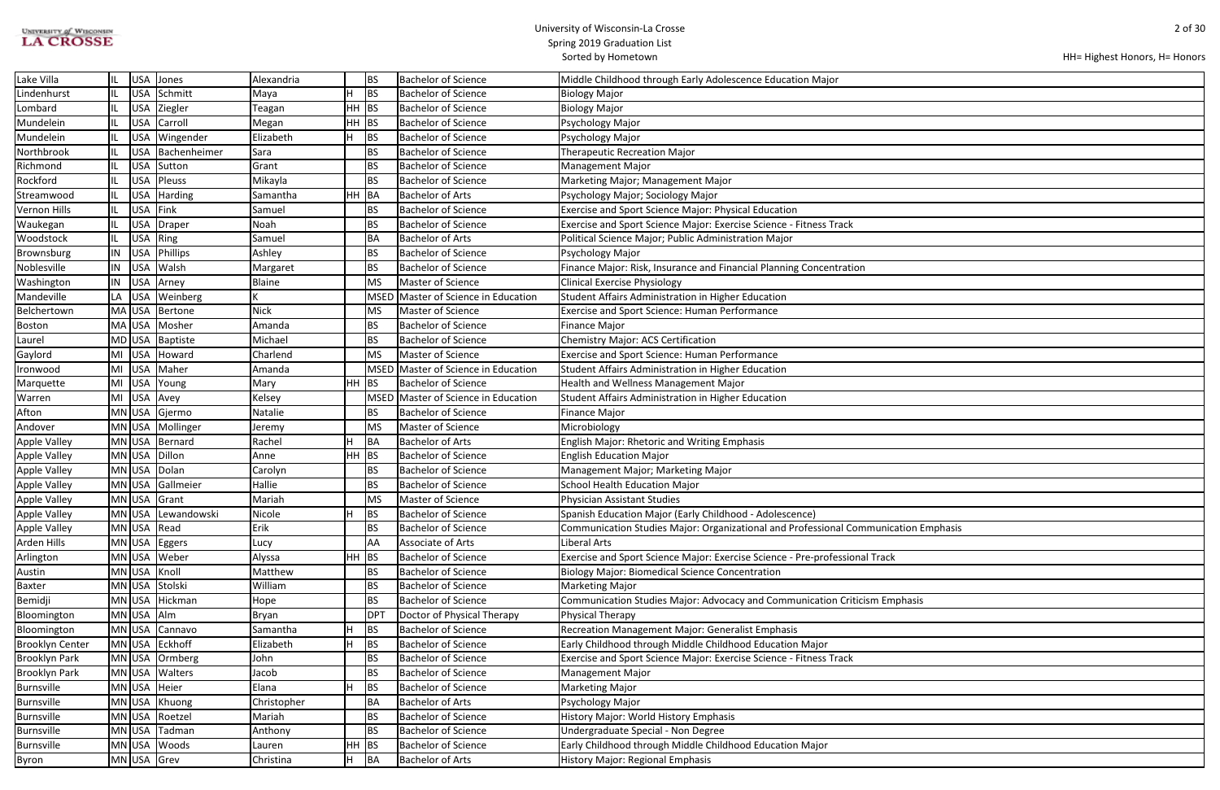| <b>UNIVERSITY of WISCONSIN</b> |  |
|--------------------------------|--|
| <b>LA CROSSE</b>               |  |

## University of Wisconsin-La Crosse Spring 2019 Graduation List

Sorted by Hometown

| HH= Highest Honors, H= Honors |  |  |
|-------------------------------|--|--|
|-------------------------------|--|--|

| ation Emphasis |  |
|----------------|--|
|                |  |
|                |  |
|                |  |
|                |  |
|                |  |
|                |  |
| phasis         |  |
|                |  |
|                |  |
|                |  |
|                |  |
|                |  |
|                |  |
|                |  |
|                |  |
|                |  |
|                |  |
|                |  |
|                |  |
|                |  |
|                |  |
|                |  |

| Lake Villa             |    | USA        | Jones              | Alexandria    |         | <b>BS</b>       | <b>Bachelor of Science</b>          | Middle Childhood through Early Adolescence Education Major                          |
|------------------------|----|------------|--------------------|---------------|---------|-----------------|-------------------------------------|-------------------------------------------------------------------------------------|
| Lindenhurst            |    | <b>USA</b> | Schmitt            | Maya          |         | BS              | <b>Bachelor of Science</b>          | <b>Biology Major</b>                                                                |
| Lombard                |    | USA        | Ziegler            | Teagan        | $HH$ BS |                 | <b>Bachelor of Science</b>          | <b>Biology Major</b>                                                                |
| Mundelein              |    | <b>USA</b> | Carroll            | Megan         | $HH$ BS |                 | <b>Bachelor of Science</b>          | Psychology Major                                                                    |
| Mundelein              |    | USA        | Wingender          | Elizabeth     |         | <b>BS</b>       | <b>Bachelor of Science</b>          | Psychology Major                                                                    |
| Northbrook             |    | USA        | Bachenheimer       | Sara          |         | <b>BS</b>       | <b>Bachelor of Science</b>          | <b>Therapeutic Recreation Major</b>                                                 |
| Richmond               |    | USA        | Sutton             | Grant         |         | <b>BS</b>       | <b>Bachelor of Science</b>          | <b>Management Major</b>                                                             |
| Rockford               |    | USA        | Pleuss             | Mikayla       |         | <b>BS</b>       | <b>Bachelor of Science</b>          | Marketing Major; Management Major                                                   |
| Streamwood             |    | <b>USA</b> | Harding            | Samantha      | HH BA   |                 | <b>Bachelor of Arts</b>             | Psychology Major; Sociology Major                                                   |
| <b>Vernon Hills</b>    |    | <b>USA</b> | Fink               | Samuel        |         | <b>BS</b>       | <b>Bachelor of Science</b>          | <b>Exercise and Sport Science Major: Physical Education</b>                         |
| Waukegan               |    | <b>USA</b> | Draper             | Noah          |         | <b>BS</b>       | <b>Bachelor of Science</b>          | Exercise and Sport Science Major: Exercise Science - Fitness Track                  |
| Woodstock              |    |            | USA Ring           | Samuel        |         | BA              | <b>Bachelor of Arts</b>             | Political Science Major; Public Administration Major                                |
| Brownsburg             | IN | <b>USA</b> | Phillips           | Ashley        |         | <b>BS</b>       | <b>Bachelor of Science</b>          | Psychology Major                                                                    |
| Noblesville            | IN | <b>USA</b> | Walsh              | Margaret      |         | <b>BS</b>       | <b>Bachelor of Science</b>          | Finance Major: Risk, Insurance and Financial Planning Concentration                 |
| Washington             | IN | <b>USA</b> | Arney              | <b>Blaine</b> |         | <b>MS</b>       | Master of Science                   | <b>Clinical Exercise Physiology</b>                                                 |
| Mandeville             | LA | USA        | Weinberg           |               |         | <b>MSED</b>     | Master of Science in Education      | Student Affairs Administration in Higher Education                                  |
| Belchertown            |    |            | MA USA Bertone     | <b>Nick</b>   |         | <b>MS</b>       | Master of Science                   | <b>Exercise and Sport Science: Human Performance</b>                                |
| <b>Boston</b>          |    |            | MA USA Mosher      | Amanda        |         | <b>BS</b>       | <b>Bachelor of Science</b>          | <b>Finance Major</b>                                                                |
| Laurel                 |    |            | MD USA Baptiste    | Michael       |         | <b>BS</b>       | <b>Bachelor of Science</b>          | Chemistry Major: ACS Certification                                                  |
| Gaylord                | MI |            | USA Howard         | Charlend      |         | <b>MS</b>       | Master of Science                   | <b>Exercise and Sport Science: Human Performance</b>                                |
| Ironwood               | MI | <b>USA</b> | Maher              | Amanda        |         | <b>MSED</b>     | Master of Science in Education      | Student Affairs Administration in Higher Education                                  |
| Marquette              | MI | <b>USA</b> | Young              | Mary          | $HH$ BS |                 | <b>Bachelor of Science</b>          | Health and Wellness Management Major                                                |
| Warren                 | MI | <b>USA</b> | Avey               | Kelsey        |         |                 | MSED Master of Science in Education | Student Affairs Administration in Higher Education                                  |
| Afton                  |    |            | MN USA Gjermo      | Natalie       |         | <b>BS</b>       | <b>Bachelor of Science</b>          | <b>Finance Major</b>                                                                |
| Andover                |    |            | MN USA Mollinger   | Jeremy        |         | MS              | Master of Science                   | Microbiology                                                                        |
| <b>Apple Valley</b>    |    |            | MN USA Bernard     | Rachel        |         | BA              | <b>Bachelor of Arts</b>             | <b>English Major: Rhetoric and Writing Emphasis</b>                                 |
| <b>Apple Valley</b>    |    |            | MN USA Dillon      | Anne          | $HH$ BS |                 | <b>Bachelor of Science</b>          | <b>English Education Major</b>                                                      |
| <b>Apple Valley</b>    |    | MN USA     | Dolan              | Carolyn       |         | <b>BS</b>       | <b>Bachelor of Science</b>          | Management Major; Marketing Major                                                   |
| <b>Apple Valley</b>    |    | MN USA     | Gallmeier          | Hallie        |         | <b>BS</b>       | <b>Bachelor of Science</b>          | <b>School Health Education Major</b>                                                |
| Apple Valley           |    |            | MN USA Grant       | Mariah        |         | MS              | Master of Science                   | <b>Physician Assistant Studies</b>                                                  |
| Apple Valley           |    |            | MN USA Lewandowski | Nicole        |         | BS              | <b>Bachelor of Science</b>          | Spanish Education Major (Early Childhood - Adolescence)                             |
| <b>Apple Valley</b>    |    |            | MN USA Read        | Erik          |         | <b>BS</b>       | <b>Bachelor of Science</b>          | Communication Studies Major: Organizational and Professional Communication Emphasis |
| Arden Hills            |    |            | MN USA Eggers      | Lucy          |         | AA              | Associate of Arts                   | Liberal Arts                                                                        |
| Arlington              |    |            | MN USA Weber       | Alyssa        | $HH$ BS |                 | <b>Bachelor of Science</b>          | Exercise and Sport Science Major: Exercise Science - Pre-professional Track         |
| Austin                 |    | MN USA     | Knoll              | Matthew       |         | <b>BS</b>       | <b>Bachelor of Science</b>          | <b>Biology Major: Biomedical Science Concentration</b>                              |
| <b>Baxter</b>          |    |            | MN USA Stolski     | William       |         | <b>BS</b>       | <b>Bachelor of Science</b>          | <b>Marketing Major</b>                                                              |
| Bemidji                |    |            | MN USA Hickman     | Hope          |         | <b>BS</b>       | <b>Bachelor of Science</b>          | Communication Studies Major: Advocacy and Communication Criticism Emphasis          |
| Bloomington            |    | MN USA Alm |                    | Bryan         |         | DP <sup>-</sup> | Doctor of Physical Therapy          | Physical Therapy                                                                    |
| Bloomington            |    |            | MN USA Cannavo     | Samantha      |         | <b>BS</b>       | <b>Bachelor of Science</b>          | Recreation Management Major: Generalist Emphasis                                    |
| <b>Brooklyn Center</b> |    |            | MN USA Eckhoff     | Elizabeth     | Н       | <b>BS</b>       | <b>Bachelor of Science</b>          | Early Childhood through Middle Childhood Education Major                            |
| <b>Brooklyn Park</b>   |    | MN USA     | Ormberg            | John          |         | <b>BS</b>       | <b>Bachelor of Science</b>          | Exercise and Sport Science Major: Exercise Science - Fitness Track                  |
| <b>Brooklyn Park</b>   |    |            | MN USA Walters     | Jacob         |         | BS              | <b>Bachelor of Science</b>          | <b>Management Major</b>                                                             |
| <b>Burnsville</b>      |    |            | MN USA Heier       | Elana         |         | <b>BS</b>       | <b>Bachelor of Science</b>          | <b>Marketing Major</b>                                                              |
| Burnsville             |    |            | MN USA Khuong      | Christopher   |         | BA              | <b>Bachelor of Arts</b>             | Psychology Major                                                                    |
| Burnsville             |    |            | MN USA Roetzel     | Mariah        |         | <b>BS</b>       | <b>Bachelor of Science</b>          | History Major: World History Emphasis                                               |
| <b>Burnsville</b>      |    |            | MN USA Tadman      | Anthony       |         | <b>BS</b>       | <b>Bachelor of Science</b>          | Undergraduate Special - Non Degree                                                  |
| Burnsville             |    |            | MN USA Woods       | Lauren        | $HH$ BS |                 | <b>Bachelor of Science</b>          | Early Childhood through Middle Childhood Education Major                            |
| Byron                  |    |            | MN USA Grev        | Christina     | н       | BA              | <b>Bachelor of Arts</b>             | History Major: Regional Emphasis                                                    |
|                        |    |            |                    |               |         |                 |                                     |                                                                                     |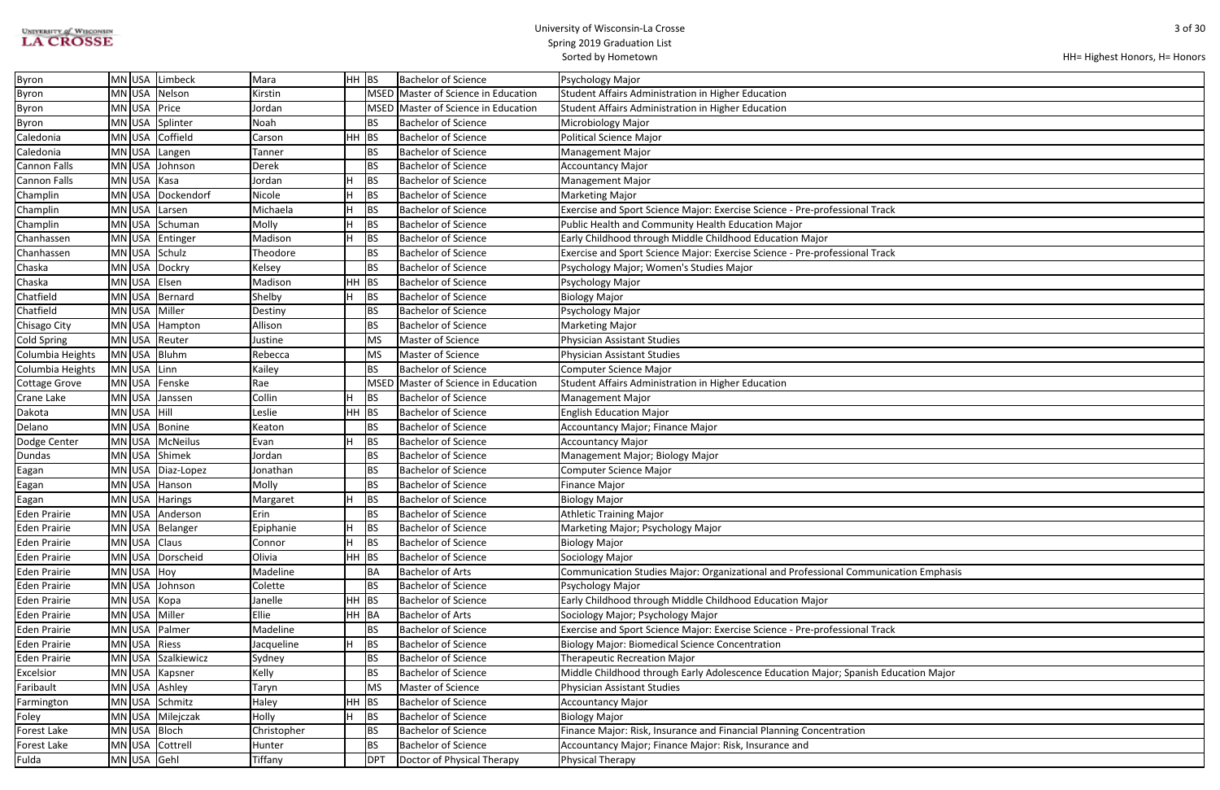| <b>UNIVERSITY of WISCONSIN</b> |  |
|--------------------------------|--|
| <b>LA CROSSE</b>               |  |

| ation Emphasis |  |
|----------------|--|
|                |  |
|                |  |
|                |  |
|                |  |
|                |  |
|                |  |
|                |  |
| cation Major   |  |
|                |  |
|                |  |
|                |  |
|                |  |
|                |  |
|                |  |
|                |  |

| Byron                |             | MN USA Limbeck    | Mara        | HH BS     |                 | <b>Bachelor of Science</b>          | Psychology Major                                                                    |
|----------------------|-------------|-------------------|-------------|-----------|-----------------|-------------------------------------|-------------------------------------------------------------------------------------|
| Byron                | $MN$ USA    | Nelson            | Kirstin     |           |                 | MSED Master of Science in Education | Student Affairs Administration in Higher Education                                  |
| Byron                |             | MN USA Price      | Jordan      |           |                 | MSED Master of Science in Education | Student Affairs Administration in Higher Education                                  |
| <b>Byron</b>         | MN USA      | Splinter          | Noah        |           | <b>BS</b>       | <b>Bachelor of Science</b>          | Microbiology Major                                                                  |
| Caledonia            | MN USA      | Coffield          | Carson      | $HH$ BS   |                 | <b>Bachelor of Science</b>          | Political Science Major                                                             |
| Caledonia            | MN USA      | Langen            | Tanner      |           | <b>BS</b>       | <b>Bachelor of Science</b>          | <b>Management Major</b>                                                             |
| <b>Cannon Falls</b>  | $MN$ USA    | Johnson           | Derek       |           | <b>BS</b>       | <b>Bachelor of Science</b>          | <b>Accountancy Major</b>                                                            |
| <b>Cannon Falls</b>  | MN USA      | Kasa              | Jordan      |           | BS              | <b>Bachelor of Science</b>          | <b>Management Major</b>                                                             |
| Champlin             | MN USA      | Dockendorf        | Nicole      |           | <b>BS</b>       | <b>Bachelor of Science</b>          | <b>Marketing Major</b>                                                              |
| Champlin             | MN USA      | Larsen            | Michaela    |           | <b>BS</b>       | <b>Bachelor of Science</b>          | Exercise and Sport Science Major: Exercise Science - Pre-professional Track         |
| Champlin             |             | MN USA Schuman    | Molly       |           | <b>BS</b>       | <b>Bachelor of Science</b>          | Public Health and Community Health Education Major                                  |
| Chanhassen           |             | MN USA Entinger   | Madison     |           | <b>BS</b>       | <b>Bachelor of Science</b>          | Early Childhood through Middle Childhood Education Major                            |
| Chanhassen           |             | MN USA Schulz     | Theodore    |           | <b>BS</b>       | <b>Bachelor of Science</b>          | Exercise and Sport Science Major: Exercise Science - Pre-professional Track         |
| Chaska               |             | MN USA Dockry     | Kelsey      |           | <b>BS</b>       | <b>Bachelor of Science</b>          | Psychology Major; Women's Studies Major                                             |
| Chaska               |             | MN USA Elsen      | Madison     | <b>HH</b> | BS              | <b>Bachelor of Science</b>          | Psychology Major                                                                    |
| Chatfield            | MN USA      | Bernard           | Shelby      |           | <b>BS</b>       | <b>Bachelor of Science</b>          | Biology Major                                                                       |
| Chatfield            |             | MN USA Miller     | Destiny     |           | <b>BS</b>       | <b>Bachelor of Science</b>          | Psychology Major                                                                    |
| Chisago City         |             | MN USA   Hampton  | Allison     |           | <b>BS</b>       | <b>Bachelor of Science</b>          | <b>Marketing Major</b>                                                              |
| <b>Cold Spring</b>   |             | MN USA Reuter     | Justine     |           | MS              | Master of Science                   | <b>Physician Assistant Studies</b>                                                  |
| Columbia Heights     |             | MN USA Bluhm      | Rebecca     |           | <b>MS</b>       | Master of Science                   | <b>Physician Assistant Studies</b>                                                  |
| Columbia Heights     | MN USA      | Linn              | Kailey      |           | <b>BS</b>       | <b>Bachelor of Science</b>          | Computer Science Major                                                              |
| <b>Cottage Grove</b> | MN USA      | Fenske            | Rae         |           | <b>MSED</b>     | Master of Science in Education      | Student Affairs Administration in Higher Education                                  |
| Crane Lake           | $MN$ USA    | Janssen           | Collin      |           | BS              | <b>Bachelor of Science</b>          | <b>Management Major</b>                                                             |
| Dakota               | MN USA Hill |                   | Leslie      | $HH$ BS   |                 | <b>Bachelor of Science</b>          | <b>English Education Major</b>                                                      |
| Delano               | MN USA      | <b>Bonine</b>     | Keaton      |           | <b>BS</b>       | <b>Bachelor of Science</b>          | Accountancy Major; Finance Major                                                    |
| Dodge Center         |             | MN USA McNeilus   | Evan        |           | BS              | <b>Bachelor of Science</b>          | <b>Accountancy Major</b>                                                            |
| Dundas               |             | MN USA Shimek     | Jordan      |           | <b>BS</b>       | <b>Bachelor of Science</b>          | Management Major; Biology Major                                                     |
| Eagan                |             | MN USA Diaz-Lopez | Jonathan    |           | <b>BS</b>       | <b>Bachelor of Science</b>          | Computer Science Major                                                              |
| Eagan                |             | MN USA Hanson     | Molly       |           | <b>BS</b>       | <b>Bachelor of Science</b>          | <b>Finance Major</b>                                                                |
| Eagan                |             | MN USA Harings    | Margaret    |           | <b>BS</b>       | <b>Bachelor of Science</b>          | <b>Biology Major</b>                                                                |
| <b>Eden Prairie</b>  |             | MN USA Anderson   | Erin        |           | <b>BS</b>       | <b>Bachelor of Science</b>          | <b>Athletic Training Major</b>                                                      |
| Eden Prairie         |             | MN USA   Belanger | Epiphanie   | н         | <b>BS</b>       | <b>Bachelor of Science</b>          | Marketing Major; Psychology Major                                                   |
| <b>Eden Prairie</b>  |             | MN USA Class      | Connor      |           | <b>BS</b>       | <b>Bachelor of Science</b>          | <b>Biology Major</b>                                                                |
| <b>Eden Prairie</b>  |             | MN USA Dorscheid  | Olivia      | $HH$ BS   |                 | <b>Bachelor of Science</b>          | Sociology Major                                                                     |
| <b>Eden Prairie</b>  | MN USA      | Hoy               | Madeline    |           | BA              | <b>Bachelor of Arts</b>             | Communication Studies Major: Organizational and Professional Communication Emphasis |
| <b>Eden Prairie</b>  |             | MN USA Johnson    | Colette     |           | <b>BS</b>       | <b>Bachelor of Science</b>          | Psychology Major                                                                    |
| Eden Prairie         |             | MN USA Kopa       | Janelle     | $HH$ BS   |                 | <b>Bachelor of Science</b>          | Early Childhood through Middle Childhood Education Major                            |
| <b>Eden Prairie</b>  |             | MN USA Miller     | Ellie       | HH BA     |                 | <b>Bachelor of Arts</b>             | Sociology Major; Psychology Major                                                   |
| <b>Eden Prairie</b>  | $MN$ USA    | Palmer            | Madeline    |           | <b>BS</b>       | <b>Bachelor of Science</b>          | Exercise and Sport Science Major: Exercise Science - Pre-professional Track         |
| <b>Eden Prairie</b>  |             | MN USA Riess      | Jacqueline  | Н         | <b>BS</b>       | <b>Bachelor of Science</b>          | <b>Biology Major: Biomedical Science Concentration</b>                              |
| <b>Eden Prairie</b>  | MN USA      | Szalkiewicz       | Sydney      |           | <b>BS</b>       | <b>Bachelor of Science</b>          | <b>Therapeutic Recreation Major</b>                                                 |
| Excelsior            |             | MN USA Kapsner    | Kelly       |           | BS              | <b>Bachelor of Science</b>          | Middle Childhood through Early Adolescence Education Major; Spanish Education Major |
| Faribault            |             | MN USA Ashley     | Taryn       |           | MS              | Master of Science                   | <b>Physician Assistant Studies</b>                                                  |
| Farmington           |             | MN USA Schmitz    | Haley       | $HH$ BS   |                 | <b>Bachelor of Science</b>          | <b>Accountancy Major</b>                                                            |
| Foley                |             | MN USA Milejczak  | Holly       |           | BS              | <b>Bachelor of Science</b>          | <b>Biology Major</b>                                                                |
| Forest Lake          |             | MN USA Bloch      | Christopher |           | <b>BS</b>       | <b>Bachelor of Science</b>          | Finance Major: Risk, Insurance and Financial Planning Concentration                 |
| Forest Lake          | MN USA      | Cottrell          | Hunter      |           | BS              | <b>Bachelor of Science</b>          | Accountancy Major; Finance Major: Risk, Insurance and                               |
| Fulda                |             | MN USA Gehl       | Tiffany     |           | DP <sub>1</sub> | Doctor of Physical Therapy          | Physical Therapy                                                                    |
|                      |             |                   |             |           |                 |                                     |                                                                                     |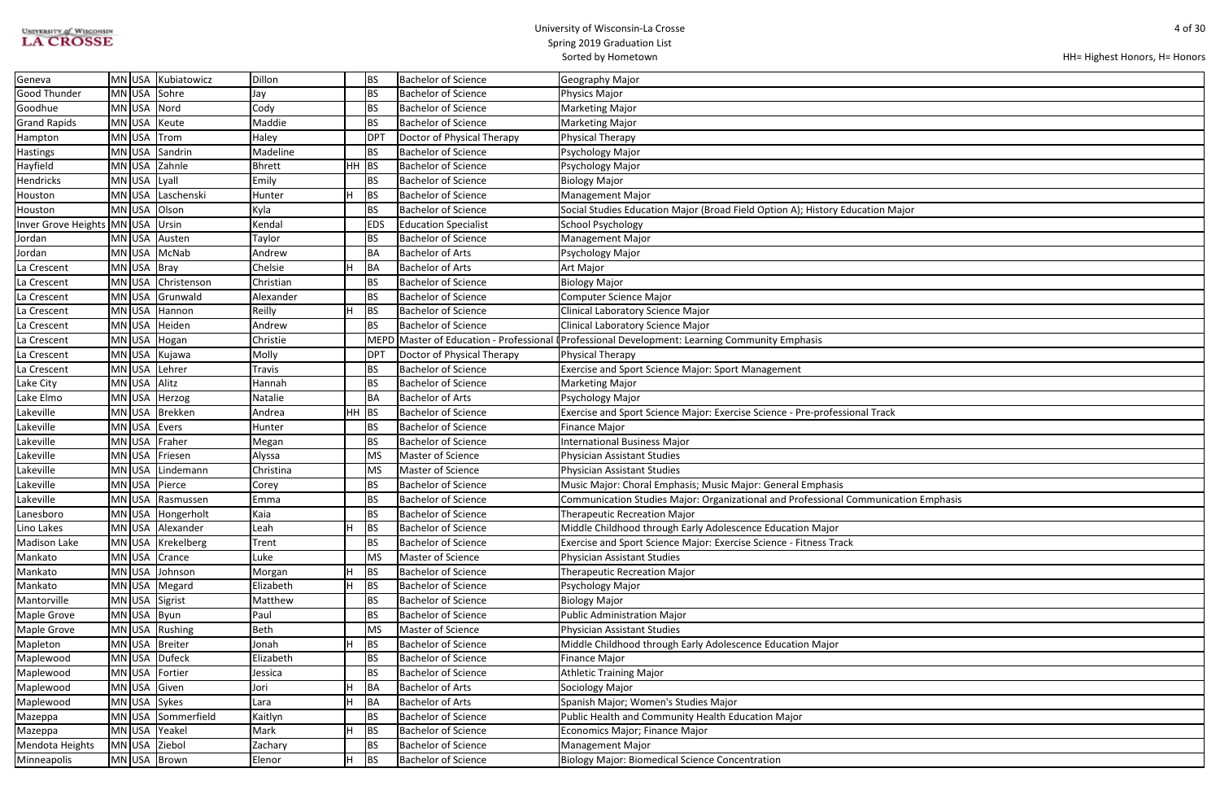# UNIVERSITY of WISCONSIN<br>LA CROSSE

## University of Wisconsin-La Crosse Spring 2019 Graduation List

Sorted by Hometown

| HH= Highest Honors, H= Honors |  |  |
|-------------------------------|--|--|
|-------------------------------|--|--|

| ajor           |
|----------------|
|                |
|                |
|                |
|                |
|                |
|                |
|                |
|                |
|                |
|                |
|                |
|                |
|                |
|                |
|                |
|                |
|                |
|                |
|                |
|                |
| ation Emphasis |
|                |
|                |
|                |
|                |
|                |
|                |
|                |
|                |
|                |
|                |
|                |
|                |
|                |
|                |
|                |
|                |
|                |
|                |
|                |
|                |
|                |

| Geneva                           |              | MN USA Kubiatowicz | Dillon        |       | ВS         | <b>Bachelor of Science</b>  | Geography Major                                                                                |
|----------------------------------|--------------|--------------------|---------------|-------|------------|-----------------------------|------------------------------------------------------------------------------------------------|
| <b>Good Thunder</b>              |              | MN USA Sohre       | Jay           |       | BS         | <b>Bachelor of Science</b>  | Physics Major                                                                                  |
| Goodhue                          |              | MN USA Nord        | Cody          |       | <b>BS</b>  | <b>Bachelor of Science</b>  | <b>Marketing Major</b>                                                                         |
| <b>Grand Rapids</b>              |              | MN USA Keute       | Maddie        |       | <b>BS</b>  | <b>Bachelor of Science</b>  | <b>Marketing Major</b>                                                                         |
| Hampton                          |              | MN USA Trom        | Haley         |       | <b>DPT</b> | Doctor of Physical Therapy  | Physical Therapy                                                                               |
| <b>Hastings</b>                  |              | MN USA Sandrin     | Madeline      |       | BS         | <b>Bachelor of Science</b>  | Psychology Major                                                                               |
| Hayfield                         |              | MN USA Zahnle      | Bhrett        | HH BS |            | <b>Bachelor of Science</b>  | Psychology Major                                                                               |
| <b>Hendricks</b>                 | MN USA Lyall |                    | Emily         |       | <b>BS</b>  | <b>Bachelor of Science</b>  | <b>Biology Major</b>                                                                           |
| Houston                          |              | MN USA Laschenski  | Hunter        |       | BS         | <b>Bachelor of Science</b>  | <b>Management Major</b>                                                                        |
| Houston                          |              | MN USA Olson       | Kyla          |       | <b>BS</b>  | <b>Bachelor of Science</b>  | Social Studies Education Major (Broad Field Option A); History Education Major                 |
| Inver Grove Heights MN USA Ursin |              |                    | Kendal        |       | <b>EDS</b> | <b>Education Specialist</b> | School Psychology                                                                              |
| Jordan                           |              | MN USA Austen      | Taylor        |       | <b>BS</b>  | <b>Bachelor of Science</b>  | <b>Management Major</b>                                                                        |
| Jordan                           |              | MN USA McNab       | Andrew        |       | <b>BA</b>  | <b>Bachelor of Arts</b>     | Psychology Major                                                                               |
| La Crescent                      | MN USA Bray  |                    | Chelsie       |       | <b>BA</b>  | <b>Bachelor of Arts</b>     | Art Major                                                                                      |
| La Crescent                      |              | MN USA Christenson | Christian     |       | <b>BS</b>  | <b>Bachelor of Science</b>  | <b>Biology Major</b>                                                                           |
| La Crescent                      |              | MN USA Grunwald    | Alexander     |       | BS         | <b>Bachelor of Science</b>  | <b>Computer Science Major</b>                                                                  |
| La Crescent                      |              | MN USA Hannon      | Reilly        | H     | <b>BS</b>  | <b>Bachelor of Science</b>  | <b>Clinical Laboratory Science Major</b>                                                       |
| La Crescent                      |              | MN USA Heiden      | Andrew        |       | <b>BS</b>  | <b>Bachelor of Science</b>  | Clinical Laboratory Science Major                                                              |
| La Crescent                      |              | MN USA Hogan       | Christie      |       |            |                             | MEPD Master of Education - Professional (Professional Development: Learning Community Emphasis |
| La Crescent                      |              | MN USA Kujawa      | Molly         |       | <b>DPT</b> | Doctor of Physical Therapy  | Physical Therapy                                                                               |
| La Crescent                      |              | MN USA Lehrer      | <b>Travis</b> |       | ΒS         | <b>Bachelor of Science</b>  | <b>Exercise and Sport Science Major: Sport Management</b>                                      |
| Lake City                        | MN USA Alitz |                    | Hannah        |       | <b>BS</b>  | <b>Bachelor of Science</b>  | <b>Marketing Major</b>                                                                         |
| Lake Elmo                        |              | MN USA Herzog      | Natalie       |       | BA         | <b>Bachelor of Arts</b>     | Psychology Major                                                                               |
| Lakeville                        |              | MN USA Brekken     | Andrea        | HH    | BS         | <b>Bachelor of Science</b>  | Exercise and Sport Science Major: Exercise Science - Pre-professional Track                    |
| Lakeville                        |              | MN USA Evers       | Hunter        |       | <b>BS</b>  | <b>Bachelor of Science</b>  | <b>Finance Major</b>                                                                           |
| Lakeville                        |              | MN USA Fraher      | Megan         |       | BS         | <b>Bachelor of Science</b>  | <b>International Business Major</b>                                                            |
| Lakeville                        |              | MN USA Friesen     | Alyssa        |       | <b>MS</b>  | Master of Science           | Physician Assistant Studies                                                                    |
| Lakeville                        |              | MN USA Lindemann   | Christina     |       | <b>MS</b>  | Master of Science           | Physician Assistant Studies                                                                    |
| Lakeville                        |              | MN USA Pierce      | Corey         |       | <b>BS</b>  | <b>Bachelor of Science</b>  | Music Major: Choral Emphasis; Music Major: General Emphasis                                    |
| Lakeville                        |              | MN USA Rasmussen   | Emma          |       | <b>BS</b>  | <b>Bachelor of Science</b>  | Communication Studies Major: Organizational and Professional Communication Emphasis            |
| Lanesboro                        |              | MN USA Hongerholt  | Kaia          |       | <b>BS</b>  | <b>Bachelor of Science</b>  | Therapeutic Recreation Major                                                                   |
| Lino Lakes                       |              | MN USA Alexander   | Leah          | H     | <b>BS</b>  | <b>Bachelor of Science</b>  | Middle Childhood through Early Adolescence Education Major                                     |
| Madison Lake                     |              | MN USA Krekelberg  | Trent         |       | <b>BS</b>  | <b>Bachelor of Science</b>  | Exercise and Sport Science Major: Exercise Science - Fitness Track                             |
| Mankato                          |              | MN USA Crance      | Luke          |       | <b>MS</b>  | Master of Science           | Physician Assistant Studies                                                                    |
| Mankato                          |              | MN USA Johnson     | Morgan        |       | BS         | <b>Bachelor of Science</b>  | Therapeutic Recreation Major                                                                   |
| Mankato                          |              | MN USA Megard      | Elizabeth     | H     | <b>BS</b>  | <b>Bachelor of Science</b>  | Psychology Major                                                                               |
| Mantorville                      |              | MN USA Sigrist     | Matthew       |       | ВS         | <b>Bachelor of Science</b>  | <b>Biology Major</b>                                                                           |
| Maple Grove                      |              | MNUSA Byun         | Paul          |       | BS         | <b>Bachelor of Science</b>  | <b>Public Administration Major</b>                                                             |
| Maple Grove                      |              | MN USA Rushing     | Beth          |       | <b>MS</b>  | Master of Science           | <b>Physician Assistant Studies</b>                                                             |
| Mapleton                         |              | MN USA Breiter     | Jonah         |       | BS         | <b>Bachelor of Science</b>  | Middle Childhood through Early Adolescence Education Major                                     |
| Maplewood                        |              | MN USA Dufeck      | Elizabeth     |       | <b>BS</b>  | <b>Bachelor of Science</b>  | Finance Major                                                                                  |
| Maplewood                        |              | MN USA Fortier     | Jessica       |       | ВS         | <b>Bachelor of Science</b>  | <b>Athletic Training Major</b>                                                                 |
| Maplewood                        |              | MN USA Given       | Jori          |       | BA         | <b>Bachelor of Arts</b>     | Sociology Major                                                                                |
| Maplewood                        |              | MN USA Sykes       | Lara          | H     | BA         | <b>Bachelor of Arts</b>     | Spanish Major; Women's Studies Major                                                           |
| Mazeppa                          |              | MN USA Sommerfield | Kaitlyn       |       | <b>BS</b>  | <b>Bachelor of Science</b>  | Public Health and Community Health Education Major                                             |
| Mazeppa                          |              | MN USA Yeakel      | Mark          | H     | <b>BS</b>  | <b>Bachelor of Science</b>  | Economics Major; Finance Major                                                                 |
| Mendota Heights                  |              | MN USA Ziebol      | Zachary       |       | ВS         | <b>Bachelor of Science</b>  | <b>Management Major</b>                                                                        |
| Minneapolis                      |              | MN USA Brown       | Elenor        | H     | BS         | <b>Bachelor of Science</b>  | <b>Biology Major: Biomedical Science Concentration</b>                                         |
|                                  |              |                    |               |       |            |                             |                                                                                                |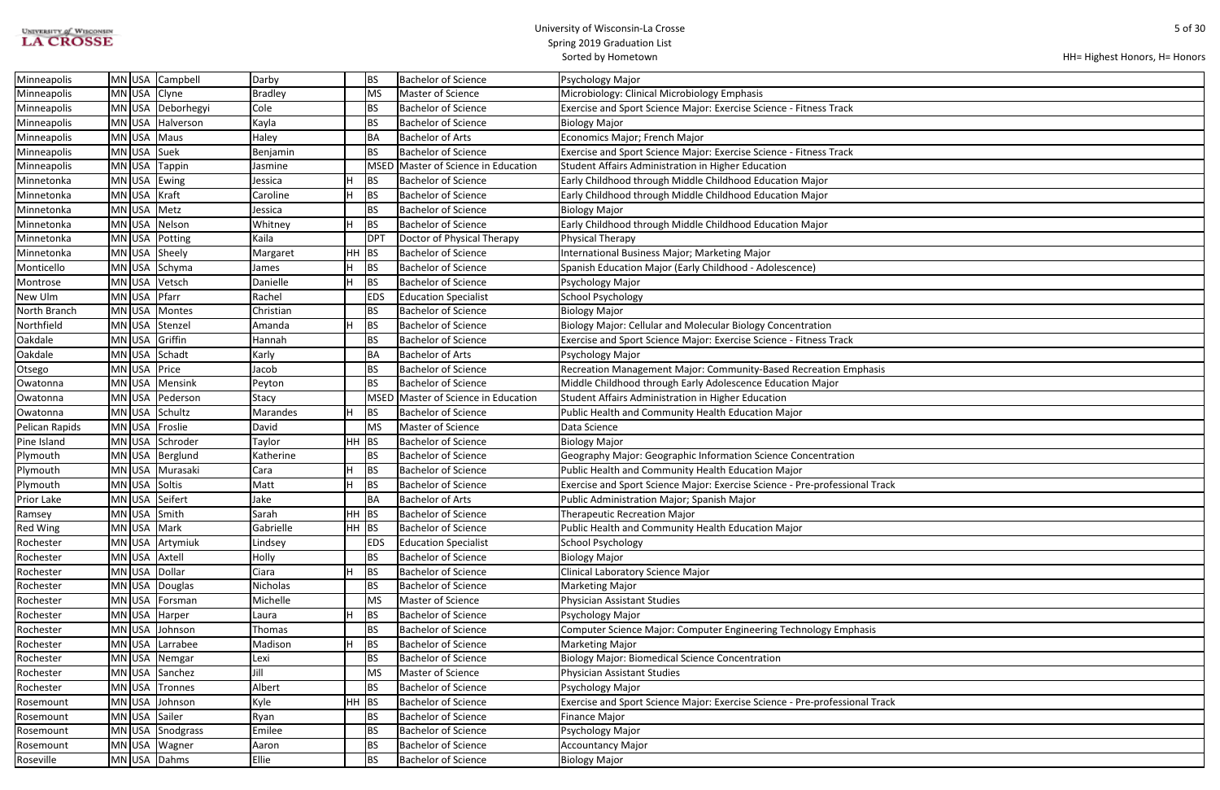| <b>UNIVERSITY of WISCONSIN</b> |  |
|--------------------------------|--|
| <b>LA CROSSE</b>               |  |

|  | HH= Highest Honors, H= Honors |
|--|-------------------------------|
|--|-------------------------------|

| Minneapolis       | MN USA         | Campbell          | Darby           |           | BS         | <b>Bachelor of Science</b>     | Psychology Major                                                            |
|-------------------|----------------|-------------------|-----------------|-----------|------------|--------------------------------|-----------------------------------------------------------------------------|
| Minneapolis       | MN USA         | Clyne             | Bradley         |           | MS         | Master of Science              | Microbiology: Clinical Microbiology Emphasis                                |
| Minneapolis       |                | MN USA Deborhegyi | Cole            |           | BS         | <b>Bachelor of Science</b>     | Exercise and Sport Science Major: Exercise Science - Fitness Track          |
| Minneapolis       | MN USA         | Halverson         | Kayla           |           | BS         | <b>Bachelor of Science</b>     | <b>Biology Major</b>                                                        |
| Minneapolis       | MN USA         | Maus              | Haley           |           | <b>BA</b>  | <b>Bachelor of Arts</b>        | Economics Major; French Major                                               |
| Minneapolis       | MN USA         | Suek              | Benjamin        |           | BS         | <b>Bachelor of Science</b>     | Exercise and Sport Science Major: Exercise Science - Fitness Track          |
| Minneapolis       | MN USA         | Tappin            | Jasmine         |           | MSED       | Master of Science in Education | Student Affairs Administration in Higher Education                          |
| Minnetonka        | MN USA         | Ewing             | Jessica         | н         | BS         | <b>Bachelor of Science</b>     | Early Childhood through Middle Childhood Education Major                    |
| Minnetonka        | MN USA         | Kraft             | Caroline        | н         | BS         | Bachelor of Science            | Early Childhood through Middle Childhood Education Major                    |
| Minnetonka        | MN USA         | Metz              | Jessica         |           | BS         | <b>Bachelor of Science</b>     | Biology Major                                                               |
| Minnetonka        | $MN$ USA       | Nelson            | Whitney         | н         | BS         | <b>Bachelor of Science</b>     | Early Childhood through Middle Childhood Education Major                    |
| Minnetonka        | MN USA Potting |                   | Kaila           |           | DPT        | Doctor of Physical Therapy     | Physical Therapy                                                            |
| Minnetonka        | MN USA         | Sheely            | Margaret        | HH        | BS         | <b>Bachelor of Science</b>     | International Business Major; Marketing Major                               |
| Monticello        | MN USA         | Schyma            | James           | н         | <b>BS</b>  | <b>Bachelor of Science</b>     | Spanish Education Major (Early Childhood - Adolescence)                     |
| Montrose          | MN USA         | Vetsch            | Danielle        | н         | <b>BS</b>  | <b>Bachelor of Science</b>     | Psychology Major                                                            |
| New Ulm           | MN USA         | Pfarr             | Rachel          |           | <b>EDS</b> | <b>Education Specialist</b>    | <b>School Psychology</b>                                                    |
| North Branch      | MN USA         | Montes            | Christian       |           | BS         | <b>Bachelor of Science</b>     | <b>Biology Major</b>                                                        |
| Northfield        | MN USA         | Stenzel           | Amanda          |           | BS         | <b>Bachelor of Science</b>     | Biology Major: Cellular and Molecular Biology Concentration                 |
| Oakdale           | MN USA         | Griffin           | Hannah          |           | BS         | <b>Bachelor of Science</b>     | Exercise and Sport Science Major: Exercise Science - Fitness Track          |
| Oakdale           | $MN$ USA       | Schadt            | Karly           |           | BA         | <b>Bachelor of Arts</b>        | Psychology Major                                                            |
| Otsego            | MN USA         | Price             | Jacob           |           | BS         | <b>Bachelor of Science</b>     | Recreation Management Major: Community-Based Recreation Emphasis            |
| Owatonna          | MN USA         | Mensink           | Peyton          |           | BS         | <b>Bachelor of Science</b>     | Middle Childhood through Early Adolescence Education Major                  |
| Owatonna          |                | MN USA   Pederson | Stacy           |           | MSED       | Master of Science in Education | Student Affairs Administration in Higher Education                          |
| Owatonna          | MN USA         | Schultz           | Marandes        | н         | BS         | <b>Bachelor of Science</b>     | Public Health and Community Health Education Major                          |
| Pelican Rapids    | MN USA         | Froslie           | David           |           | MS         | Master of Science              | Data Science                                                                |
| Pine Island       | MN USA         | Schroder          | Taylor          | <b>HH</b> | BS         | <b>Bachelor of Science</b>     | <b>Biology Major</b>                                                        |
| Plymouth          | MN USA         | Berglund          | Katherine       |           | BS         | <b>Bachelor of Science</b>     | Geography Major: Geographic Information Science Concentration               |
| Plymouth          | MN USA         | Murasaki          | Cara            | н         | BS         | <b>Bachelor of Science</b>     | Public Health and Community Health Education Major                          |
| Plymouth          | MN USA Soltis  |                   | Matt            | н         | BS         | <b>Bachelor of Science</b>     | Exercise and Sport Science Major: Exercise Science - Pre-professional Track |
| <b>Prior Lake</b> | MN USA Seifert |                   | Jake            |           | BA         | <b>Bachelor of Arts</b>        | Public Administration Major; Spanish Major                                  |
| Ramsey            | MN USA Smith   |                   | Sarah           | $HH$ BS   |            | <b>Bachelor of Science</b>     | Therapeutic Recreation Major                                                |
| <b>Red Wing</b>   | MN USA Mark    |                   | Gabrielle       | $HH$ BS   |            | <b>Bachelor of Science</b>     | Public Health and Community Health Education Major                          |
| Rochester         |                | MN USA Artymiuk   | Lindsey         |           | <b>EDS</b> | <b>Education Specialist</b>    | <b>School Psychology</b>                                                    |
| Rochester         | MN USA Axtell  |                   | Holly           |           | <b>BS</b>  | <b>Bachelor of Science</b>     | <b>Biology Major</b>                                                        |
| Rochester         | MN USA Dollar  |                   | Ciara           | н         | <b>BS</b>  | <b>Bachelor of Science</b>     | <b>Clinical Laboratory Science Major</b>                                    |
| Rochester         |                | MN USA Douglas    | <b>Nicholas</b> |           | BS         | <b>Bachelor of Science</b>     | Marketing Major                                                             |
| Rochester         |                | MN USA Forsman    | Michelle        |           | MS         | Master of Science              | <b>Physician Assistant Studies</b>                                          |
| Rochester         | MN USA Harper  |                   | Laura           | н         | BS         | <b>Bachelor of Science</b>     | Psychology Major                                                            |
| Rochester         | MN USA         | Johnson           | Thomas          |           | BS         | <b>Bachelor of Science</b>     | <b>Computer Science Major: Computer Engineering Technology Emphasis</b>     |
| Rochester         | MN USA         | Larrabee          | Madison         | н         | BS         | <b>Bachelor of Science</b>     | Marketing Major                                                             |
| Rochester         |                | MN USA Nemgar     | Lexi            |           | BS         | <b>Bachelor of Science</b>     | <b>Biology Major: Biomedical Science Concentration</b>                      |
| Rochester         |                | MN USA Sanchez    | Jill            |           | MS         | Master of Science              | Physician Assistant Studies                                                 |
| Rochester         |                | MN USA Tronnes    | Albert          |           | BS         | <b>Bachelor of Science</b>     | Psychology Major                                                            |
| Rosemount         | MN USA         | Johnson           | Kyle            | <b>HH</b> | BS         | <b>Bachelor of Science</b>     | Exercise and Sport Science Major: Exercise Science - Pre-professional Track |
| Rosemount         | MN USA Sailer  |                   | Ryan            |           | BS         | <b>Bachelor of Science</b>     | <b>Finance Major</b>                                                        |
| Rosemount         |                | MN USA Snodgrass  | Emilee          |           | BS         | <b>Bachelor of Science</b>     | Psychology Major                                                            |
| Rosemount         | MN USA Wagner  |                   | Aaron           |           | BS         | <b>Bachelor of Science</b>     | <b>Accountancy Major</b>                                                    |
| Roseville         | MN USA Dahms   |                   | Ellie           |           | BS         | <b>Bachelor of Science</b>     | Biology Major                                                               |
|                   |                |                   |                 |           |            |                                |                                                                             |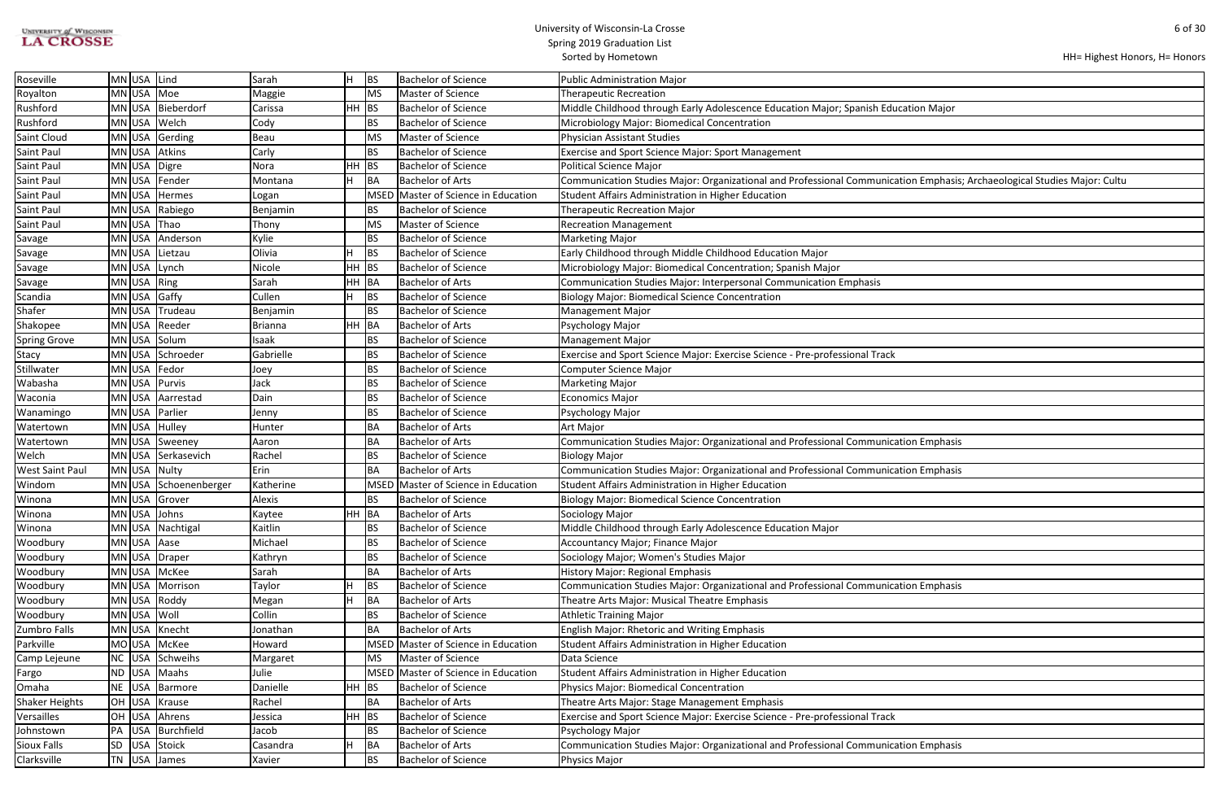| <b>UNIVERSITY of WISCONSIN</b> |  |
|--------------------------------|--|
| <b>LA CROSSE</b>               |  |

٦

| HH= Highest Honors, H= Honors |  |  |  |
|-------------------------------|--|--|--|
|-------------------------------|--|--|--|

| ucation Major                                       |
|-----------------------------------------------------|
|                                                     |
|                                                     |
|                                                     |
|                                                     |
|                                                     |
|                                                     |
| ation Emphasis; Archaeological Studies Major: Cultu |
|                                                     |
|                                                     |
|                                                     |
|                                                     |
|                                                     |
|                                                     |
|                                                     |
|                                                     |
|                                                     |
|                                                     |
|                                                     |
|                                                     |
|                                                     |
|                                                     |
|                                                     |
|                                                     |
|                                                     |
|                                                     |
|                                                     |
|                                                     |
|                                                     |
|                                                     |
|                                                     |
|                                                     |
|                                                     |
| ation Emphasis                                      |
|                                                     |
|                                                     |
| ation Emphasis                                      |
|                                                     |
|                                                     |
|                                                     |
|                                                     |
|                                                     |
|                                                     |
|                                                     |
|                                                     |
|                                                     |
|                                                     |
| ation Emphasis                                      |
|                                                     |
|                                                     |
|                                                     |
|                                                     |
|                                                     |
|                                                     |
|                                                     |
|                                                     |
|                                                     |
|                                                     |
|                                                     |
|                                                     |
|                                                     |
|                                                     |
|                                                     |
| ation Emphasis                                      |
|                                                     |
|                                                     |

| Roseville             | MN USA Lind |                       | Sarah     | H.    | BS          | <b>Bachelor of Science</b>     | Public Administration Major                                                                                              |
|-----------------------|-------------|-----------------------|-----------|-------|-------------|--------------------------------|--------------------------------------------------------------------------------------------------------------------------|
| Royalton              |             | MN USA Moe            | Maggie    |       | <b>MS</b>   | Master of Science              | <b>Therapeutic Recreation</b>                                                                                            |
| Rushford              |             | MN USA Bieberdorf     | Carissa   | HH BS |             | Bachelor of Science            | Middle Childhood through Early Adolescence Education Major; Spanish Education Major                                      |
| Rushford              |             | MN USA Welch          | Cody      |       | <b>BS</b>   | <b>Bachelor of Science</b>     | Microbiology Major: Biomedical Concentration                                                                             |
| Saint Cloud           |             | MN USA Gerding        | Beau      |       | MS          | Master of Science              | Physician Assistant Studies                                                                                              |
| Saint Paul            |             | MN USA Atkins         | Carly     |       | <b>BS</b>   | <b>Bachelor of Science</b>     | Exercise and Sport Science Major: Sport Management                                                                       |
| Saint Paul            |             | MN USA Digre          | Nora      | HH BS |             | <b>Bachelor of Science</b>     | <b>Political Science Major</b>                                                                                           |
| Saint Paul            |             | MN USA Fender         | Montana   | H.    | BA          | Bachelor of Arts               | Communication Studies Major: Organizational and Professional Communication Emphasis; Archaeological Studies Major: Cultu |
| Saint Paul            |             | MN USA Hermes         | Logan     |       | <b>MSED</b> | Master of Science in Education | Student Affairs Administration in Higher Education                                                                       |
| Saint Paul            |             | MN USA Rabiego        | Benjamin  |       | <b>BS</b>   | <b>Bachelor of Science</b>     | <b>Therapeutic Recreation Major</b>                                                                                      |
| Saint Paul            |             | MN USA Thao           | Thony     |       | <b>MS</b>   | Master of Science              | <b>Recreation Management</b>                                                                                             |
| Savage                |             | MN USA Anderson       | Kylie     |       | <b>BS</b>   | <b>Bachelor of Science</b>     | <b>Marketing Major</b>                                                                                                   |
| Savage                |             | MN USA Lietzau        | Olivia    | н     | <b>BS</b>   | <b>Bachelor of Science</b>     | Early Childhood through Middle Childhood Education Major                                                                 |
| Savage                |             | MN USA Lynch          | Nicole    | HH BS |             | <b>Bachelor of Science</b>     | Microbiology Major: Biomedical Concentration; Spanish Major                                                              |
| Savage                | MN USA Ring |                       | Sarah     | HH BA |             | <b>Bachelor of Arts</b>        | Communication Studies Major: Interpersonal Communication Emphasis                                                        |
| Scandia               |             | MN USA Gaffy          | Cullen    | н     | <b>BS</b>   | <b>Bachelor of Science</b>     | <b>Biology Major: Biomedical Science Concentration</b>                                                                   |
| Shafer                |             | MN USA Trudeau        | Benjamin  |       | <b>BS</b>   | <b>Bachelor of Science</b>     | <b>Management Major</b>                                                                                                  |
| Shakopee              |             | MN USA Reeder         | Brianna   | HH BA |             | <b>Bachelor of Arts</b>        | Psychology Major                                                                                                         |
| <b>Spring Grove</b>   |             | MN USA Solum          | Isaak     |       | <b>BS</b>   | <b>Bachelor of Science</b>     | <b>Management Major</b>                                                                                                  |
| Stacy                 |             | MN USA Schroeder      | Gabrielle |       | <b>BS</b>   | <b>Bachelor of Science</b>     | Exercise and Sport Science Major: Exercise Science - Pre-professional Track                                              |
| Stillwater            |             | MN USA Fedor          | Joey      |       | <b>BS</b>   | <b>Bachelor of Science</b>     | Computer Science Major                                                                                                   |
| Wabasha               |             | MN USA Purvis         | Jack      |       | <b>BS</b>   | <b>Bachelor of Science</b>     | <b>Marketing Major</b>                                                                                                   |
| Waconia               |             | MN USA Aarrestad      | Dain      |       | <b>BS</b>   | <b>Bachelor of Science</b>     | <b>Economics Major</b>                                                                                                   |
| Wanamingo             |             | MN USA   Parlier      | Jenny     |       | <b>BS</b>   | <b>Bachelor of Science</b>     | Psychology Major                                                                                                         |
| Watertown             |             | MN USA Hulley         | Hunter    |       | BA          | Bachelor of Arts               | <b>Art Major</b>                                                                                                         |
| Watertown             |             | MN USA Sweeney        | Aaron     |       | BA          | Bachelor of Arts               | Communication Studies Major: Organizational and Professional Communication Emphasis                                      |
| Welch                 |             | MN USA Serkasevich    | Rachel    |       | <b>BS</b>   | Bachelor of Science            | <b>Biology Major</b>                                                                                                     |
| West Saint Paul       |             | MN USA Nulty          | Erin      |       | <b>BA</b>   | <b>Bachelor of Arts</b>        | Communication Studies Major: Organizational and Professional Communication Emphasis                                      |
| Windom                |             | MN USA Schoenenberger | Katherine |       | <b>MSED</b> | Master of Science in Education | Student Affairs Administration in Higher Education                                                                       |
| Winona                |             | MN USA Grover         | Alexis    |       | <b>BS</b>   | <b>Bachelor of Science</b>     | <b>Biology Major: Biomedical Science Concentration</b>                                                                   |
| Winona                |             | MN USA Johns          | Kaytee    | HH BA |             | <b>Bachelor of Arts</b>        | Sociology Major                                                                                                          |
| Winona                |             | MN USA Nachtigal      | Kaitlin   |       | <b>BS</b>   | <b>Bachelor of Science</b>     | Middle Childhood through Early Adolescence Education Major                                                               |
| Woodbury              |             | MN USA Aase           | Michael   |       | <b>BS</b>   | <b>Bachelor of Science</b>     | Accountancy Major; Finance Major                                                                                         |
| Woodbury              |             | MN USA Draper         | Kathryn   |       | <b>BS</b>   | <b>Bachelor of Science</b>     | Sociology Major; Women's Studies Major                                                                                   |
| Woodbury              |             | MN USA McKee          | Sarah     |       | <b>BA</b>   | <b>Bachelor of Arts</b>        | <b>History Major: Regional Emphasis</b>                                                                                  |
| Woodbury              |             | MN USA Morrison       | Taylor    | н     | <b>BS</b>   | <b>Bachelor of Science</b>     | Communication Studies Major: Organizational and Professional Communication Emphasis                                      |
| Woodbury              |             | MN USA Roddy          | Megan     | н     | BA          | Bachelor of Arts               | Theatre Arts Major: Musical Theatre Emphasis                                                                             |
| Woodbury              | MN USA Woll |                       | Collin    |       | <b>BS</b>   | Bachelor of Science            | <b>Athletic Training Major</b>                                                                                           |
| Zumbro Falls          |             | MN USA Knecht         | Jonathan  |       | BA          | <b>Bachelor of Arts</b>        | English Major: Rhetoric and Writing Emphasis                                                                             |
| Parkville             |             | MO USA McKee          | Howard    |       | <b>MSED</b> | Master of Science in Education | Student Affairs Administration in Higher Education                                                                       |
| Camp Lejeune          |             | NC USA Schweihs       | Margaret  |       | <b>MS</b>   | Master of Science              | Data Science                                                                                                             |
| Fargo                 |             | ND USA Maahs          | Julie     |       | <b>MSED</b> | Master of Science in Education | Student Affairs Administration in Higher Education                                                                       |
| Omaha                 |             | NE USA Barmore        | Danielle  | HH BS |             | <b>Bachelor of Science</b>     | Physics Major: Biomedical Concentration                                                                                  |
| <b>Shaker Heights</b> |             | OH USA Krause         | Rachel    |       | BA          | Bachelor of Arts               | Theatre Arts Major: Stage Management Emphasis                                                                            |
| Versailles            |             | OH USA Ahrens         | Jessica   | HH BS |             | <b>Bachelor of Science</b>     | Exercise and Sport Science Major: Exercise Science - Pre-professional Track                                              |
| Johnstown             |             | PA USA Burchfield     | Jacob     |       | <b>BS</b>   | <b>Bachelor of Science</b>     | Psychology Major                                                                                                         |
| Sioux Falls           | SD          | USA Stoick            | Casandra  | н     | BA          | <b>Bachelor of Arts</b>        | Communication Studies Major: Organizational and Professional Communication Emphasis                                      |
| Clarksville           |             | $TN$ USA James        | Xavier    |       | <b>BS</b>   | Bachelor of Science            | Physics Major                                                                                                            |
|                       |             |                       |           |       |             |                                |                                                                                                                          |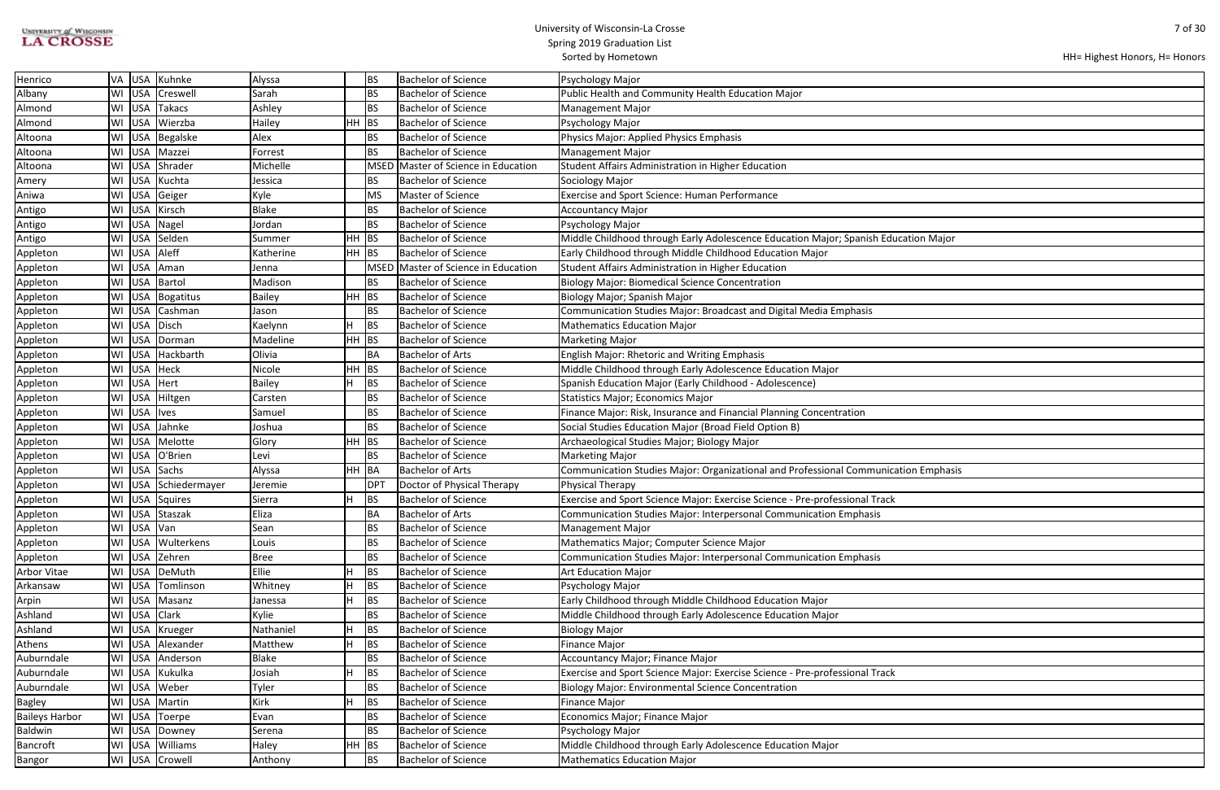# UNIVERSITY of WISCONSIN<br>LA CROSSE

#### University of Wisconsin-La Crosse Spring 2019 Graduation List

Sorted by Hometown

| ication Major  |  |
|----------------|--|
|                |  |
|                |  |
|                |  |
|                |  |
|                |  |
|                |  |
|                |  |
|                |  |
|                |  |
|                |  |
|                |  |
|                |  |
|                |  |
|                |  |
|                |  |
|                |  |
|                |  |
|                |  |
| ation Emphasis |  |
|                |  |
|                |  |
|                |  |
|                |  |
|                |  |
|                |  |
|                |  |
|                |  |
|                |  |
|                |  |
|                |  |
|                |  |
|                |  |
|                |  |
|                |  |
|                |  |
|                |  |
|                |  |
|                |  |
|                |  |
|                |  |
|                |  |
|                |  |

| Henrico               | VA USA       | Kuhnke               | Alyssa       |           | <b>BS</b>       | <b>Bachelor of Science</b>     | Psychology Major                                                                    |
|-----------------------|--------------|----------------------|--------------|-----------|-----------------|--------------------------------|-------------------------------------------------------------------------------------|
| Albany                |              | WI USA Creswell      | Sarah        |           | <b>BS</b>       | <b>Bachelor of Science</b>     | Public Health and Community Health Education Major                                  |
| Almond                | WI USA       | Takacs               | Ashley       |           | <b>BS</b>       | Bachelor of Science            | <b>Management Major</b>                                                             |
| Almond                |              | WI USA Wierzba       | Hailey       | $HH$ BS   |                 | <b>Bachelor of Science</b>     | Psychology Major                                                                    |
| Altoona               |              | WI USA Begalske      | Alex         |           | <b>BS</b>       | <b>Bachelor of Science</b>     | Physics Major: Applied Physics Emphasis                                             |
| Altoona               | WI USA       | Mazzei               | Forrest      |           | <b>BS</b>       | <b>Bachelor of Science</b>     | <b>Management Major</b>                                                             |
| Altoona               |              | WI USA Shrader       | Michelle     |           | <b>MSED</b>     | Master of Science in Education | Student Affairs Administration in Higher Education                                  |
| Amery                 | WI USA       | Kuchta               | Jessica      |           | BS              | <b>Bachelor of Science</b>     | Sociology Major                                                                     |
| Aniwa                 |              | WI USA Geiger        | Kyle         |           | <b>MS</b>       | Master of Science              | <b>Exercise and Sport Science: Human Performance</b>                                |
| Antigo                | WI USA       | Kirsch               | <b>Blake</b> |           | <b>BS</b>       | <b>Bachelor of Science</b>     | <b>Accountancy Major</b>                                                            |
| Antigo                |              | WI USA Nagel         | Jordan       |           | <b>BS</b>       | <b>Bachelor of Science</b>     | Psychology Major                                                                    |
| Antigo                |              | WI USA Selden        | Summer       | HH.       | <b>BS</b>       | <b>Bachelor of Science</b>     | Middle Childhood through Early Adolescence Education Major; Spanish Education Major |
| Appleton              | WI USA       | Aleff                | Katherine    | $HH$ BS   |                 | <b>Bachelor of Science</b>     | Early Childhood through Middle Childhood Education Major                            |
| Appleton              | WI USA       | Aman                 | Jenna        |           | MSED            | Master of Science in Education | Student Affairs Administration in Higher Education                                  |
| Appleton              |              | WI USA Bartol        | Madison      |           | <b>BS</b>       | <b>Bachelor of Science</b>     | <b>Biology Major: Biomedical Science Concentration</b>                              |
| Appleton              |              | WI   USA   Bogatitus | Bailey       | HH        | <b>BS</b>       | <b>Bachelor of Science</b>     | Biology Major; Spanish Major                                                        |
| Appleton              |              | WI USA Cashman       | Jason        |           | <b>BS</b>       | <b>Bachelor of Science</b>     | Communication Studies Major: Broadcast and Digital Media Emphasis                   |
| Appleton              | WI USA       | Disch                | Kaelynn      |           | BS              | <b>Bachelor of Science</b>     | <b>Mathematics Education Major</b>                                                  |
| Appleton              | WI USA       | Dorman               | Madeline     | HH.       | BS              | <b>Bachelor of Science</b>     | <b>Marketing Major</b>                                                              |
| Appleton              | WI USA       | Hackbarth            | Olivia       |           | BA              | <b>Bachelor of Arts</b>        | English Major: Rhetoric and Writing Emphasis                                        |
| Appleton              | WI USA       | Heck                 | Nicole       | <b>HH</b> | BS              | <b>Bachelor of Science</b>     | Middle Childhood through Early Adolescence Education Major                          |
| Appleton              | WI USA       | Hert                 | Bailey       | H         | <b>BS</b>       | <b>Bachelor of Science</b>     | Spanish Education Major (Early Childhood - Adolescence)                             |
| Appleton              |              | WI   USA   Hiltgen   | Carsten      |           | <b>BS</b>       | <b>Bachelor of Science</b>     | <b>Statistics Major; Economics Major</b>                                            |
| Appleton              | WI USA       | <b>Ives</b>          | Samuel       |           | <b>BS</b>       | <b>Bachelor of Science</b>     | Finance Major: Risk, Insurance and Financial Planning Concentration                 |
| Appleton              | WI USA       | Jahnke               | Joshua       |           | <b>BS</b>       | <b>Bachelor of Science</b>     | Social Studies Education Major (Broad Field Option B)                               |
| Appleton              | WI USA       | Melotte              | Glory        | HH        | BS              | <b>Bachelor of Science</b>     | Archaeological Studies Major; Biology Major                                         |
| Appleton              | WI USA       | O'Brien              | Levi         |           | <b>BS</b>       | <b>Bachelor of Science</b>     | <b>Marketing Major</b>                                                              |
| Appleton              |              | WI USA Sachs         | Alyssa       | HH BA     |                 | <b>Bachelor of Arts</b>        | Communication Studies Major: Organizational and Professional Communication Emphasis |
| Appleton              |              | WI USA Schiedermayer | Jeremie      |           | DP <sub>1</sub> | Doctor of Physical Therapy     | <b>Physical Therapy</b>                                                             |
| Appleton              |              | WI USA Squires       | Sierra       |           | <b>BS</b>       | <b>Bachelor of Science</b>     | Exercise and Sport Science Major: Exercise Science - Pre-professional Track         |
| Appleton              |              | WI USA Staszak       | Eliza        |           | BA              | <b>Bachelor of Arts</b>        | Communication Studies Major: Interpersonal Communication Emphasis                   |
| Appleton              | WI USA Van   |                      | Sean         |           | <b>BS</b>       | <b>Bachelor of Science</b>     | <b>Management Major</b>                                                             |
| Appleton              | WI USA       | Wulterkens           | Louis        |           | <b>BS</b>       | <b>Bachelor of Science</b>     | Mathematics Major; Computer Science Major                                           |
| Appleton              |              | WI USA Zehren        | <b>Bree</b>  |           | <b>BS</b>       | <b>Bachelor of Science</b>     | Communication Studies Major: Interpersonal Communication Emphasis                   |
| Arbor Vitae           |              | WI   USA   DeMuth    | Ellie        | н         | <b>BS</b>       | <b>Bachelor of Science</b>     | <b>Art Education Major</b>                                                          |
| Arkansaw              |              | WI USA Tomlinson     | Whitney      |           | <b>BS</b>       | <b>Bachelor of Science</b>     | Psychology Major                                                                    |
| Arpin                 | WI USA       | Masanz               | Janessa      | H         | BS              | <b>Bachelor of Science</b>     | Early Childhood through Middle Childhood Education Major                            |
| Ashland               | WI USA Clark |                      | Kylie        |           | <b>BS</b>       | <b>Bachelor of Science</b>     | Middle Childhood through Early Adolescence Education Major                          |
| Ashland               | WI USA       | Krueger              | Nathaniel    | н         | BS              | <b>Bachelor of Science</b>     | <b>Biology Major</b>                                                                |
| Athens                |              | WI USA Alexander     | Matthew      | н         | BS              | <b>Bachelor of Science</b>     | Finance Major                                                                       |
| Auburndale            |              | WI USA Anderson      | <b>Blake</b> |           | <b>BS</b>       | <b>Bachelor of Science</b>     | Accountancy Major; Finance Major                                                    |
| Auburndale            | WI USA       | Kukulka              | Josiah       | H.        | BS              | <b>Bachelor of Science</b>     | Exercise and Sport Science Major: Exercise Science - Pre-professional Track         |
| Auburndale            | WI USA       | Weber                | Tyler        |           | <b>BS</b>       | <b>Bachelor of Science</b>     | <b>Biology Major: Environmental Science Concentration</b>                           |
| <b>Bagley</b>         | WI USA       | Martin               | Kirk         |           | BS              | <b>Bachelor of Science</b>     | Finance Major                                                                       |
| <b>Baileys Harbor</b> | WI USA       | Toerpe               | Evan         |           | <b>BS</b>       | <b>Bachelor of Science</b>     | Economics Major; Finance Major                                                      |
| <b>Baldwin</b>        | WI USA       | Downey               | Serena       |           | <b>BS</b>       | <b>Bachelor of Science</b>     | Psychology Major                                                                    |
| Bancroft              |              | WI USA Williams      | Haley        | HH        | BS              | <b>Bachelor of Science</b>     | Middle Childhood through Early Adolescence Education Major                          |
| Bangor                |              | WI USA Crowell       | Anthony      |           | BS              | <b>Bachelor of Science</b>     | <b>Mathematics Education Major</b>                                                  |
|                       |              |                      |              |           |                 |                                |                                                                                     |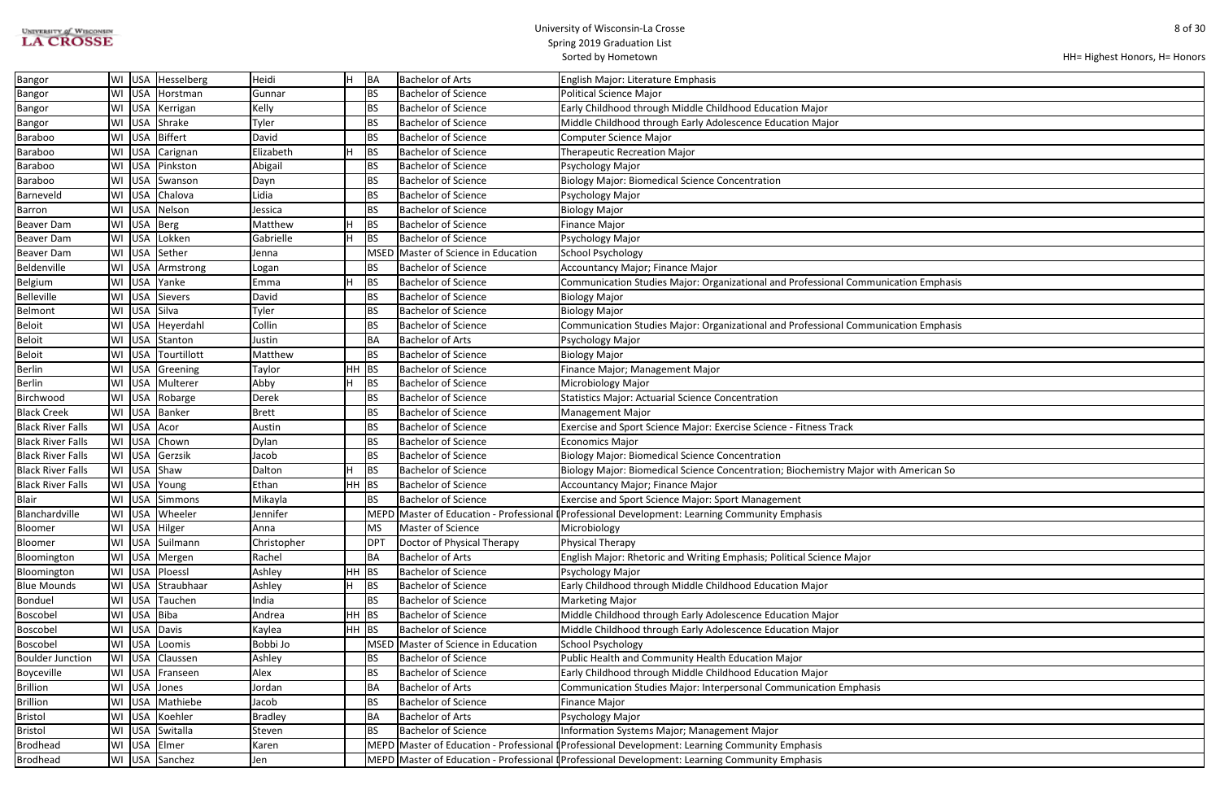# UNIVERSITY of WISCONSIN<br>LA CROSSE

| HH= Highest Honors, H= Honors |  |
|-------------------------------|--|
|-------------------------------|--|

| ation Emphasis |
|----------------|
|                |
|                |
| ation Emphasis |
|                |
|                |
|                |
|                |
|                |
|                |
|                |
|                |
|                |
|                |
| American So    |
|                |
|                |
|                |
|                |
|                |
|                |
|                |
|                |
|                |
|                |
|                |
|                |
|                |
|                |
|                |
|                |
|                |
|                |
|                |
|                |
|                |
|                |
|                |
|                |

| <b>Bangor</b>            |             | WI USA   Hesselberg | Heidi          |         | BA         | <b>Bachelor of Arts</b>             | English Major: Literature Emphasis                                                             |
|--------------------------|-------------|---------------------|----------------|---------|------------|-------------------------------------|------------------------------------------------------------------------------------------------|
| <b>Bangor</b>            |             | WI USA Horstman     | Gunnar         |         | <b>BS</b>  | Bachelor of Science                 | <b>Political Science Major</b>                                                                 |
| <b>Bangor</b>            |             | WI   USA   Kerrigan | Kelly          |         | <b>BS</b>  | <b>Bachelor of Science</b>          | Early Childhood through Middle Childhood Education Major                                       |
| <b>Bangor</b>            |             | WI USA Shrake       | Tyler          |         | <b>BS</b>  | <b>Bachelor of Science</b>          | Middle Childhood through Early Adolescence Education Major                                     |
| Baraboo                  |             | WI USA Biffert      | David          |         | <b>BS</b>  | <b>Bachelor of Science</b>          | Computer Science Major                                                                         |
| Baraboo                  |             | WI   USA   Carignan | Elizabeth      |         | <b>BS</b>  | <b>Bachelor of Science</b>          | <b>Therapeutic Recreation Major</b>                                                            |
| Baraboo                  |             | WI USA Pinkston     | Abigail        |         | <b>BS</b>  | <b>Bachelor of Science</b>          | Psychology Major                                                                               |
| Baraboo                  |             | WI   USA   Swanson  | Dayn           |         | <b>BS</b>  | <b>Bachelor of Science</b>          | <b>Biology Major: Biomedical Science Concentration</b>                                         |
| Barneveld                |             | WI USA Chalova      | Lidia          |         | <b>BS</b>  | <b>Bachelor of Science</b>          | Psychology Major                                                                               |
| Barron                   |             | WI USA Nelson       | Jessica        |         | <b>BS</b>  | <b>Bachelor of Science</b>          | <b>Biology Major</b>                                                                           |
| Beaver Dam               |             | WI USA Berg         | Matthew        |         | BS         | <b>Bachelor of Science</b>          | <b>Finance Major</b>                                                                           |
| <b>Beaver Dam</b>        |             | WI USA Lokken       | Gabrielle      |         | <b>BS</b>  | <b>Bachelor of Science</b>          | Psychology Major                                                                               |
| Beaver Dam               |             | WI USA Sether       | Jenna          |         |            | MSED Master of Science in Education | <b>School Psychology</b>                                                                       |
| Beldenville              |             | WI USA Armstrong    | Logan          |         | <b>BS</b>  | <b>Bachelor of Science</b>          | Accountancy Major; Finance Major                                                               |
| Belgium                  | WI USA      | Yanke               | Emma           |         | <b>BS</b>  | <b>Bachelor of Science</b>          | Communication Studies Major: Organizational and Professional Communication Emphasis            |
| <b>Belleville</b>        |             | WI USA Sievers      | David          |         | <b>BS</b>  | Bachelor of Science                 | <b>Biology Major</b>                                                                           |
| Belmont                  |             | WI USA Silva        | Tyler          |         | <b>BS</b>  | <b>Bachelor of Science</b>          | <b>Biology Major</b>                                                                           |
| <b>Beloit</b>            |             | WI USA Heyerdahl    | Collin         |         | <b>BS</b>  | <b>Bachelor of Science</b>          | Communication Studies Major: Organizational and Professional Communication Emphasis            |
| <b>Beloit</b>            |             | WI USA Stanton      | Justin         |         | ВA         | <b>Bachelor of Arts</b>             | Psychology Major                                                                               |
| Beloit                   |             | WI USA Tourtillott  | Matthew        |         | <b>BS</b>  | <b>Bachelor of Science</b>          | <b>Biology Major</b>                                                                           |
| <b>Berlin</b>            |             | WI USA Greening     | Taylor         | HH      | <b>BS</b>  | <b>Bachelor of Science</b>          | Finance Major; Management Major                                                                |
| <b>Berlin</b>            |             | WI USA Multerer     | Abby           |         | <b>BS</b>  | <b>Bachelor of Science</b>          | Microbiology Major                                                                             |
| Birchwood                |             | WI USA Robarge      | Derek          |         | <b>BS</b>  | <b>Bachelor of Science</b>          | <b>Statistics Major: Actuarial Science Concentration</b>                                       |
| <b>Black Creek</b>       |             | WI USA Banker       | <b>Brett</b>   |         | <b>BS</b>  | <b>Bachelor of Science</b>          | <b>Management Major</b>                                                                        |
| <b>Black River Falls</b> | WI USA Acor |                     | Austin         |         | <b>BS</b>  | <b>Bachelor of Science</b>          | Exercise and Sport Science Major: Exercise Science - Fitness Track                             |
| <b>Black River Falls</b> |             | WI USA Chown        | Dylan          |         | <b>BS</b>  | <b>Bachelor of Science</b>          | <b>Economics Major</b>                                                                         |
| <b>Black River Falls</b> | WI USA      | Gerzsik             | Jacob          |         | <b>BS</b>  | <b>Bachelor of Science</b>          | <b>Biology Major: Biomedical Science Concentration</b>                                         |
| <b>Black River Falls</b> | WI USA      | Shaw                | Dalton         |         | <b>BS</b>  | <b>Bachelor of Science</b>          | Biology Major: Biomedical Science Concentration; Biochemistry Major with American So           |
| <b>Black River Falls</b> |             | WI USA Young        | Ethan          | HH      | <b>BS</b>  | <b>Bachelor of Science</b>          | Accountancy Major; Finance Major                                                               |
| Blair                    |             | WI USA Simmons      | Mikayla        |         | <b>BS</b>  | <b>Bachelor of Science</b>          | <b>Exercise and Sport Science Major: Sport Management</b>                                      |
| Blanchardville           |             | WI USA Wheeler      | Jennifer       |         |            |                                     | MEPD Master of Education - Professional (Professional Development: Learning Community Emphasis |
| Bloomer                  |             | WI USA Hilger       | Anna           |         | <b>MS</b>  | Master of Science                   | Microbiology                                                                                   |
| Bloomer                  |             | WI USA Suilmann     | Christopher    |         | <b>DPT</b> | Doctor of Physical Therapy          | Physical Therapy                                                                               |
| Bloomington              |             | WI USA Mergen       | Rachel         |         | ΒA         | <b>Bachelor of Arts</b>             | English Major: Rhetoric and Writing Emphasis; Political Science Major                          |
| Bloomington              |             | WI USA Ploessl      | Ashley         | HH      | BS         | <b>Bachelor of Science</b>          | Psychology Major                                                                               |
| <b>Blue Mounds</b>       |             | WI USA Straubhaar   | Ashley         |         | <b>BS</b>  | <b>Bachelor of Science</b>          | Early Childhood through Middle Childhood Education Major                                       |
| Bonduel                  |             | WI USA Tauchen      | India          |         | <b>BS</b>  | <b>Bachelor of Science</b>          | <b>Marketing Major</b>                                                                         |
| Boscobel                 | WI USA Biba |                     | Andrea         | $HH$ BS |            | <b>Bachelor of Science</b>          | Middle Childhood through Early Adolescence Education Major                                     |
| Boscobel                 |             | WI USA Davis        | Kaylea         | $HH$ BS |            | <b>Bachelor of Science</b>          | Middle Childhood through Early Adolescence Education Major                                     |
| Boscobel                 | WI USA      | Loomis              | Bobbi Jo       |         |            | MSED Master of Science in Education | <b>School Psychology</b>                                                                       |
| <b>Boulder Junction</b>  |             | WI USA Claussen     | Ashley         |         | BS         | <b>Bachelor of Science</b>          | Public Health and Community Health Education Major                                             |
| Boyceville               |             | WI   USA   Franseen | Alex           |         | BS         | <b>Bachelor of Science</b>          | Early Childhood through Middle Childhood Education Major                                       |
| <b>Brillion</b>          |             | WI USA Jones        | Jordan         |         | <b>BA</b>  | <b>Bachelor of Arts</b>             | Communication Studies Major: Interpersonal Communication Emphasis                              |
| <b>Brillion</b>          |             | WI USA Mathiebe     | Jacob          |         | ΒS         | <b>Bachelor of Science</b>          | <b>Finance Major</b>                                                                           |
| <b>Bristol</b>           |             | WI USA Koehler      | <b>Bradley</b> |         | <b>BA</b>  | <b>Bachelor of Arts</b>             | Psychology Major                                                                               |
| <b>Bristol</b>           |             | WI USA Switalla     | Steven         |         | BS         | <b>Bachelor of Science</b>          | Information Systems Major; Management Major                                                    |
| <b>Brodhead</b>          |             | WI USA Elmer        | Karen          |         |            |                                     | MEPD Master of Education - Professional (Professional Development: Learning Community Emphasis |
| Brodhead                 |             | WI USA Sanchez      | Jen            |         |            |                                     | MEPD Master of Education - Professional (Professional Development: Learning Community Emphasis |
|                          |             |                     |                |         |            |                                     |                                                                                                |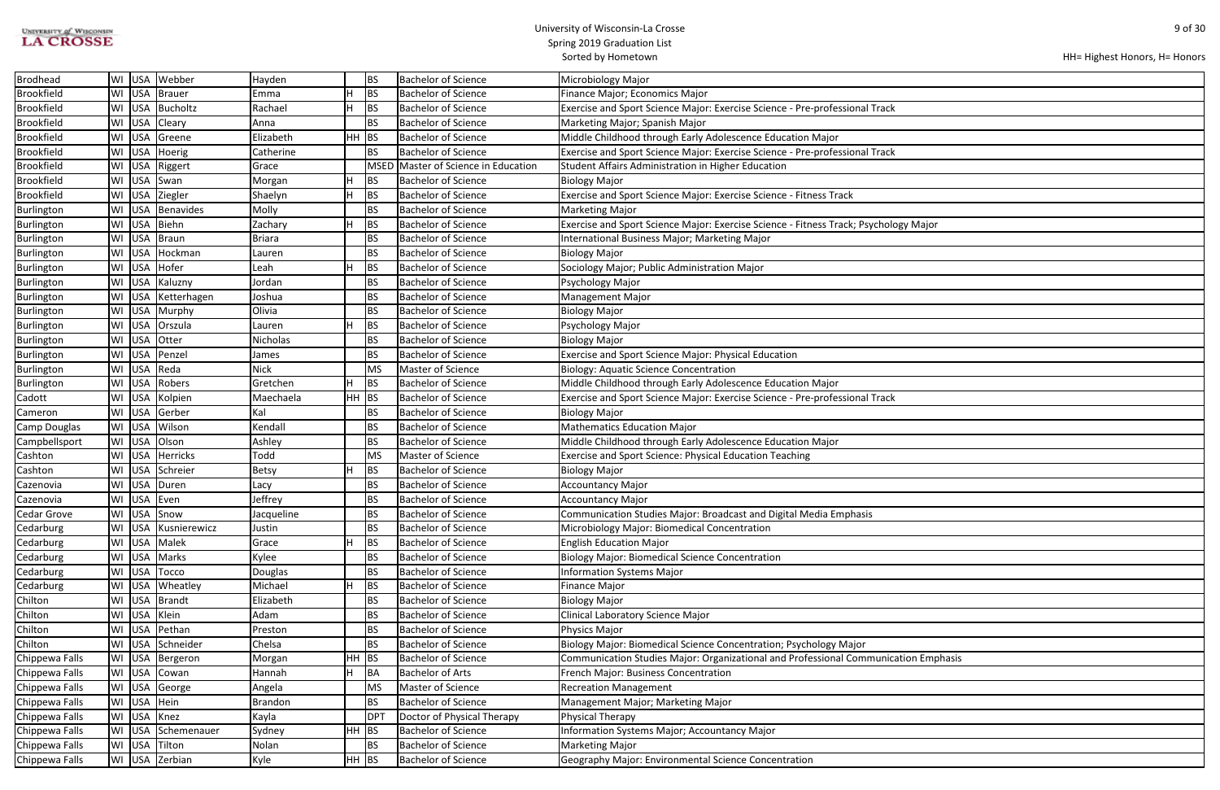| UNIVERSITY of WISCONSIN |  |
|-------------------------|--|
| <b>LA CROSSE</b>        |  |

| HH= Highest Honors, H= Honors |  |
|-------------------------------|--|
|-------------------------------|--|

| ogy Major      |  |
|----------------|--|
|                |  |
|                |  |
|                |  |
|                |  |
|                |  |
|                |  |
|                |  |
|                |  |
|                |  |
|                |  |
|                |  |
|                |  |
|                |  |
|                |  |
|                |  |
|                |  |
|                |  |
|                |  |
|                |  |
|                |  |
|                |  |
|                |  |
|                |  |
|                |  |
|                |  |
|                |  |
|                |  |
|                |  |
|                |  |
|                |  |
|                |  |
|                |  |
| ation Emphasis |  |
|                |  |
|                |  |
|                |  |
|                |  |
|                |  |
|                |  |
|                |  |

| <b>Brodhead</b>   | WI USA | Webber          | Hayden         |         | BS         | <b>Bachelor of Science</b>          | Microbiology Major                                                                   |
|-------------------|--------|-----------------|----------------|---------|------------|-------------------------------------|--------------------------------------------------------------------------------------|
| <b>Brookfield</b> | WI USA | Brauer          | Emma           |         | <b>BS</b>  | <b>Bachelor of Science</b>          | Finance Major; Economics Major                                                       |
| <b>Brookfield</b> | WI USA | Bucholtz        | Rachael        |         | <b>BS</b>  | <b>Bachelor of Science</b>          | Exercise and Sport Science Major: Exercise Science - Pre-professional Track          |
| <b>Brookfield</b> | WI USA | Cleary          | Anna           |         | BS         | Bachelor of Science                 | Marketing Major; Spanish Major                                                       |
| <b>Brookfield</b> | WI USA | Greene          | Elizabeth      | $HH$ BS |            | <b>Bachelor of Science</b>          | Middle Childhood through Early Adolescence Education Major                           |
| <b>Brookfield</b> | WI USA | Hoerig          | Catherine      |         | <b>BS</b>  | Bachelor of Science                 | Exercise and Sport Science Major: Exercise Science - Pre-professional Track          |
| <b>Brookfield</b> | WI USA | Riggert         | Grace          |         |            | MSED Master of Science in Education | Student Affairs Administration in Higher Education                                   |
| <b>Brookfield</b> | WI USA | Swan            | Morgan         |         | BS         | <b>Bachelor of Science</b>          | <b>Biology Major</b>                                                                 |
| <b>Brookfield</b> | WI USA | Ziegler         | Shaelyn        |         | BS         | <b>Bachelor of Science</b>          | Exercise and Sport Science Major: Exercise Science - Fitness Track                   |
| Burlington        | WI USA | Benavides       | Molly          |         | <b>BS</b>  | <b>Bachelor of Science</b>          | <b>Marketing Major</b>                                                               |
| Burlington        | WI USA | Biehn           | Zachary        |         | BS         | <b>Bachelor of Science</b>          | Exercise and Sport Science Major: Exercise Science - Fitness Track; Psychology Major |
| Burlington        | WI USA | Braun           | <b>Briara</b>  |         | BS         | Bachelor of Science                 | International Business Major; Marketing Major                                        |
| Burlington        | WI USA | Hockman         | Lauren         |         | <b>BS</b>  | <b>Bachelor of Science</b>          | <b>Biology Major</b>                                                                 |
| Burlington        | WI USA | Hofer           | Leah           |         | BS         | <b>Bachelor of Science</b>          | Sociology Major; Public Administration Major                                         |
| Burlington        | WI USA | Kaluzny         | Jordan         |         | <b>BS</b>  | <b>Bachelor of Science</b>          | Psychology Major                                                                     |
| Burlington        | WI USA | Ketterhagen     | Joshua         |         | BS         | Bachelor of Science                 | Management Major                                                                     |
| Burlington        | WI USA | Murphy          | Olivia         |         | BS         | <b>Bachelor of Science</b>          | <b>Biology Major</b>                                                                 |
| Burlington        | WI USA | Orszula         | Lauren         |         | <b>BS</b>  | Bachelor of Science                 | Psychology Major                                                                     |
| Burlington        | WI USA | Otter           | Nicholas       |         | BS         | <b>Bachelor of Science</b>          | <b>Biology Major</b>                                                                 |
| Burlington        | WI USA | Penzel          | James          |         | <b>BS</b>  | <b>Bachelor of Science</b>          | Exercise and Sport Science Major: Physical Education                                 |
| Burlington        | WI USA | Reda            | <b>Nick</b>    |         | MS         | Master of Science                   | <b>Biology: Aquatic Science Concentration</b>                                        |
| Burlington        | WI USA | Robers          | Gretchen       |         | BS         | <b>Bachelor of Science</b>          | Middle Childhood through Early Adolescence Education Major                           |
| Cadott            | WI USA | Kolpien         | Maechaela      | $HH$ BS |            | <b>Bachelor of Science</b>          | Exercise and Sport Science Major: Exercise Science - Pre-professional Track          |
| Cameron           | WI USA | Gerber          | Kal            |         | BS         | <b>Bachelor of Science</b>          | Biology Major                                                                        |
| Camp Douglas      | WI USA | Wilson          | Kendall        |         | <b>BS</b>  | <b>Bachelor of Science</b>          | Mathematics Education Major                                                          |
| Campbellsport     | WI USA | Olson           | Ashley         |         | <b>BS</b>  | <b>Bachelor of Science</b>          | Middle Childhood through Early Adolescence Education Major                           |
| Cashton           | WI USA | <b>Herricks</b> | Todd           |         | MS         | Master of Science                   | <b>Exercise and Sport Science: Physical Education Teaching</b>                       |
| Cashton           | WI USA | Schreier        | Betsy          |         | BS         | <b>Bachelor of Science</b>          | <b>Biology Major</b>                                                                 |
| Cazenovia         | WI USA | Duren           | Lacy           |         | <b>BS</b>  | <b>Bachelor of Science</b>          | Accountancy Major                                                                    |
| Cazenovia         | WI USA | Even            | Jeffrey        |         | <b>BS</b>  | <b>Bachelor of Science</b>          | Accountancy Major                                                                    |
| Cedar Grove       |        | WI USA Snow     | Jacqueline     |         | BS         | Bachelor of Science                 | Communication Studies Major: Broadcast and Digital Media Emphasis                    |
| Cedarburg         | WI USA | Kusnierewicz    | Justin         |         | BS         | <b>Bachelor of Science</b>          | Microbiology Major: Biomedical Concentration                                         |
| Cedarburg         | WI USA | Malek           | Grace          |         | BS         | <b>Bachelor of Science</b>          | <b>English Education Major</b>                                                       |
| Cedarburg         | WI USA | Marks           | Kylee          |         | <b>BS</b>  | <b>Bachelor of Science</b>          | <b>Biology Major: Biomedical Science Concentration</b>                               |
| Cedarburg         | WI USA | Tocco           | Douglas        |         | BS         | <b>Bachelor of Science</b>          | <b>Information Systems Major</b>                                                     |
| Cedarburg         | WI USA | Wheatley        | Michael        |         | <b>BS</b>  | <b>Bachelor of Science</b>          | Finance Major                                                                        |
| Chilton           | WI USA | Brandt          | Elizabeth      |         | BS         | <b>Bachelor of Science</b>          | <b>Biology Major</b>                                                                 |
| Chilton           | WI USA | Klein           | Adam           |         | BS         | <b>Bachelor of Science</b>          | Clinical Laboratory Science Major                                                    |
| Chilton           | WI USA | Pethan          | Preston        |         | BS         | <b>Bachelor of Science</b>          | Physics Major                                                                        |
| Chilton           | WI USA | Schneider       | Chelsa         |         | BS         | <b>Bachelor of Science</b>          | Biology Major: Biomedical Science Concentration; Psychology Major                    |
| Chippewa Falls    | WI USA | Bergeron        | Morgan         | $HH$ BS |            | <b>Bachelor of Science</b>          | Communication Studies Major: Organizational and Professional Communication Emphasis  |
| Chippewa Falls    | WI USA | Cowan           | Hannah         |         | BA         | <b>Bachelor of Arts</b>             | French Major: Business Concentration                                                 |
| Chippewa Falls    | WI USA | George          | Angela         |         | <b>MS</b>  | Master of Science                   | <b>Recreation Management</b>                                                         |
| Chippewa Falls    | WI USA | Hein            | <b>Brandon</b> |         | <b>BS</b>  | <b>Bachelor of Science</b>          | Management Major; Marketing Major                                                    |
| Chippewa Falls    | WI USA | Knez            | Kayla          |         | <b>DPT</b> | Doctor of Physical Therapy          | Physical Therapy                                                                     |
| Chippewa Falls    | WI USA | Schemenauer     | Sydney         | $HH$ BS |            | <b>Bachelor of Science</b>          | Information Systems Major; Accountancy Major                                         |
| Chippewa Falls    | WI USA | Tilton          | Nolan          |         | BS         | <b>Bachelor of Science</b>          | Marketing Major                                                                      |
| Chippewa Falls    | WI USA | Zerbian         | Kyle           | $HH$ BS |            | <b>Bachelor of Science</b>          | Geography Major: Environmental Science Concentration                                 |
|                   |        |                 |                |         |            |                                     |                                                                                      |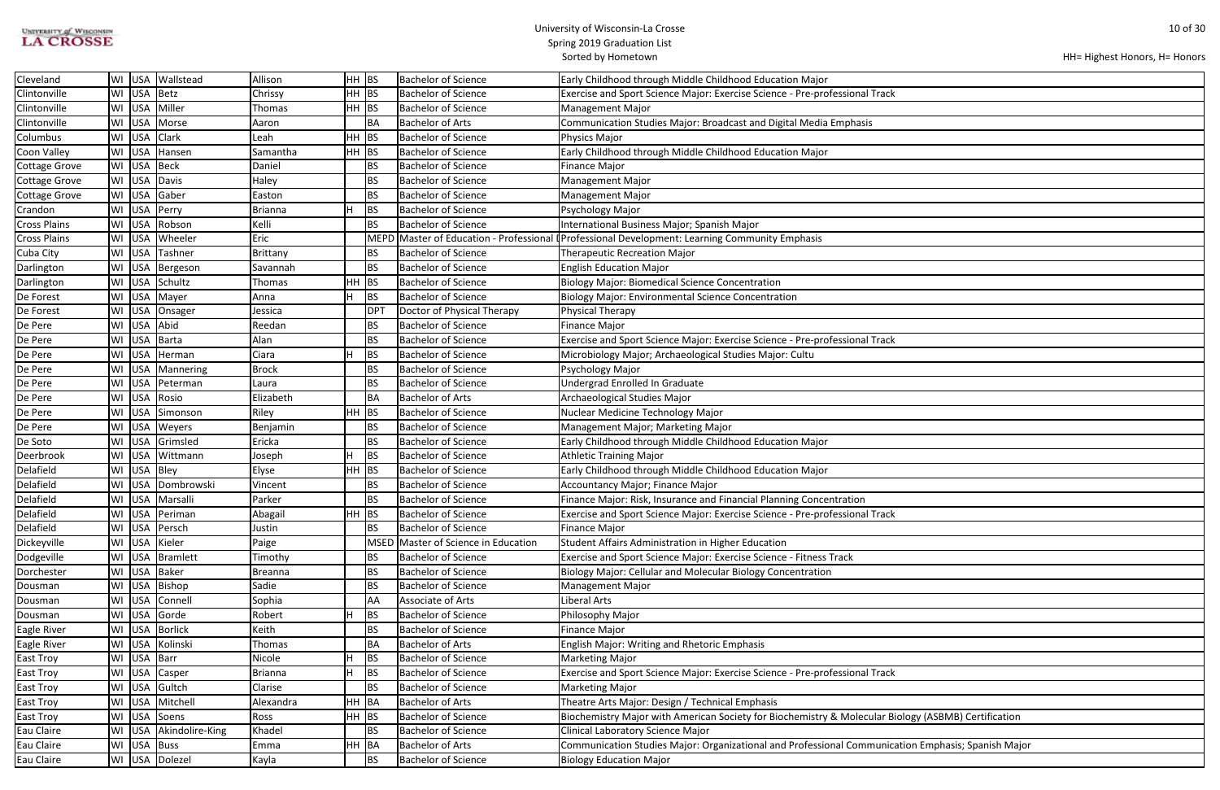| <b>UNIVERSITY of WISCONSIN</b> |  |
|--------------------------------|--|
| <b>LA CROSSE</b>               |  |

```
HH= Highest Honors, H= Honors
```

| $\overline{\phantom{0}}$       |  |
|--------------------------------|--|
|                                |  |
|                                |  |
|                                |  |
|                                |  |
|                                |  |
|                                |  |
|                                |  |
|                                |  |
|                                |  |
|                                |  |
|                                |  |
|                                |  |
|                                |  |
|                                |  |
|                                |  |
|                                |  |
| k                              |  |
|                                |  |
|                                |  |
|                                |  |
|                                |  |
|                                |  |
|                                |  |
|                                |  |
|                                |  |
|                                |  |
|                                |  |
|                                |  |
| $\checkmark$                   |  |
|                                |  |
|                                |  |
|                                |  |
|                                |  |
|                                |  |
|                                |  |
|                                |  |
|                                |  |
|                                |  |
|                                |  |
|                                |  |
| $\checkmark$                   |  |
|                                |  |
|                                |  |
| Biology (ASBMB) Certification  |  |
|                                |  |
| cation Emphasis; Spanish Major |  |
|                                |  |

| Cleveland            | WI | <b>USA</b> | Wallstead         | Allison   | $HH$ BS |                 | <b>Bachelor of Science</b>     | Early Childhood through Middle Childhood Education Major                                            |
|----------------------|----|------------|-------------------|-----------|---------|-----------------|--------------------------------|-----------------------------------------------------------------------------------------------------|
| Clintonville         | WI | USA        | <b>Betz</b>       | Chrissy   | HH BS   |                 | <b>Bachelor of Science</b>     | Exercise and Sport Science Major: Exercise Science - Pre-professional Track                         |
| Clintonville         | WI | <b>USA</b> | Miller            | Thomas    | $HH$ BS |                 | <b>Bachelor of Science</b>     | <b>Management Major</b>                                                                             |
| Clintonville         |    | WI USA     | Morse             | Aaron     |         | <b>BA</b>       | <b>Bachelor of Arts</b>        | Communication Studies Major: Broadcast and Digital Media Emphasis                                   |
| Columbus             | WI | USA        | Clark             | Leah      | HH BS   |                 | <b>Bachelor of Science</b>     | Physics Major                                                                                       |
| Coon Valley          |    | WI USA     | Hansen            | Samantha  | HH  BS  |                 | <b>Bachelor of Science</b>     | Early Childhood through Middle Childhood Education Major                                            |
| <b>Cottage Grove</b> | WI | USA        | <b>Beck</b>       | Daniel    |         | BS              | <b>Bachelor of Science</b>     | <b>Finance Major</b>                                                                                |
| <b>Cottage Grove</b> |    | WI USA     | Davis             | Haley     |         | BS              | <b>Bachelor of Science</b>     | <b>Management Major</b>                                                                             |
| <b>Cottage Grove</b> | WI | USA        | Gaber             | Easton    |         | BS              | <b>Bachelor of Science</b>     | <b>Management Major</b>                                                                             |
| Crandon              | WI | USA        | Perry             | Brianna   |         | BS              | <b>Bachelor of Science</b>     | Psychology Major                                                                                    |
| <b>Cross Plains</b>  |    | WI USA     | Robson            | Kelli     |         | BS              | <b>Bachelor of Science</b>     | International Business Major; Spanish Major                                                         |
| <b>Cross Plains</b>  |    | WI USA     | Wheeler           | Eric      |         |                 |                                | MEPD Master of Education - Professional (Professional Development: Learning Community Emphasis      |
| Cuba City            |    | WI USA     | Tashner           | Brittany  |         | BS              | <b>Bachelor of Science</b>     | <b>Therapeutic Recreation Major</b>                                                                 |
| Darlington           | WI | USA        | Bergeson          | Savannah  |         | BS              | <b>Bachelor of Science</b>     | <b>English Education Major</b>                                                                      |
| Darlington           | WI | USA        | Schultz           | Thomas    | $HH$ BS |                 | <b>Bachelor of Science</b>     | Biology Major: Biomedical Science Concentration                                                     |
| De Forest            | WI | USA        | Mayer             | Anna      |         | BS              | <b>Bachelor of Science</b>     | Biology Major: Environmental Science Concentration                                                  |
| De Forest            | WI |            | USA Onsager       | Jessica   |         | DP <sup>-</sup> | Doctor of Physical Therapy     | <b>Physical Therapy</b>                                                                             |
| De Pere              | WI | USA        | Abid              | Reedan    |         | BS              | <b>Bachelor of Science</b>     | <b>Finance Major</b>                                                                                |
| De Pere              | WI | <b>USA</b> | <b>Barta</b>      | Alan      |         | BS              | <b>Bachelor of Science</b>     | Exercise and Sport Science Major: Exercise Science - Pre-professional Track                         |
| De Pere              | WI | USA        | Herman            | Ciara     |         | BS              | <b>Bachelor of Science</b>     | Microbiology Major; Archaeological Studies Major: Cultu                                             |
| De Pere              | WI | <b>USA</b> | Mannering         | Brock     |         | BS              | <b>Bachelor of Science</b>     | Psychology Major                                                                                    |
| De Pere              | WI | USA        | Peterman          | Laura     |         | BS              | <b>Bachelor of Science</b>     | Undergrad Enrolled In Graduate                                                                      |
| De Pere              |    | WI USA     | Rosio             | Elizabeth |         | <b>BA</b>       | <b>Bachelor of Arts</b>        | Archaeological Studies Major                                                                        |
| De Pere              | WI | USA        | Simonson          | Riley     | HH BS   |                 | <b>Bachelor of Science</b>     | Nuclear Medicine Technology Major                                                                   |
| De Pere              | WI | USA        | Weyers            | Benjamin  |         | BS              | <b>Bachelor of Science</b>     | Management Major; Marketing Major                                                                   |
| De Soto              | WI | USA        | Grimsled          | Ericka    |         | BS              | <b>Bachelor of Science</b>     | Early Childhood through Middle Childhood Education Major                                            |
| Deerbrook            | WI | <b>USA</b> | Wittmann          | Joseph    |         | BS              | <b>Bachelor of Science</b>     | <b>Athletic Training Major</b>                                                                      |
| Delafield            | WI | USA        | Bley              | Elyse     | $HH$ BS |                 | <b>Bachelor of Science</b>     | Early Childhood through Middle Childhood Education Major                                            |
| Delafield            |    |            | WI USA Dombrowski | Vincent   |         | BS              | <b>Bachelor of Science</b>     | Accountancy Major; Finance Major                                                                    |
| Delafield            | WI |            | USA Marsalli      | Parker    |         | BS              | <b>Bachelor of Science</b>     | Finance Major: Risk, Insurance and Financial Planning Concentration                                 |
| Delafield            |    |            | WI USA Periman    | Abagail   | HH BS   |                 | <b>Bachelor of Science</b>     | Exercise and Sport Science Major: Exercise Science - Pre-professional Track                         |
| Delafield            |    |            | WI USA Persch     | Justin    |         | BS              | <b>Bachelor of Science</b>     | <b>Finance Major</b>                                                                                |
| Dickeyville          | WI | USA        | Kieler            | Paige     |         | MSED            | Master of Science in Education | Student Affairs Administration in Higher Education                                                  |
| Dodgeville           | WI | USA        | <b>Bramlett</b>   | Timothy   |         | <b>BS</b>       | <b>Bachelor of Science</b>     | Exercise and Sport Science Major: Exercise Science - Fitness Track                                  |
| Dorchester           | WI | USA        | <b>Baker</b>      | Breanna   |         | BS              | <b>Bachelor of Science</b>     | Biology Major: Cellular and Molecular Biology Concentration                                         |
| Dousman              | WI | <b>USA</b> | Bishop            | Sadie     |         | BS              | <b>Bachelor of Science</b>     | <b>Management Major</b>                                                                             |
| Dousman              |    | WI USA     | Connell           | Sophia    |         | <b>AA</b>       | Associate of Arts              | Liberal Arts                                                                                        |
| Dousman              | WI | <b>USA</b> | Gorde             | Robert    |         | BS              | <b>Bachelor of Science</b>     | Philosophy Major                                                                                    |
| Eagle River          |    | WI USA     | <b>Borlick</b>    | Keith     |         | BS              | <b>Bachelor of Science</b>     | <b>Finance Major</b>                                                                                |
| Eagle River          | WI | USA        | Kolinski          | Thomas    |         | <b>BA</b>       | <b>Bachelor of Arts</b>        | <b>English Major: Writing and Rhetoric Emphasis</b>                                                 |
| East Troy            | WI | USA        | Barr              | Nicole    |         | BS              | <b>Bachelor of Science</b>     | <b>Marketing Major</b>                                                                              |
| <b>East Troy</b>     | WI | USA        | Casper            | Brianna   |         | <b>BS</b>       | <b>Bachelor of Science</b>     | Exercise and Sport Science Major: Exercise Science - Pre-professional Track                         |
| <b>East Troy</b>     | WI | <b>USA</b> | Gultch            | Clarise   |         | BS              | <b>Bachelor of Science</b>     | <b>Marketing Major</b>                                                                              |
| East Troy            | WI | USA        | Mitchell          | Alexandra | HH BA   |                 | <b>Bachelor of Arts</b>        | Theatre Arts Major: Design / Technical Emphasis                                                     |
| East Troy            | WI | USA        | Soens             | Ross      | HH BS   |                 | <b>Bachelor of Science</b>     | Biochemistry Major with American Society for Biochemistry & Molecular Biology (ASBMB) Certification |
| Eau Claire           | WI | USA        | Akindolire-King   | Khadel    |         | BS              | <b>Bachelor of Science</b>     | Clinical Laboratory Science Major                                                                   |
| Eau Claire           | WI | <b>USA</b> | <b>Buss</b>       | Emma      | HH  BA  |                 | <b>Bachelor of Arts</b>        | Communication Studies Major: Organizational and Professional Communication Emphasis; Spanish Major  |
| Eau Claire           |    |            | WI USA Dolezel    | Kayla     |         | <b>BS</b>       | <b>Bachelor of Science</b>     | <b>Biology Education Major</b>                                                                      |
|                      |    |            |                   |           |         |                 |                                |                                                                                                     |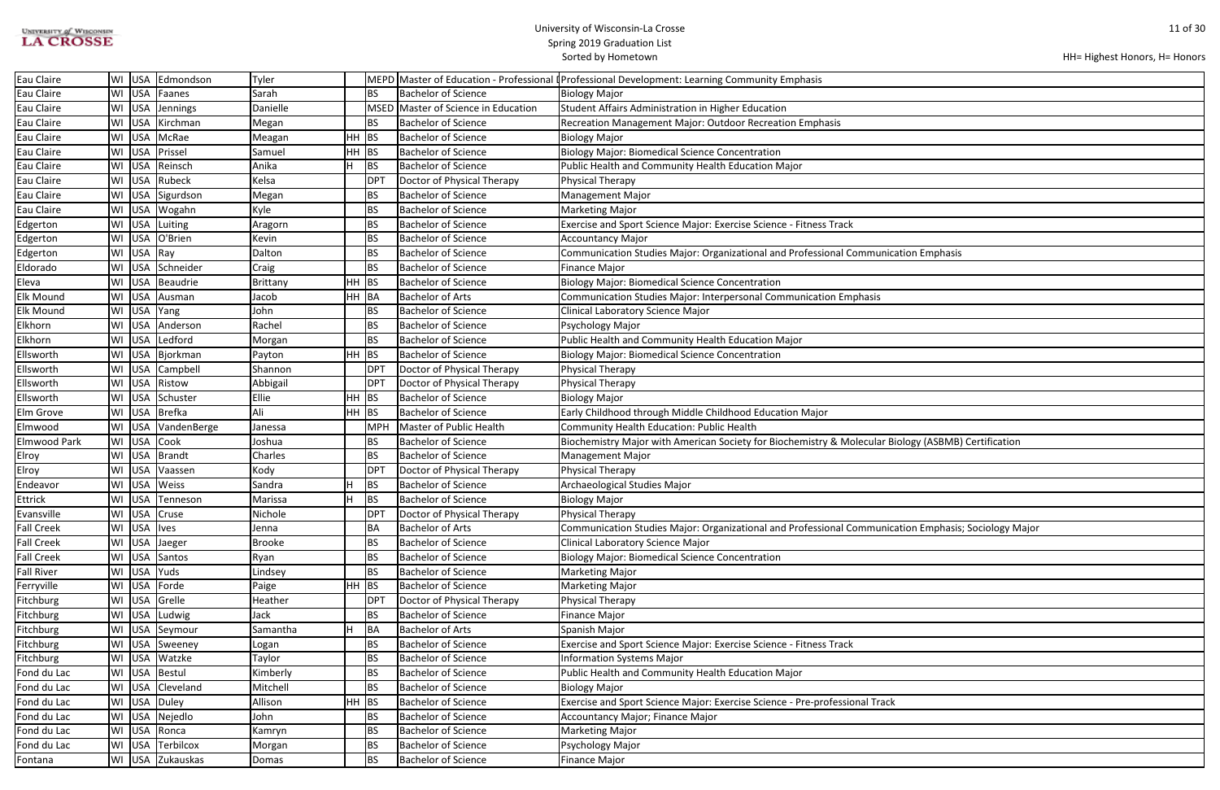| <b>UNIVERSITY of WISCONSIN</b> |  |
|--------------------------------|--|
| <b>LA CROSSE</b>               |  |

```
HH= Highest Honors, H= Honors
```

| cation Emphasis                  |
|----------------------------------|
|                                  |
|                                  |
|                                  |
|                                  |
|                                  |
|                                  |
|                                  |
|                                  |
|                                  |
|                                  |
|                                  |
| Biology (ASBMB) Certification    |
|                                  |
|                                  |
|                                  |
|                                  |
|                                  |
| cation Emphasis; Sociology Major |
|                                  |
|                                  |
|                                  |
|                                  |
|                                  |
|                                  |
|                                  |
|                                  |
|                                  |
|                                  |
|                                  |
| $\checkmark$                     |
|                                  |
|                                  |
|                                  |
|                                  |

| Eau Claire          |    |              | WI USA Edmondson   | Tyler         |       |             |                                | MEPD Master of Education - Professional I Professional Development: Learning Community Emphasis      |
|---------------------|----|--------------|--------------------|---------------|-------|-------------|--------------------------------|------------------------------------------------------------------------------------------------------|
| Eau Claire          |    |              | WI USA Faanes      | Sarah         |       | <b>BS</b>   | <b>Bachelor of Science</b>     | <b>Biology Major</b>                                                                                 |
| Eau Claire          | WI |              | USA Jennings       | Danielle      |       | <b>MSED</b> | Master of Science in Education | Student Affairs Administration in Higher Education                                                   |
| Eau Claire          | WI | <b>USA</b>   | Kirchman           | Megan         |       | BS.         | <b>Bachelor of Science</b>     | Recreation Management Major: Outdoor Recreation Emphasis                                             |
| Eau Claire          |    | WI USA       | McRae              | Meagan        | HH    | <b>BS</b>   | <b>Bachelor of Science</b>     | <b>Biology Major</b>                                                                                 |
| Eau Claire          | WI | <b>USA</b>   | Prissel            | Samuel        | HH    | <b>BS</b>   | <b>Bachelor of Science</b>     | <b>Biology Major: Biomedical Science Concentration</b>                                               |
| Eau Claire          | WI | <b>USA</b>   | Reinsch            | Anika         | Iн    | BS          | <b>Bachelor of Science</b>     | Public Health and Community Health Education Major                                                   |
| Eau Claire          | WI |              | USA Rubeck         | Kelsa         |       | DPT         | Doctor of Physical Therapy     | <b>Physical Therapy</b>                                                                              |
| Eau Claire          | WI |              | USA Sigurdson      | Megan         |       | <b>BS</b>   | <b>Bachelor of Science</b>     | <b>Management Major</b>                                                                              |
| Eau Claire          | WI |              | USA Wogahn         | Kyle          |       | <b>BS</b>   | <b>Bachelor of Science</b>     | <b>Marketing Major</b>                                                                               |
| Edgerton            | WI |              | USA Luiting        | Aragorn       |       | <b>BS</b>   | <b>Bachelor of Science</b>     | Exercise and Sport Science Major: Exercise Science - Fitness Track                                   |
| Edgerton            |    |              | WI USA O'Brien     | Kevin         |       | <b>BS</b>   | <b>Bachelor of Science</b>     | <b>Accountancy Major</b>                                                                             |
| Edgerton            | WI | USA Ray      |                    | Dalton        |       | <b>BS</b>   | <b>Bachelor of Science</b>     | Communication Studies Major: Organizational and Professional Communication Emphasis                  |
| Eldorado            |    |              | WI USA Schneider   | Craig         |       | <b>BS</b>   | <b>Bachelor of Science</b>     | <b>Finance Major</b>                                                                                 |
| Eleva               | WI |              | USA Beaudrie       | Brittany      | HH BS |             | <b>Bachelor of Science</b>     | <b>Biology Major: Biomedical Science Concentration</b>                                               |
| Elk Mound           | WI | <b>USA</b>   | Ausman             | Jacob         | HH BA |             | <b>Bachelor of Arts</b>        | Communication Studies Major: Interpersonal Communication Emphasis                                    |
| <b>Elk Mound</b>    | WI | USA Yang     |                    | John          |       | BS          | <b>Bachelor of Science</b>     | Clinical Laboratory Science Major                                                                    |
| Elkhorn             |    |              | WI USA Anderson    | Rachel        |       | <b>BS</b>   | <b>Bachelor of Science</b>     | Psychology Major                                                                                     |
| Elkhorn             |    |              | WI USA Ledford     | Morgan        |       | <b>BS</b>   | <b>Bachelor of Science</b>     | Public Health and Community Health Education Major                                                   |
| Ellsworth           | WI |              | USA Bjorkman       | Payton        | HH BS |             | <b>Bachelor of Science</b>     | <b>Biology Major: Biomedical Science Concentration</b>                                               |
| Ellsworth           | WI |              | USA Campbell       | Shannon       |       | <b>DPT</b>  | Doctor of Physical Therapy     | Physical Therapy                                                                                     |
| Ellsworth           | WI | <b>USA</b>   | Ristow             | Abbigail      |       | DPT         | Doctor of Physical Therapy     | Physical Therapy                                                                                     |
| Ellsworth           | WI |              | USA Schuster       | Ellie         | HH    | <b>BS</b>   | <b>Bachelor of Science</b>     | <b>Biology Major</b>                                                                                 |
| Elm Grove           |    |              | WI USA Brefka      | Ali           | HH.   | <b>BS</b>   | <b>Bachelor of Science</b>     | Early Childhood through Middle Childhood Education Major                                             |
| Elmwood             | WI |              | USA VandenBerge    | Janessa       |       | <b>MPH</b>  | Master of Public Health        | Community Health Education: Public Health                                                            |
| <b>Elmwood Park</b> |    |              | WI USA Cook        | Joshua        |       | <b>BS</b>   | <b>Bachelor of Science</b>     | Biochemistry Major with American Society for Biochemistry & Molecular Biology (ASBMB) Certification  |
| Elroy               | WI |              | USA Brandt         | Charles       |       | <b>BS</b>   | <b>Bachelor of Science</b>     | <b>Management Major</b>                                                                              |
| Elroy               | WI | <b>USA</b>   | Vaassen            | Kody          |       | <b>DPT</b>  | Doctor of Physical Therapy     | Physical Therapy                                                                                     |
| Endeavor            | WI | <b>USA</b>   | Weiss              | Sandra        |       | BS          | <b>Bachelor of Science</b>     | Archaeological Studies Major                                                                         |
| Ettrick             | WI | <b>USA</b>   | Tenneson           | Marissa       |       | <b>BS</b>   | <b>Bachelor of Science</b>     | <b>Biology Major</b>                                                                                 |
| Evansville          |    |              | WI USA Cruse       | Nichole       |       | <b>DPT</b>  | Doctor of Physical Therapy     | Physical Therapy                                                                                     |
| <b>Fall Creek</b>   |    | WI USA lives |                    | Jenna         |       | BA          | Bachelor of Arts               | Communication Studies Major: Organizational and Professional Communication Emphasis; Sociology Major |
| <b>Fall Creek</b>   |    |              | WI USA Jaeger      | <b>Brooke</b> |       | <b>BS</b>   | <b>Bachelor of Science</b>     | <b>Clinical Laboratory Science Major</b>                                                             |
| <b>Fall Creek</b>   |    |              | WI USA Santos      | Ryan          |       | <b>BS</b>   | <b>Bachelor of Science</b>     | <b>Biology Major: Biomedical Science Concentration</b>                                               |
| <b>Fall River</b>   |    | WI USA Yuds  |                    | Lindsey       |       | <b>BS</b>   | <b>Bachelor of Science</b>     | <b>Marketing Major</b>                                                                               |
| Ferryville          |    |              | WI USA Forde       | Paige         | HH.   | BS          | <b>Bachelor of Science</b>     | <b>Marketing Major</b>                                                                               |
| Fitchburg           |    |              | WI USA Grelle      | Heather       |       | DPT         | Doctor of Physical Therapy     | Physical Therapy                                                                                     |
| <b>Fitchburg</b>    |    |              | WI USA Ludwig      | Jack          |       | <b>BS</b>   | <b>Bachelor of Science</b>     | <b>Finance Major</b>                                                                                 |
| Fitchburg           |    |              | WI USA Seymour     | Samantha      | Iн.   | BA          | <b>Bachelor of Arts</b>        | Spanish Major                                                                                        |
| Fitchburg           |    |              | WI   USA   Sweeney | Logan         |       | BS.         | <b>Bachelor of Science</b>     | Exercise and Sport Science Major: Exercise Science - Fitness Track                                   |
| Fitchburg           |    |              | WI USA Watzke      | Taylor        |       | <b>BS</b>   | <b>Bachelor of Science</b>     | Information Systems Major                                                                            |
| Fond du Lac         |    |              | WI USA Bestul      | Kimberly      |       | BS.         | <b>Bachelor of Science</b>     | Public Health and Community Health Education Major                                                   |
| Fond du Lac         |    |              | WI USA Cleveland   | Mitchell      |       | BS          | <b>Bachelor of Science</b>     | <b>Biology Major</b>                                                                                 |
| Fond du Lac         |    |              | WI USA Duley       | Allison       | HH BS |             | <b>Bachelor of Science</b>     | Exercise and Sport Science Major: Exercise Science - Pre-professional Track                          |
| Fond du Lac         |    |              | WI USA Nejedlo     | John          |       | <b>BS</b>   | <b>Bachelor of Science</b>     | Accountancy Major; Finance Major                                                                     |
| Fond du Lac         | WI |              | USA Ronca          | Kamryn        |       | <b>BS</b>   | <b>Bachelor of Science</b>     | <b>Marketing Major</b>                                                                               |
| Fond du Lac         | WI |              | USA Terbilcox      | Morgan        |       | <b>BS</b>   | <b>Bachelor of Science</b>     | Psychology Major                                                                                     |
| Fontana             |    |              | WI USA Zukauskas   | Domas         |       | BS          | <b>Bachelor of Science</b>     | Finance Major                                                                                        |
|                     |    |              |                    |               |       |             |                                |                                                                                                      |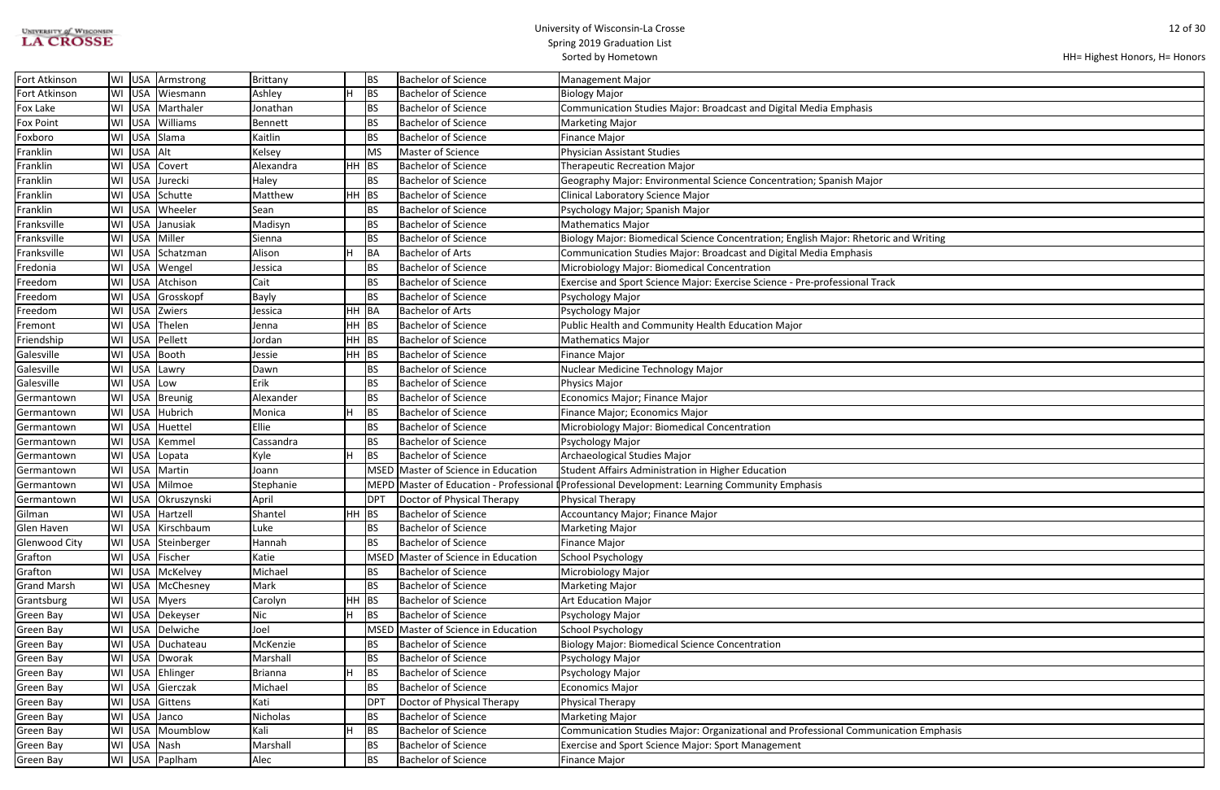| <b>UNIVERSITY of WISCONSIN</b> |  |
|--------------------------------|--|
| <b>LA CROSSE</b>               |  |

## University of Wisconsin-La Crosse Spring 2019 Graduation List

Sorted by Hometown

| and Writing    |  |
|----------------|--|
|                |  |
|                |  |
|                |  |
|                |  |
|                |  |
|                |  |
|                |  |
|                |  |
|                |  |
|                |  |
|                |  |
|                |  |
|                |  |
|                |  |
|                |  |
|                |  |
|                |  |
|                |  |
|                |  |
|                |  |
|                |  |
|                |  |
|                |  |
|                |  |
|                |  |
|                |  |
|                |  |
|                |  |
|                |  |
|                |  |
|                |  |
|                |  |
|                |  |
|                |  |
|                |  |
|                |  |
|                |  |
| ation Emphasis |  |
|                |  |
|                |  |

| Fort Atkinson        | WI |            | USA Armstrong          | Brittany       |         | <b>BS</b>       | Bachelor of Science                 | <b>Management Major</b>                                                                        |
|----------------------|----|------------|------------------------|----------------|---------|-----------------|-------------------------------------|------------------------------------------------------------------------------------------------|
| Fort Atkinson        | WI | USA        | Wiesmann               | Ashley         |         | BS              | <b>Bachelor of Science</b>          | <b>Biology Major</b>                                                                           |
| Fox Lake             | WI | USA        | Marthaler              | Jonathan       |         | <b>BS</b>       | <b>Bachelor of Science</b>          | Communication Studies Major: Broadcast and Digital Media Emphasis                              |
| <b>Fox Point</b>     | WI | USA        | Williams               | Bennett        |         | <b>BS</b>       | <b>Bachelor of Science</b>          | <b>Marketing Major</b>                                                                         |
| Foxboro              | WI | <b>USA</b> | Slama                  | Kaitlin        |         | <b>BS</b>       | <b>Bachelor of Science</b>          | <b>Finance Major</b>                                                                           |
| Franklin             | WI | USA Alt    |                        | Kelsey         |         | MS              | Master of Science                   | <b>Physician Assistant Studies</b>                                                             |
| Franklin             | WI | USA        | Covert                 | Alexandra      | $HH$ BS |                 | <b>Bachelor of Science</b>          | <b>Therapeutic Recreation Major</b>                                                            |
| Franklin             | WI | <b>USA</b> | Jurecki                | Haley          |         | <b>BS</b>       | <b>Bachelor of Science</b>          | Geography Major: Environmental Science Concentration; Spanish Major                            |
| Franklin             | WI |            | USA Schutte            | Matthew        | $HH$ BS |                 | <b>Bachelor of Science</b>          | Clinical Laboratory Science Major                                                              |
| Franklin             | WI | USA        | Wheeler                | Sean           |         | <b>BS</b>       | <b>Bachelor of Science</b>          | Psychology Major; Spanish Major                                                                |
| Franksville          | WI | <b>USA</b> | Janusiak               | Madisyn        |         | <b>BS</b>       | <b>Bachelor of Science</b>          | <b>Mathematics Major</b>                                                                       |
| Franksville          | WI | <b>USA</b> | Miller                 | Sienna         |         | <b>BS</b>       | <b>Bachelor of Science</b>          | Biology Major: Biomedical Science Concentration; English Major: Rhetoric and Writing           |
| Franksville          | WI |            | USA Schatzman          | Alison         | H       | BA              | <b>Bachelor of Arts</b>             | Communication Studies Major: Broadcast and Digital Media Emphasis                              |
| Fredonia             | WI |            | USA Wengel             | Jessica        |         | <b>BS</b>       | <b>Bachelor of Science</b>          | Microbiology Major: Biomedical Concentration                                                   |
| Freedom              | WI | <b>USA</b> | Atchison               | Cait           |         | <b>BS</b>       | <b>Bachelor of Science</b>          | Exercise and Sport Science Major: Exercise Science - Pre-professional Track                    |
| Freedom              | WI | <b>USA</b> | Grosskopf              | <b>Bayly</b>   |         | <b>BS</b>       | <b>Bachelor of Science</b>          | Psychology Major                                                                               |
| Freedom              | WI | <b>USA</b> | Zwiers                 | Jessica        | HH.     | BA              | <b>Bachelor of Arts</b>             | Psychology Major                                                                               |
| Fremont              | WI | USA        | Thelen                 | Jenna          | $HH$ BS |                 | Bachelor of Science                 | Public Health and Community Health Education Major                                             |
| Friendship           | WI | <b>USA</b> | Pellett                | Jordan         | $HH$ BS |                 | <b>Bachelor of Science</b>          | <b>Mathematics Major</b>                                                                       |
| Galesville           | WI | <b>USA</b> | Booth                  | Jessie         | $HH$ BS |                 | <b>Bachelor of Science</b>          | <b>Finance Major</b>                                                                           |
| Galesville           | WI | <b>USA</b> | Lawry                  | Dawn           |         | <b>BS</b>       | <b>Bachelor of Science</b>          | Nuclear Medicine Technology Major                                                              |
| Galesville           | WI | <b>USA</b> | Low                    | Erik           |         | <b>BS</b>       | <b>Bachelor of Science</b>          | <b>Physics Major</b>                                                                           |
| Germantown           | WI |            | USA Breunig            | Alexander      |         | <b>BS</b>       | <b>Bachelor of Science</b>          | Economics Major; Finance Major                                                                 |
| Germantown           | WI | USA        | Hubrich                | Monica         |         | BS              | <b>Bachelor of Science</b>          | Finance Major; Economics Major                                                                 |
| Germantown           | WI | <b>USA</b> | Huettel                | Ellie          |         | <b>BS</b>       | <b>Bachelor of Science</b>          | Microbiology Major: Biomedical Concentration                                                   |
| Germantown           | WI | <b>USA</b> | Kemmel                 | Cassandra      |         | <b>BS</b>       | <b>Bachelor of Science</b>          | Psychology Major                                                                               |
| Germantown           | WI | <b>USA</b> | Lopata                 | Kyle           |         | <b>BS</b>       | <b>Bachelor of Science</b>          | Archaeological Studies Major                                                                   |
| Germantown           | WI | USA        | Martin                 | Joann          |         |                 | MSED Master of Science in Education | Student Affairs Administration in Higher Education                                             |
| Germantown           | WI |            | USA Milmoe             | Stephanie      |         |                 |                                     | MEPD Master of Education - Professional (Professional Development: Learning Community Emphasis |
| Germantown           | WI |            | USA <i>Okruszynski</i> | April          |         | DPT             | Doctor of Physical Therapy          | <b>Physical Therapy</b>                                                                        |
| Gilman               |    |            | WI USA Hartzell        | Shantel        | HH      | <b>BS</b>       | <b>Bachelor of Science</b>          | Accountancy Major; Finance Major                                                               |
| Glen Haven           |    |            | WI   USA   Kirschbaum  | Luke           |         | <b>BS</b>       | <b>Bachelor of Science</b>          | <b>Marketing Major</b>                                                                         |
| <b>Glenwood City</b> |    |            | WI USA Steinberger     | Hannah         |         | <b>BS</b>       | <b>Bachelor of Science</b>          | <b>Finance Major</b>                                                                           |
| Grafton              |    | WI USA     | Fischer                | Katie          |         | <b>MSED</b>     | Master of Science in Education      | <b>School Psychology</b>                                                                       |
| Grafton              | WI |            | USA McKelvey           | Michael        |         | BS              | <b>Bachelor of Science</b>          | Microbiology Major                                                                             |
| <b>Grand Marsh</b>   | WI | USA        | McChesney              | Mark           |         | <b>BS</b>       | <b>Bachelor of Science</b>          | <b>Marketing Major</b>                                                                         |
| Grantsburg           | WI |            | USA Myers              | Carolyn        | HH.     | BS              | <b>Bachelor of Science</b>          | <b>Art Education Major</b>                                                                     |
| Green Bay            | WI | USA        | Dekeyser               | Nic            |         | <b>BS</b>       | <b>Bachelor of Science</b>          | Psychology Major                                                                               |
| Green Bay            | WI |            | USA Delwiche           | Joel           |         |                 | MSED Master of Science in Education | School Psychology                                                                              |
| Green Bay            |    |            | WI USA Duchateau       | McKenzie       |         | <b>BS</b>       | <b>Bachelor of Science</b>          | <b>Biology Major: Biomedical Science Concentration</b>                                         |
| Green Bay            |    |            | WI USA Dworak          | Marshall       |         | <b>BS</b>       | <b>Bachelor of Science</b>          | Psychology Major                                                                               |
| Green Bay            |    |            | WI USA Ehlinger        | <b>Brianna</b> |         | BS              | <b>Bachelor of Science</b>          | Psychology Major                                                                               |
| <b>Green Bay</b>     | WI | <b>USA</b> | Gierczak               | Michael        |         | <b>BS</b>       | <b>Bachelor of Science</b>          | <b>Economics Major</b>                                                                         |
| Green Bay            | WI | USA        | Gittens                | Kati           |         | DP <sub>1</sub> | Doctor of Physical Therapy          | Physical Therapy                                                                               |
| Green Bay            | WI | <b>USA</b> | Janco                  | Nicholas       |         | <b>BS</b>       | <b>Bachelor of Science</b>          | <b>Marketing Major</b>                                                                         |
| Green Bay            | WI | USA        | Moumblow               | Kali           |         | BS              | <b>Bachelor of Science</b>          | Communication Studies Major: Organizational and Professional Communication Emphasis            |
| Green Bay            | WI | USA Nash   |                        | Marshall       |         | <b>BS</b>       | <b>Bachelor of Science</b>          | <b>Exercise and Sport Science Major: Sport Management</b>                                      |
| Green Bay            |    |            | WI USA Paplham         | Alec           |         | <b>BS</b>       | <b>Bachelor of Science</b>          | Finance Major                                                                                  |
|                      |    |            |                        |                |         |                 |                                     |                                                                                                |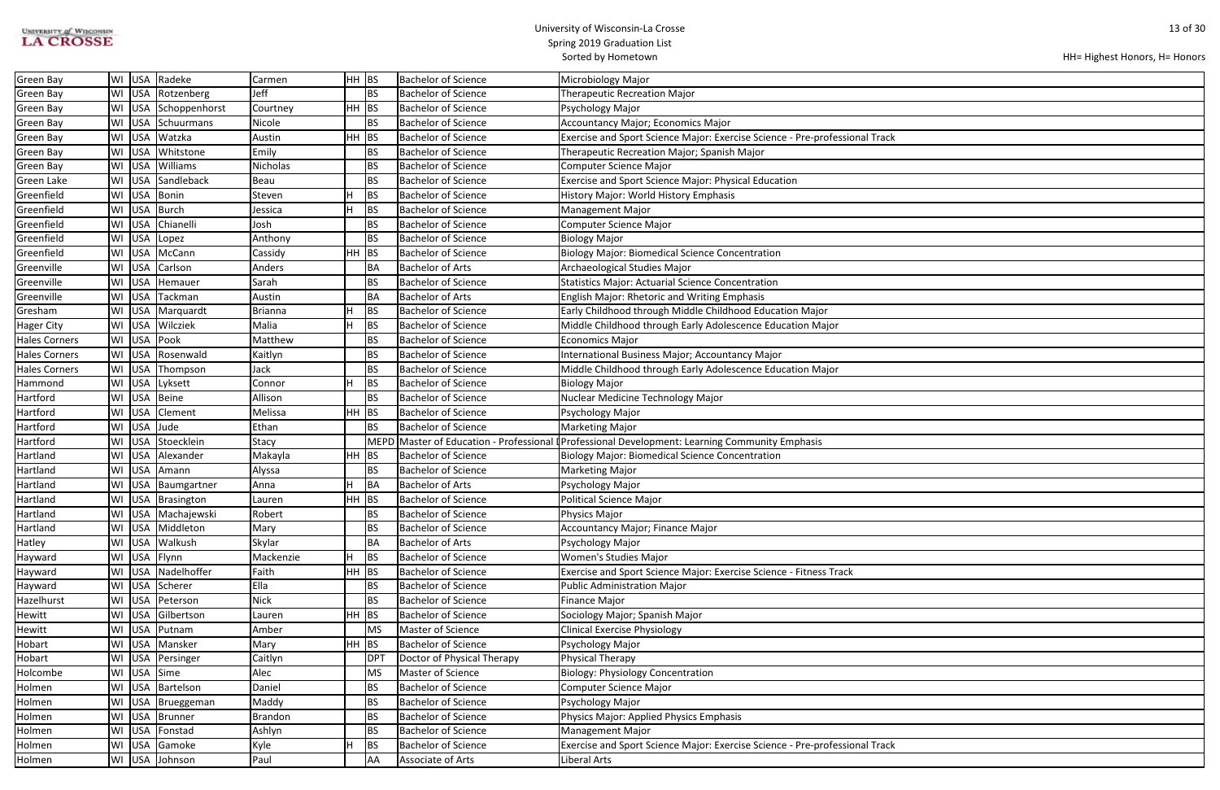| <b>UNIVERSITY of WISCONSIN</b> |  |
|--------------------------------|--|
| <b>LA CROSSE</b>               |  |

|  | HH= Highest Honors, H= Honors |
|--|-------------------------------|
|--|-------------------------------|

| <b>Green Bay</b>     | WI | USA        | Radeke            | Carmen          | HH BS |           | <b>Bachelor of Science</b> | Microbiology Major                                                                        |
|----------------------|----|------------|-------------------|-----------------|-------|-----------|----------------------------|-------------------------------------------------------------------------------------------|
| <b>Green Bay</b>     | WI | <b>USA</b> | Rotzenberg        | Jeff            |       | <b>BS</b> | <b>Bachelor of Science</b> | <b>Therapeutic Recreation Major</b>                                                       |
| <b>Green Bay</b>     | WI |            | USA Schoppenhorst | Courtney        | HH    | <b>BS</b> | <b>Bachelor of Science</b> | Psychology Major                                                                          |
| Green Bay            | WI | <b>USA</b> | Schuurmans        | Nicole          |       | <b>BS</b> | <b>Bachelor of Science</b> | Accountancy Major; Economics Major                                                        |
| Green Bay            | WI | <b>USA</b> | Watzka            | Austin          | HH    | <b>BS</b> | <b>Bachelor of Science</b> | Exercise and Sport Science Major: Exercise Science - Pre-professional Track               |
| Green Bay            | WI | USA        | Whitstone         | Emily           |       | BS        | <b>Bachelor of Science</b> | Therapeutic Recreation Major; Spanish Major                                               |
| Green Bay            | WI | USA        | Williams          | <b>Nicholas</b> |       | <b>BS</b> | <b>Bachelor of Science</b> | <b>Computer Science Major</b>                                                             |
| <b>Green Lake</b>    | WI | USA        | Sandleback        | Beau            |       | BS        | <b>Bachelor of Science</b> | Exercise and Sport Science Major: Physical Education                                      |
| Greenfield           | WI | USA        | Bonin             | Steven          | lн    | <b>BS</b> | <b>Bachelor of Science</b> | History Major: World History Emphasis                                                     |
| Greenfield           | WI | USA        | Burch             | Jessica         | lН    | <b>BS</b> | <b>Bachelor of Science</b> | <b>Management Major</b>                                                                   |
| Greenfield           | WI | <b>USA</b> | Chianelli         | Josh            |       | <b>BS</b> | <b>Bachelor of Science</b> | Computer Science Major                                                                    |
| Greenfield           | WI | USA        | Lopez             | Anthony         |       | BS        | <b>Bachelor of Science</b> | <b>Biology Major</b>                                                                      |
| Greenfield           | WI | <b>USA</b> | McCann            | Cassidy         | HH    | BS        | <b>Bachelor of Science</b> | <b>Biology Major: Biomedical Science Concentration</b>                                    |
| Greenville           | WI | <b>USA</b> | Carlson           | Anders          |       | BA        | <b>Bachelor of Arts</b>    | Archaeological Studies Major                                                              |
| Greenville           | WI | USA        | Hemauer           | Sarah           |       | BS        | <b>Bachelor of Science</b> | <b>Statistics Major: Actuarial Science Concentration</b>                                  |
| Greenville           | WI | USA        | Tackman           | Austin          |       | BA        | <b>Bachelor of Arts</b>    | <b>English Major: Rhetoric and Writing Emphasis</b>                                       |
| Gresham              | WI | <b>USA</b> | Marquardt         | <b>Brianna</b>  | н     | <b>BS</b> | <b>Bachelor of Science</b> | Early Childhood through Middle Childhood Education Major                                  |
| <b>Hager City</b>    | WI | <b>USA</b> | Wilcziek          | Malia           | lн    | <b>BS</b> | <b>Bachelor of Science</b> | Middle Childhood through Early Adolescence Education Major                                |
| <b>Hales Corners</b> | WI | USA        | Pook              | Matthew         |       | BS        | <b>Bachelor of Science</b> | <b>Economics Major</b>                                                                    |
| <b>Hales Corners</b> | WI | <b>USA</b> | Rosenwald         | Kaitlyn         |       | BS        | <b>Bachelor of Science</b> | International Business Major; Accountancy Major                                           |
| <b>Hales Corners</b> | WI | USA        | Thompson          | Jack            |       | <b>BS</b> | <b>Bachelor of Science</b> | Middle Childhood through Early Adolescence Education Major                                |
| Hammond              | WI | <b>USA</b> | Lyksett           | Connor          | lн    | <b>BS</b> | <b>Bachelor of Science</b> | <b>Biology Major</b>                                                                      |
| Hartford             | WI | <b>USA</b> | Beine             | Allison         |       | BS        | <b>Bachelor of Science</b> | Nuclear Medicine Technology Major                                                         |
| Hartford             | W١ | <b>USA</b> | Clement           | Melissa         | HH    | <b>BS</b> | <b>Bachelor of Science</b> | Psychology Major                                                                          |
| Hartford             | WI | USA        | Jude              | Ethan           |       | <b>BS</b> | <b>Bachelor of Science</b> | <b>Marketing Major</b>                                                                    |
| Hartford             | WI | <b>USA</b> | Stoecklein        | Stacy           |       | MEPD      |                            | Master of Education - Professional [Professional Development: Learning Community Emphasis |
| Hartland             | WI | <b>USA</b> | Alexander         | Makayla         | HH    | <b>BS</b> | <b>Bachelor of Science</b> | <b>Biology Major: Biomedical Science Concentration</b>                                    |
| Hartland             | WI | USA        | Amann             | Alyssa          |       | <b>BS</b> | <b>Bachelor of Science</b> | <b>Marketing Major</b>                                                                    |
| Hartland             | WI | USA        | Baumgartner       | Anna            | н     | BA        | <b>Bachelor of Arts</b>    | Psychology Major                                                                          |
| Hartland             | WI |            | USA Brasington    | Lauren          | HH    | BS        | <b>Bachelor of Science</b> | <b>Political Science Major</b>                                                            |
| Hartland             | WI |            | USA Machajewski   | Robert          |       | BS        | <b>Bachelor of Science</b> | Physics Major                                                                             |
| Hartland             | WI | USA        | Middleton         | Mary            |       | BS        | <b>Bachelor of Science</b> | Accountancy Major; Finance Major                                                          |
| Hatley               | WI | <b>USA</b> | Walkush           | Skylar          |       | BA        | <b>Bachelor of Arts</b>    | Psychology Major                                                                          |
| Hayward              | WI | <b>USA</b> | Flynn             | Mackenzie       | lн    | <b>BS</b> | <b>Bachelor of Science</b> | <b>Women's Studies Major</b>                                                              |
| Hayward              | WI | <b>USA</b> | Nadelhoffer       | Faith           | HH    | BS        | <b>Bachelor of Science</b> | Exercise and Sport Science Major: Exercise Science - Fitness Track                        |
| Hayward              | WI | USA        | Scherer           | Ella            |       | BS        | <b>Bachelor of Science</b> | <b>Public Administration Major</b>                                                        |
| Hazelhurst           | WI | USA        | Peterson          | <b>Nick</b>     |       | BS        | <b>Bachelor of Science</b> | <b>Finance Major</b>                                                                      |
| Hewitt               | WI | USA        | Gilbertson        | Lauren          | HH    | BS        | <b>Bachelor of Science</b> | Sociology Major; Spanish Major                                                            |
| Hewitt               | WI | USA        | Putnam            | Amber           |       | MS        | Master of Science          | <b>Clinical Exercise Physiology</b>                                                       |
| Hobart               | WI | USA        | Mansker           | Mary            | HH    | <b>BS</b> | <b>Bachelor of Science</b> | Psychology Major                                                                          |
| Hobart               | WI | <b>USA</b> | Persinger         | Caitlyn         |       | DPT       | Doctor of Physical Therapy | Physical Therapy                                                                          |
| Holcombe             | WI | <b>USA</b> | Sime              | Alec            |       | MS        | Master of Science          | <b>Biology: Physiology Concentration</b>                                                  |
| Holmen               | WI | USA        | Bartelson         | Daniel          |       | BS        | <b>Bachelor of Science</b> | <b>Computer Science Major</b>                                                             |
| Holmen               | WI | <b>USA</b> | Brueggeman        | Maddy           |       | BS        | <b>Bachelor of Science</b> | Psychology Major                                                                          |
| Holmen               | WI | <b>USA</b> | Brunner           | <b>Brandon</b>  |       | BS        | <b>Bachelor of Science</b> | Physics Major: Applied Physics Emphasis                                                   |
| Holmen               | WI | USA        | Fonstad           | Ashlyn          |       | BS        | <b>Bachelor of Science</b> | <b>Management Major</b>                                                                   |
| Holmen               | WI | USA        | Gamoke            | Kyle            | lн    | BS        | <b>Bachelor of Science</b> | Exercise and Sport Science Major: Exercise Science - Pre-professional Track               |
| Holmen               | WI | USA        | Johnson           | Paul            |       | AA        | Associate of Arts          | Liberal Arts                                                                              |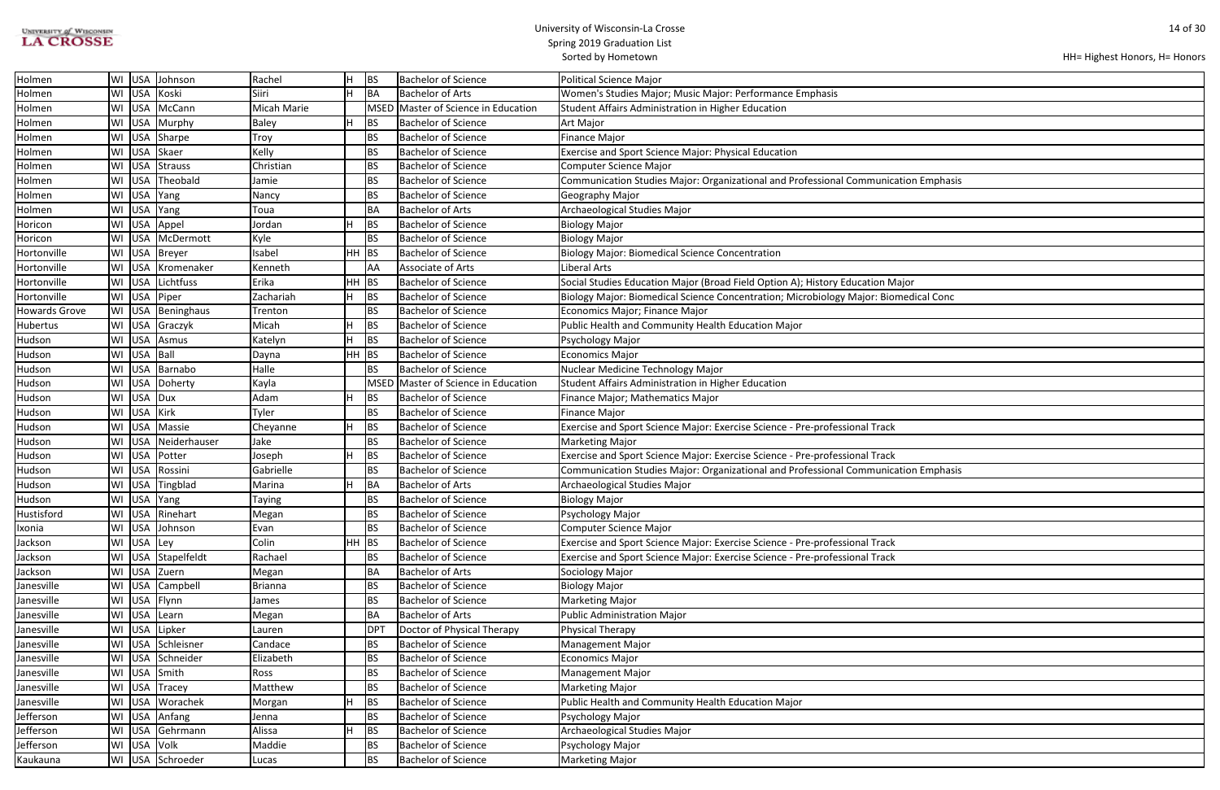| <b>UNIVERSITY of WISCONSIN</b> |
|--------------------------------|
| <b>LA CROSSE</b>               |

| ation Emphasis |
|----------------|
|                |
|                |
|                |
|                |
|                |
|                |
| ajor           |
| medical Conc   |
|                |
|                |
|                |
|                |
|                |
|                |
|                |
|                |
|                |
|                |
|                |
|                |
| ation Emphasis |
|                |
|                |
|                |
|                |
|                |
|                |
|                |
|                |
|                |
|                |
|                |
|                |
|                |
|                |
|                |
|                |
|                |
|                |
|                |
|                |
|                |

| Holmen               | WI |            | USA Johnson      | Rachel         | lH.     | <b>BS</b>       | <b>Bachelor of Science</b>          | <b>Political Science Major</b>                                                       |
|----------------------|----|------------|------------------|----------------|---------|-----------------|-------------------------------------|--------------------------------------------------------------------------------------|
| Holmen               | WI | <b>USA</b> | Koski            | Siiri          | H       | BA              | <b>Bachelor of Arts</b>             | Women's Studies Major; Music Major: Performance Emphasis                             |
| Holmen               | WI | <b>USA</b> | McCann           | Micah Marie    |         |                 | MSED Master of Science in Education | Student Affairs Administration in Higher Education                                   |
| Holmen               | WI | <b>USA</b> | Murphy           | <b>Baley</b>   | н       | <b>BS</b>       | <b>Bachelor of Science</b>          | Art Major                                                                            |
| Holmen               | WI | <b>USA</b> | Sharpe           | Troy           |         | <b>BS</b>       | <b>Bachelor of Science</b>          | Finance Major                                                                        |
| Holmen               | WI | <b>USA</b> | Skaer            | Kelly          |         | <b>BS</b>       | <b>Bachelor of Science</b>          | Exercise and Sport Science Major: Physical Education                                 |
| Holmen               | WI |            | USA Strauss      | Christian      |         | <b>BS</b>       | <b>Bachelor of Science</b>          | Computer Science Major                                                               |
| Holmen               | WI |            | USA Theobald     | Jamie          |         | <b>BS</b>       | <b>Bachelor of Science</b>          | Communication Studies Major: Organizational and Professional Communication Emphasis  |
| Holmen               | WI | <b>USA</b> | Yang             | Nancy          |         | <b>BS</b>       | <b>Bachelor of Science</b>          | Geography Major                                                                      |
| Holmen               | WI | <b>USA</b> | Yang             | Toua           |         | BA              | <b>Bachelor of Arts</b>             | Archaeological Studies Major                                                         |
| Horicon              | WI | <b>USA</b> | Appel            | Jordan         |         | <b>BS</b>       | <b>Bachelor of Science</b>          | <b>Biology Major</b>                                                                 |
| Horicon              | WI |            | USA   McDermott  | Kyle           |         | <b>BS</b>       | <b>Bachelor of Science</b>          | Biology Major                                                                        |
| Hortonville          | WI |            | USA Breyer       | Isabel         | $HH$ BS |                 | <b>Bachelor of Science</b>          | <b>Biology Major: Biomedical Science Concentration</b>                               |
| Hortonville          | WI |            | USA Kromenaker   | Kenneth        |         | AA              | Associate of Arts                   | <b>Liberal Arts</b>                                                                  |
| Hortonville          | WI | <b>USA</b> | Lichtfuss        | Erika          | HH.     | BS              | <b>Bachelor of Science</b>          | Social Studies Education Major (Broad Field Option A); History Education Major       |
| Hortonville          | WI | <b>USA</b> | Piper            | Zachariah      |         | <b>BS</b>       | <b>Bachelor of Science</b>          | Biology Major: Biomedical Science Concentration; Microbiology Major: Biomedical Conc |
| <b>Howards Grove</b> | WI |            | USA Beninghaus   | Trenton        |         | BS              | <b>Bachelor of Science</b>          | Economics Major; Finance Major                                                       |
| Hubertus             |    |            | WI USA Graczyk   | Micah          |         | <b>BS</b>       | <b>Bachelor of Science</b>          | Public Health and Community Health Education Major                                   |
| Hudson               | WI | <b>USA</b> | Asmus            | Katelyn        |         | BS              | <b>Bachelor of Science</b>          | Psychology Major                                                                     |
| Hudson               | WI | USA Ball   |                  | Dayna          | $HH$ BS |                 | <b>Bachelor of Science</b>          | <b>Economics Major</b>                                                               |
| Hudson               | WI |            | USA Barnabo      | Halle          |         | <b>BS</b>       | <b>Bachelor of Science</b>          | Nuclear Medicine Technology Major                                                    |
| Hudson               | WI | <b>USA</b> | Doherty          | Kayla          |         | <b>MSED</b>     | Master of Science in Education      | Student Affairs Administration in Higher Education                                   |
| Hudson               | WI | <b>USA</b> | Dux              | Adam           |         | <b>BS</b>       | <b>Bachelor of Science</b>          | Finance Major; Mathematics Major                                                     |
| Hudson               | WI | <b>USA</b> | Kirk             | Tyler          |         | <b>BS</b>       | <b>Bachelor of Science</b>          | <b>Finance Major</b>                                                                 |
| Hudson               | WI | <b>USA</b> | Massie           | Cheyanne       |         | BS              | <b>Bachelor of Science</b>          | Exercise and Sport Science Major: Exercise Science - Pre-professional Track          |
| Hudson               | WI | <b>USA</b> | Neiderhauser     | Jake           |         | <b>BS</b>       | <b>Bachelor of Science</b>          | <b>Marketing Major</b>                                                               |
| Hudson               | WI | <b>USA</b> | Potter           | Joseph         |         | <b>BS</b>       | <b>Bachelor of Science</b>          | Exercise and Sport Science Major: Exercise Science - Pre-professional Track          |
| Hudson               | WI | <b>USA</b> | Rossini          | Gabrielle      |         | <b>BS</b>       | <b>Bachelor of Science</b>          | Communication Studies Major: Organizational and Professional Communication Emphasis  |
| Hudson               | WI | <b>USA</b> | Tingblad         | Marina         |         | <b>BA</b>       | <b>Bachelor of Arts</b>             | Archaeological Studies Major                                                         |
| Hudson               | WI |            | USA Yang         | Taying         |         | <b>BS</b>       | <b>Bachelor of Science</b>          | <b>Biology Major</b>                                                                 |
| Hustisford           |    |            | WI USA Rinehart  | Megan          |         | BS              | <b>Bachelor of Science</b>          | Psychology Major                                                                     |
| Ixonia               | WI |            | USA Johnson      | Evan           |         | <b>BS</b>       | <b>Bachelor of Science</b>          | Computer Science Major                                                               |
| Jackson              | WI | USA Ley    |                  | Colin          | $HH$ BS |                 | Bachelor of Science                 | Exercise and Sport Science Major: Exercise Science - Pre-professional Track          |
| Jackson              | WI |            | USA Stapelfeldt  | Rachael        |         | <b>BS</b>       | <b>Bachelor of Science</b>          | Exercise and Sport Science Major: Exercise Science - Pre-professional Track          |
| Jackson              | WI |            | USA Zuern        | Megan          |         | BA              | <b>Bachelor of Arts</b>             | Sociology Major                                                                      |
| Janesville           | WI | USA        | Campbell         | <b>Brianna</b> |         | <b>BS</b>       | <b>Bachelor of Science</b>          | <b>Biology Major</b>                                                                 |
| Janesville           |    |            | WI USA Flynn     | James          |         | <b>BS</b>       | <b>Bachelor of Science</b>          | <b>Marketing Major</b>                                                               |
| Janesville           |    | WI USA     | Learn            | Megan          |         | BA              | <b>Bachelor of Arts</b>             | <b>Public Administration Major</b>                                                   |
| Janesville           |    | WI USA     | Lipker           | Lauren         |         | DP <sup>-</sup> | Doctor of Physical Therapy          | <b>Physical Therapy</b>                                                              |
| Janesville           | WI |            | USA Schleisner   | Candace        |         | <b>BS</b>       | <b>Bachelor of Science</b>          | <b>Management Major</b>                                                              |
| Janesville           | WI |            | USA Schneider    | Elizabeth      |         | <b>BS</b>       | <b>Bachelor of Science</b>          | <b>Economics Major</b>                                                               |
| Janesville           | WI |            | USA Smith        | Ross           |         | BS              | <b>Bachelor of Science</b>          | <b>Management Major</b>                                                              |
| Janesville           |    |            | WI USA Tracey    | Matthew        |         | BS              | <b>Bachelor of Science</b>          | <b>Marketing Major</b>                                                               |
| Janesville           |    |            | WI USA Worachek  | Morgan         |         | <b>BS</b>       | <b>Bachelor of Science</b>          | Public Health and Community Health Education Major                                   |
| Jefferson            | WI |            | USA Anfang       | Jenna          |         | <b>BS</b>       | <b>Bachelor of Science</b>          | Psychology Major                                                                     |
| Jefferson            | WI |            | USA Gehrmann     | Alissa         |         | BS              | <b>Bachelor of Science</b>          | Archaeological Studies Major                                                         |
| Jefferson            | WI |            | USA Volk         | Maddie         |         | <b>BS</b>       | <b>Bachelor of Science</b>          | Psychology Major                                                                     |
| Kaukauna             |    |            | WI USA Schroeder | Lucas          |         | <b>BS</b>       | <b>Bachelor of Science</b>          | <b>Marketing Major</b>                                                               |
|                      |    |            |                  |                |         |                 |                                     |                                                                                      |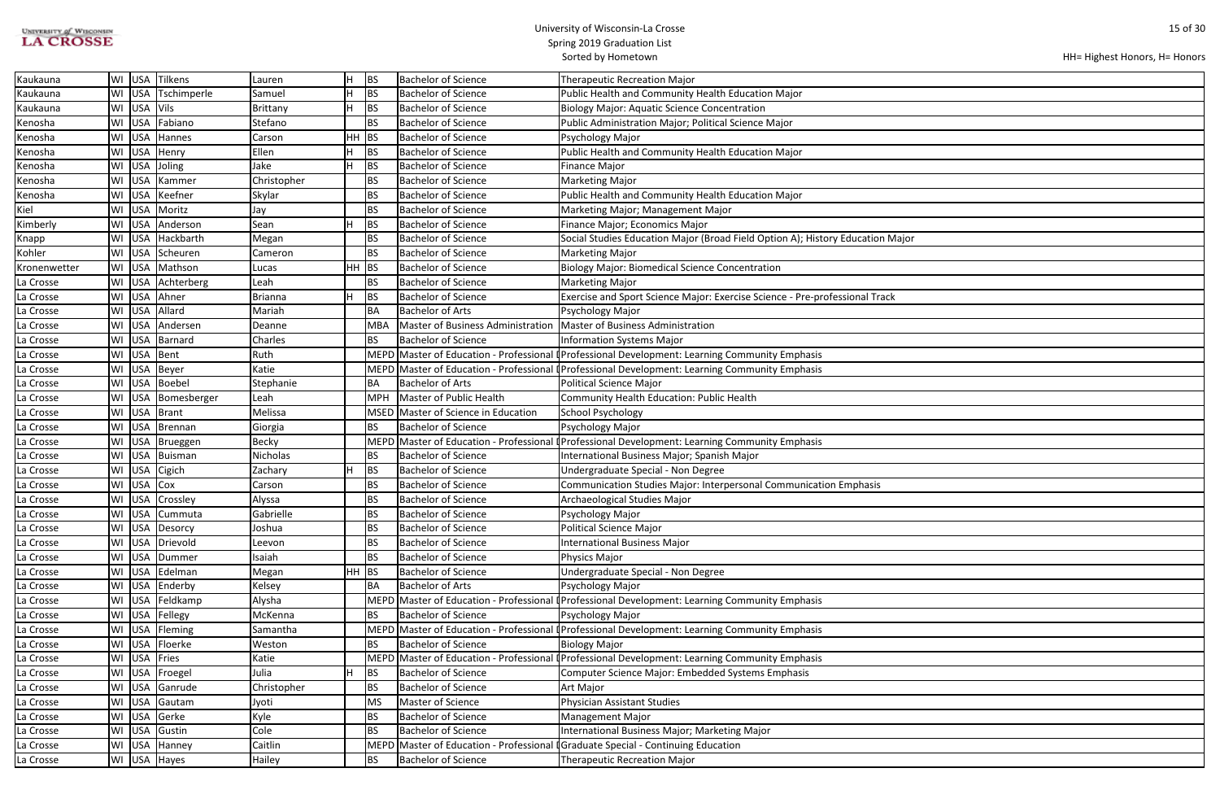| <b>UNIVERSITY of WISCONSIN</b> |  |
|--------------------------------|--|
| <b>LA CROSSE</b>               |  |

| lajor |  |
|-------|--|
|       |  |
|       |  |
|       |  |
|       |  |
|       |  |
|       |  |
|       |  |
|       |  |
|       |  |
|       |  |
|       |  |
|       |  |
|       |  |
|       |  |
|       |  |
|       |  |
|       |  |
|       |  |
|       |  |
|       |  |
|       |  |
|       |  |
|       |  |
|       |  |
|       |  |
|       |  |
|       |  |
|       |  |
|       |  |
|       |  |
|       |  |
|       |  |
|       |  |
|       |  |
|       |  |
|       |  |
|       |  |
|       |  |

| Kaukauna     | <b>USA</b><br>WI | Tilkens         | Lauren         |     | <b>BS</b>  | <b>Bachelor of Science</b>        | <b>Therapeutic Recreation Major</b>                                                            |
|--------------|------------------|-----------------|----------------|-----|------------|-----------------------------------|------------------------------------------------------------------------------------------------|
| Kaukauna     | <b>USA</b><br>WI | Tschimperle     | Samuel         |     | <b>BS</b>  | <b>Bachelor of Science</b>        | Public Health and Community Health Education Major                                             |
| Kaukauna     | USA<br>WI        | <b>Vils</b>     | Brittany       |     | <b>BS</b>  | <b>Bachelor of Science</b>        | <b>Biology Major: Aquatic Science Concentration</b>                                            |
| Kenosha      | WI USA           | Fabiano         | Stefano        |     | <b>BS</b>  | <b>Bachelor of Science</b>        | Public Administration Major; Political Science Major                                           |
| Kenosha      | <b>USA</b><br>WI | Hannes          | Carson         | HH. | <b>BS</b>  | <b>Bachelor of Science</b>        | Psychology Major                                                                               |
| Kenosha      | <b>USA</b><br>WI | Henry           | Ellen          |     | <b>BS</b>  | Bachelor of Science               | Public Health and Community Health Education Major                                             |
| Kenosha      | <b>USA</b><br>WI | Joling          | Jake           |     | <b>BS</b>  | <b>Bachelor of Science</b>        | Finance Major                                                                                  |
| Kenosha      | <b>USA</b><br>WI | Kammer          | Christopher    |     | BS         | <b>Bachelor of Science</b>        | <b>Marketing Major</b>                                                                         |
| Kenosha      | <b>USA</b><br>WI | Keefner         | Skylar         |     | BS         | <b>Bachelor of Science</b>        | Public Health and Community Health Education Major                                             |
| Kiel         | <b>USA</b><br>WI | Moritz          | Jay            |     | <b>BS</b>  | <b>Bachelor of Science</b>        | Marketing Major; Management Major                                                              |
| Kimberly     | USA<br>WI        | Anderson        | Sean           |     | <b>BS</b>  | <b>Bachelor of Science</b>        | Finance Major; Economics Major                                                                 |
| Knapp        | USA<br>WI        | Hackbarth       | Megan          |     | <b>BS</b>  | <b>Bachelor of Science</b>        | Social Studies Education Major (Broad Field Option A); History Education Major                 |
| Kohler       | <b>USA</b><br>WI | Scheuren        | Cameron        |     | <b>BS</b>  | <b>Bachelor of Science</b>        | <b>Marketing Major</b>                                                                         |
| Kronenwetter | <b>USA</b><br>WI | Mathson         | Lucas          | HH. | <b>BS</b>  | <b>Bachelor of Science</b>        | Biology Major: Biomedical Science Concentration                                                |
| La Crosse    | <b>USA</b><br>WI | Achterberg      | Leah           |     | <b>BS</b>  | <b>Bachelor of Science</b>        | Marketing Major                                                                                |
| La Crosse    | <b>USA</b><br>WI | Ahner           | <b>Brianna</b> |     | <b>BS</b>  | Bachelor of Science               | Exercise and Sport Science Major: Exercise Science - Pre-professional Track                    |
| La Crosse    | USA<br>WI        | Allard          | Mariah         |     | BA         | <b>Bachelor of Arts</b>           | Psychology Major                                                                               |
| La Crosse    | WI USA           | Andersen        | Deanne         |     | <b>MBA</b> | Master of Business Administration | Master of Business Administration                                                              |
| La Crosse    | <b>USA</b><br>WI | Barnard         | Charles        |     | BS         | <b>Bachelor of Science</b>        | Information Systems Major                                                                      |
| La Crosse    | <b>USA</b><br>WI | Bent            | Ruth           |     |            |                                   | MEPD Master of Education - Professional (Professional Development: Learning Community Emphasis |
| La Crosse    | <b>USA</b><br>WI | Beyer           | Katie          |     |            |                                   | MEPD Master of Education - Professional (Professional Development: Learning Community Emphasis |
| La Crosse    | WI<br>USA        | Boebel          | Stephanie      |     | BA         | <b>Bachelor of Arts</b>           | Political Science Major                                                                        |
| La Crosse    | USA<br>WI        | Bomesberger     | Leah           |     | MPH        | Master of Public Health           | Community Health Education: Public Health                                                      |
| La Crosse    | <b>USA</b><br>WI | Brant           | Melissa        |     | MSED       | Master of Science in Education    | School Psychology                                                                              |
| La Crosse    | WI USA           | Brennan         | Giorgia        |     | BS         | Bachelor of Science               | Psychology Major                                                                               |
| La Crosse    | <b>USA</b><br>WI | Brueggen        | <b>Becky</b>   |     | MEPD       |                                   | Master of Education - Professional [Professional Development: Learning Community Emphasis      |
| La Crosse    | <b>USA</b><br>WI | Buisman         | Nicholas       |     | BS         | <b>Bachelor of Science</b>        | International Business Major; Spanish Major                                                    |
| La Crosse    | <b>USA</b><br>WI | Cigich          | Zachary        |     | <b>BS</b>  | Bachelor of Science               | Undergraduate Special - Non Degree                                                             |
| La Crosse    | USA<br>WI        | $ C$ ox         | Carson         |     | <b>BS</b>  | <b>Bachelor of Science</b>        | Communication Studies Major: Interpersonal Communication Emphasis                              |
| La Crosse    | <b>USA</b><br>WI | <b>Crossley</b> | Alyssa         |     | BS         | Bachelor of Science               | Archaeological Studies Major                                                                   |
| La Crosse    |                  | WI USA Cummuta  | Gabrielle      |     | BS         | <b>Bachelor of Science</b>        | Psychology Major                                                                               |
| La Crosse    |                  | WI USA Desorcy  | Joshua         |     | <b>BS</b>  | <b>Bachelor of Science</b>        | <b>Political Science Major</b>                                                                 |
| La Crosse    | <b>USA</b><br>WI | Drievold        | Leevon         |     | <b>BS</b>  | <b>Bachelor of Science</b>        | International Business Major                                                                   |
| La Crosse    | USA<br>WI        | Dummer          | Isaiah         |     | <b>BS</b>  | <b>Bachelor of Science</b>        | Physics Major                                                                                  |
| La Crosse    | USA<br>WI        | Edelman         | Megan          |     | $HH$ BS    | <b>Bachelor of Science</b>        | Undergraduate Special - Non Degree                                                             |
| La Crosse    | WI               | USA Enderby     | Kelsey         |     | BA         | <b>Bachelor of Arts</b>           | Psychology Major                                                                               |
| La Crosse    | WI               | USA Feldkamp    | Alysha         |     |            |                                   | MEPD Master of Education - Professional (Professional Development: Learning Community Emphasis |
| La Crosse    | WI               | USA Fellegy     | McKenna        |     | BS         | Bachelor of Science               | Psychology Major                                                                               |
| La Crosse    |                  | WI USA Fleming  | Samantha       |     |            |                                   | MEPD Master of Education - Professional (Professional Development: Learning Community Emphasis |
| La Crosse    | WI               | USA Floerke     | Weston         |     | BS         | <b>Bachelor of Science</b>        | <b>Biology Major</b>                                                                           |
| La Crosse    | <b>USA</b><br>WI | Fries           | Katie          |     |            |                                   | MEPD Master of Education - Professional (Professional Development: Learning Community Emphasis |
| La Crosse    | <b>USA</b><br>WI | Froegel         | Julia          |     | <b>BS</b>  | <b>Bachelor of Science</b>        | Computer Science Major: Embedded Systems Emphasis                                              |
| La Crosse    | <b>USA</b><br>WI | Ganrude         | Christopher    |     | BS         | <b>Bachelor of Science</b>        | Art Major                                                                                      |
| La Crosse    | WI USA           | Gautam          | Jyoti          |     | <b>MS</b>  | Master of Science                 | <b>Physician Assistant Studies</b>                                                             |
| La Crosse    | <b>USA</b><br>WI | Gerke           | Kyle           |     | <b>BS</b>  | <b>Bachelor of Science</b>        | <b>Management Major</b>                                                                        |
| La Crosse    | <b>USA</b><br>WI | Gustin          | Cole           |     | <b>BS</b>  | <b>Bachelor of Science</b>        | International Business Major; Marketing Major                                                  |
| La Crosse    | USA<br>WI        | Hanney          | Caitlin        |     |            |                                   | MEPD Master of Education - Professional [Graduate Special - Continuing Education               |
| La Crosse    |                  | WI USA Hayes    | Hailey         |     | <b>BS</b>  | <b>Bachelor of Science</b>        | <b>Therapeutic Recreation Major</b>                                                            |
|              |                  |                 |                |     |            |                                   |                                                                                                |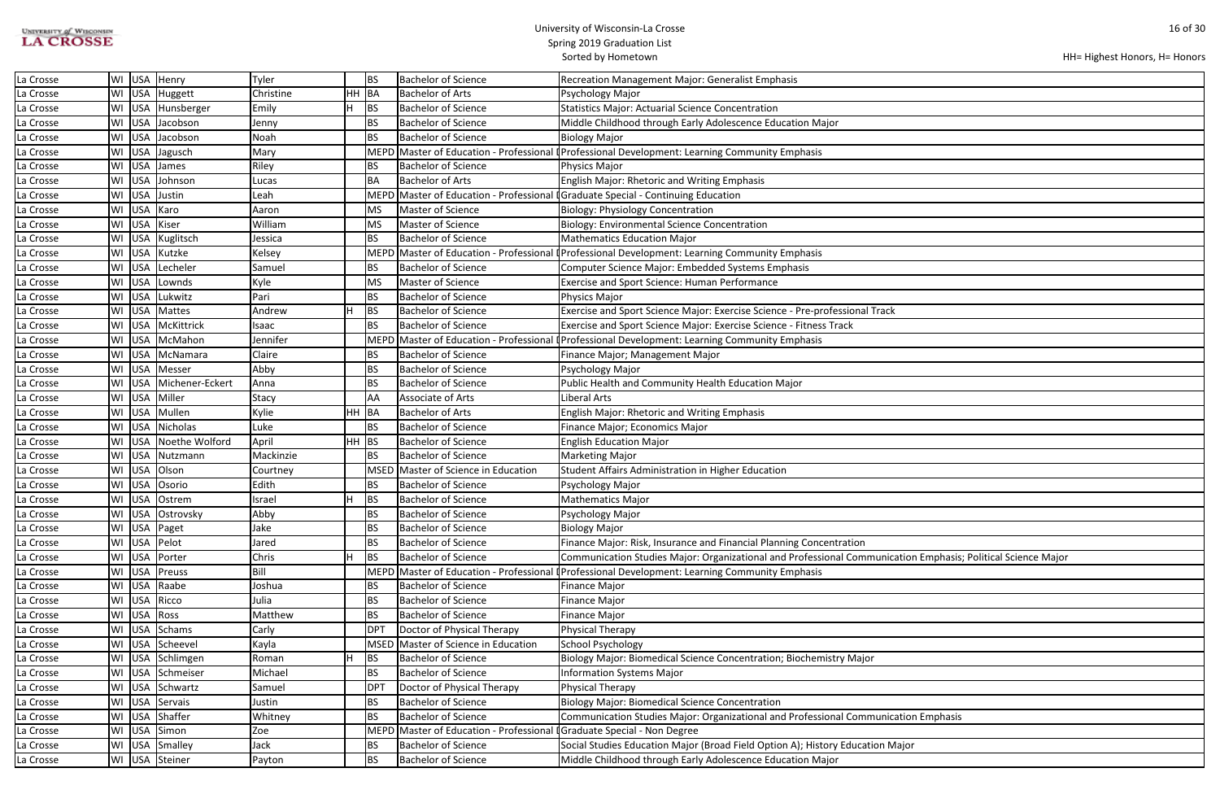| <b>UNIVERSITY of WISCONSIN</b> |  |
|--------------------------------|--|
| <b>LA CROSSE</b>               |  |

```
HH= Highest Honors, H= Honors
```

| ation Emphasis; Political Science Major |  |
|-----------------------------------------|--|
|                                         |  |
|                                         |  |
|                                         |  |
|                                         |  |
|                                         |  |
|                                         |  |
|                                         |  |
|                                         |  |
|                                         |  |
|                                         |  |
|                                         |  |
|                                         |  |
|                                         |  |
|                                         |  |
|                                         |  |
|                                         |  |
| ation Emphasis                          |  |
|                                         |  |
| ajor                                    |  |
|                                         |  |
|                                         |  |

| La Crosse |              | WI USA Henry           | Tyler        |         | IBS             | <b>Bachelor of Science</b>                                              | <b>Recreation Management Major: Generalist Emphasis</b>                                                      |
|-----------|--------------|------------------------|--------------|---------|-----------------|-------------------------------------------------------------------------|--------------------------------------------------------------------------------------------------------------|
| La Crosse |              | WI USA Huggett         | Christine    | HH BA   |                 | <b>Bachelor of Arts</b>                                                 | Psychology Major                                                                                             |
| La Crosse |              | WI   USA   Hunsberger  | Emily        |         | <b>BS</b>       | <b>Bachelor of Science</b>                                              | <b>Statistics Major: Actuarial Science Concentration</b>                                                     |
| La Crosse |              | WI USA Jacobson        | Jenny        |         | <b>BS</b>       | <b>Bachelor of Science</b>                                              | Middle Childhood through Early Adolescence Education Major                                                   |
| La Crosse |              | WI USA Jacobson        | Noah         |         | <b>BS</b>       | <b>Bachelor of Science</b>                                              | <b>Biology Major</b>                                                                                         |
| La Crosse |              | WI USA Jagusch         | Mary         |         | <b>MEPD</b>     |                                                                         | Master of Education - Professional (Professional Development: Learning Community Emphasis                    |
| La Crosse |              | WI USA James           | Riley        |         | BS              | <b>Bachelor of Science</b>                                              | Physics Major                                                                                                |
| La Crosse |              | WI USA Johnson         | Lucas        |         | BA              | <b>Bachelor of Arts</b>                                                 | English Major: Rhetoric and Writing Emphasis                                                                 |
| La Crosse |              | WI USA Justin          | Leah         |         |                 | MEPD Master of Education - Professional                                 | <b>I</b> Graduate Special - Continuing Education                                                             |
| La Crosse | WI USA Karo  |                        | Aaron        |         | MS              | Master of Science                                                       | <b>Biology: Physiology Concentration</b>                                                                     |
| La Crosse | WI USA Kiser |                        | William      |         | MS              | Master of Science                                                       | <b>Biology: Environmental Science Concentration</b>                                                          |
| La Crosse |              | WI USA Kuglitsch       | Jessica      |         | <b>BS</b>       | <b>Bachelor of Science</b>                                              | <b>Mathematics Education Major</b>                                                                           |
| La Crosse |              | WI USA Kutzke          | Kelsey       |         | <b>MEPD</b>     |                                                                         | Master of Education - Professional (Professional Development: Learning Community Emphasis                    |
| La Crosse |              | WI USA Lecheler        | Samuel       |         | <b>BS</b>       | <b>Bachelor of Science</b>                                              | Computer Science Major: Embedded Systems Emphasis                                                            |
| La Crosse |              | WI USA Lownds          | Kyle         |         | <b>MS</b>       | Master of Science                                                       | <b>Exercise and Sport Science: Human Performance</b>                                                         |
| La Crosse |              | WI USA Lukwitz         | Pari         |         | <b>BS</b>       | <b>Bachelor of Science</b>                                              | Physics Major                                                                                                |
| La Crosse |              | WI USA Mattes          | Andrew       |         | BS              | <b>Bachelor of Science</b>                                              | Exercise and Sport Science Major: Exercise Science - Pre-professional Track                                  |
| La Crosse |              | WI USA McKittrick      | Isaac        |         | <b>BS</b>       | <b>Bachelor of Science</b>                                              | Exercise and Sport Science Major: Exercise Science - Fitness Track                                           |
| La Crosse |              | WI USA McMahon         | Jennifer     |         | <b>MEPD</b>     | Master of Education - Professional                                      | Professional Development: Learning Community Emphasis                                                        |
| La Crosse |              | WI USA McNamara        | Claire       |         | <b>BS</b>       | <b>Bachelor of Science</b>                                              | Finance Major; Management Major                                                                              |
| La Crosse |              | WI USA Messer          | Abby         |         | BS              | <b>Bachelor of Science</b>                                              | Psychology Major                                                                                             |
| La Crosse |              | WI USA Michener-Eckert | Anna         |         | <b>BS</b>       | <b>Bachelor of Science</b>                                              | Public Health and Community Health Education Major                                                           |
| La Crosse |              | WI USA Miller          | <b>Stacy</b> |         | AA              | Associate of Arts                                                       | Liberal Arts                                                                                                 |
| La Crosse |              | WI USA Mullen          | Kylie        | HH BA   |                 | <b>Bachelor of Arts</b>                                                 | <b>English Major: Rhetoric and Writing Emphasis</b>                                                          |
| La Crosse |              | WI USA Nicholas        | Luke         |         | <b>BS</b>       | <b>Bachelor of Science</b>                                              | Finance Major; Economics Major                                                                               |
| La Crosse |              | WI USA Noethe Wolford  | April        | $HH$ BS |                 | <b>Bachelor of Science</b>                                              | <b>English Education Major</b>                                                                               |
| La Crosse |              | WI USA Nutzmann        | Mackinzie    |         | <b>BS</b>       | <b>Bachelor of Science</b>                                              | <b>Marketing Major</b>                                                                                       |
| La Crosse |              | WI USA Olson           | Courtney     |         | <b>MSED</b>     | Master of Science in Education                                          | Student Affairs Administration in Higher Education                                                           |
| La Crosse |              | WI USA Osorio          | Edith        |         | <b>BS</b>       | <b>Bachelor of Science</b>                                              | Psychology Major                                                                                             |
| La Crosse |              | WI USA Ostrem          | Israel       |         | BS              | <b>Bachelor of Science</b>                                              | <b>Mathematics Major</b>                                                                                     |
| La Crosse |              | WI USA Ostrovsky       | Abby         |         | <b>BS</b>       | <b>Bachelor of Science</b>                                              | Psychology Major                                                                                             |
| La Crosse |              | WI USA Paget           | Jake         |         | <b>BS</b>       | <b>Bachelor of Science</b>                                              | <b>Biology Major</b>                                                                                         |
| La Crosse |              | WI USA Pelot           | Jared        |         | BS              | <b>Bachelor of Science</b>                                              | Finance Major: Risk, Insurance and Financial Planning Concentration                                          |
| La Crosse |              | WI USA Porter          | Chris        |         | BS              | <b>Bachelor of Science</b>                                              | Communication Studies Major: Organizational and Professional Communication Emphasis; Political Science Major |
| La Crosse |              | WI USA Preuss          | Bill         |         | <b>MEPD</b>     | Master of Education - Professional                                      | Professional Development: Learning Community Emphasis                                                        |
| La Crosse |              | WI USA Raabe           | Joshua       |         | BS              | <b>Bachelor of Science</b>                                              | <b>Finance Major</b>                                                                                         |
| La Crosse | WI USA Ricco |                        | Julia        |         | <b>BS</b>       | <b>Bachelor of Science</b>                                              | <b>Finance Major</b>                                                                                         |
| La Crosse | WI USA Ross  |                        | Matthew      |         | BS              | <b>Bachelor of Science</b>                                              | <b>Finance Major</b>                                                                                         |
| La Crosse |              | WI USA Schams          | Carly        |         | DP <sub>1</sub> | Doctor of Physical Therapy                                              | Physical Therapy                                                                                             |
| La Crosse |              | WI USA Scheevel        | Kayla        |         | MSED            | Master of Science in Education                                          | School Psychology                                                                                            |
| La Crosse |              | WI USA Schlimgen       | Roman        |         | BS              | <b>Bachelor of Science</b>                                              | Biology Major: Biomedical Science Concentration; Biochemistry Major                                          |
| La Crosse |              | WI USA Schmeiser       | Michael      |         | <b>BS</b>       | <b>Bachelor of Science</b>                                              | <b>Information Systems Major</b>                                                                             |
| La Crosse |              | WI USA Schwartz        | Samuel       |         | DP <sub>1</sub> | Doctor of Physical Therapy                                              | <b>Physical Therapy</b>                                                                                      |
| La Crosse |              | WI USA Servais         | Justin       |         | <b>BS</b>       | <b>Bachelor of Science</b>                                              | <b>Biology Major: Biomedical Science Concentration</b>                                                       |
| La Crosse |              | WI USA Shaffer         | Whitney      |         | BS              | <b>Bachelor of Science</b>                                              | Communication Studies Major: Organizational and Professional Communication Emphasis                          |
| La Crosse |              | WI USA Simon           | Zoe          |         |                 | MEPD Master of Education - Professional I Graduate Special - Non Degree |                                                                                                              |
| La Crosse |              | WI USA Smalley         | Jack         |         | <b>BS</b>       | <b>Bachelor of Science</b>                                              | Social Studies Education Major (Broad Field Option A); History Education Major                               |
| La Crosse |              | WI USA Steiner         | Payton       |         | <b>BS</b>       | <b>Bachelor of Science</b>                                              | Middle Childhood through Early Adolescence Education Major                                                   |
|           |              |                        |              |         |                 |                                                                         |                                                                                                              |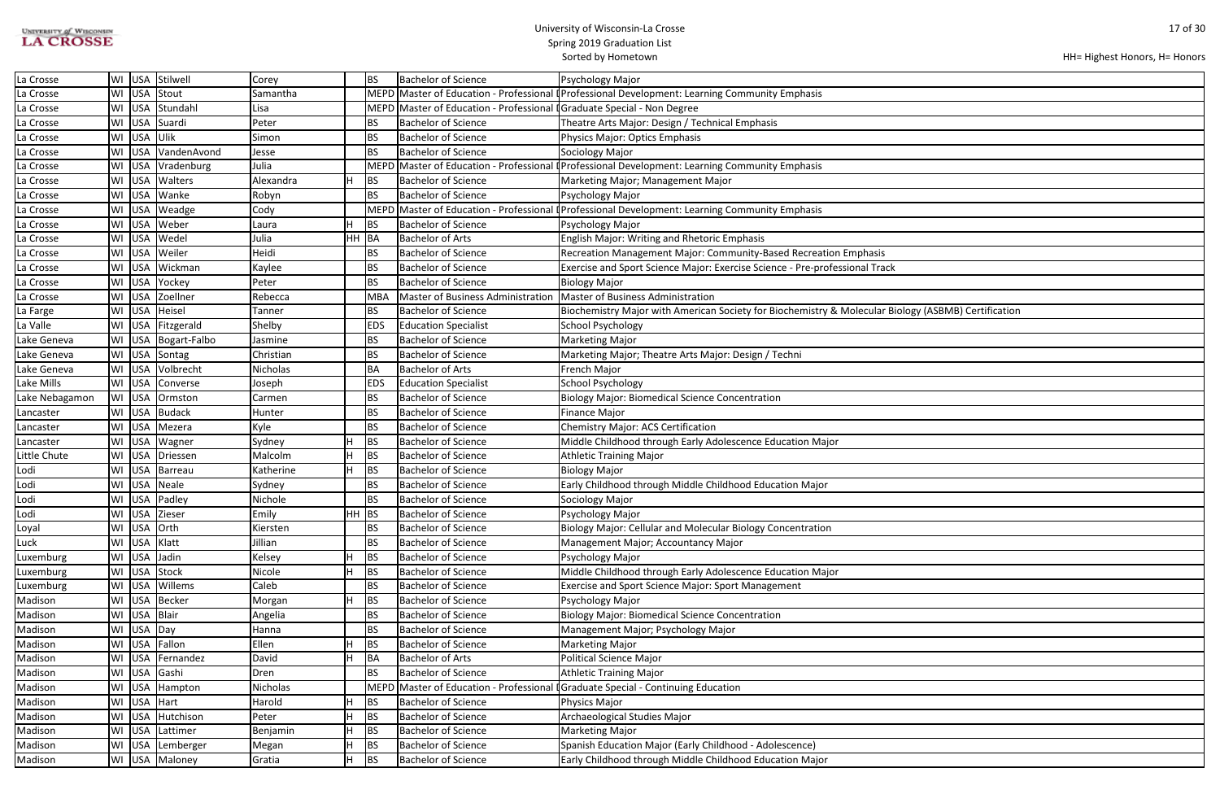| <b>UNIVERSITY of WISCONSIN</b> |  |
|--------------------------------|--|
| <b>LA CROSSE</b>               |  |

| ology (ASBMB) Certification |  |
|-----------------------------|--|
|                             |  |
|                             |  |
|                             |  |
|                             |  |
|                             |  |
|                             |  |
|                             |  |
|                             |  |
|                             |  |
|                             |  |
|                             |  |
|                             |  |
|                             |  |
|                             |  |
|                             |  |
|                             |  |
|                             |  |
|                             |  |
|                             |  |
|                             |  |
|                             |  |
|                             |  |
|                             |  |
|                             |  |
|                             |  |
|                             |  |
|                             |  |
|                             |  |
|                             |  |
|                             |  |
|                             |  |
|                             |  |
|                             |  |
|                             |  |

| La Crosse      |    |              | WI USA Stilwell     | Corey     |         | <b>BS</b>  | <b>Bachelor of Science</b>                                              | Psychology Major                                                                                     |
|----------------|----|--------------|---------------------|-----------|---------|------------|-------------------------------------------------------------------------|------------------------------------------------------------------------------------------------------|
| La Crosse      |    |              | WI USA Stout        | Samantha  |         |            |                                                                         | MEPD Master of Education - Professional (Professional Development: Learning Community Emphasis       |
| La Crosse      | WI |              | USA Stundahl        | Lisa      |         |            | MEPD Master of Education - Professional I Graduate Special - Non Degree |                                                                                                      |
| La Crosse      |    |              | WI USA Suardi       | Peter     |         | <b>BS</b>  | <b>Bachelor of Science</b>                                              | Theatre Arts Major: Design / Technical Emphasis                                                      |
| La Crosse      |    | WI USA Ulik  |                     | Simon     |         | <b>BS</b>  | Bachelor of Science                                                     | Physics Major: Optics Emphasis                                                                       |
| La Crosse      | WI |              | USA VandenAvond     | Jesse     |         | <b>BS</b>  | <b>Bachelor of Science</b>                                              | Sociology Major                                                                                      |
| La Crosse      |    | WI USA       | Vradenburg          | Julia     |         |            | MEPD Master of Education - Professional                                 | <b>I</b> Professional Development: Learning Community Emphasis                                       |
| La Crosse      | WI |              | USA   Walters       | Alexandra |         | BS         | <b>Bachelor of Science</b>                                              | Marketing Major; Management Major                                                                    |
| La Crosse      |    |              | WI USA Wanke        | Robyn     |         | <b>BS</b>  | <b>Bachelor of Science</b>                                              | Psychology Major                                                                                     |
| La Crosse      | WI |              | USA Weadge          | Cody      |         |            |                                                                         | MEPD Master of Education - Professional <i>Professional Development: Learning Community Emphasis</i> |
| La Crosse      | WI |              | USA Weber           | Laura     |         | <b>BS</b>  | <b>Bachelor of Science</b>                                              | Psychology Major                                                                                     |
| La Crosse      |    |              | WI USA Wedel        | Julia     | HH BA   |            | <b>Bachelor of Arts</b>                                                 | <b>English Major: Writing and Rhetoric Emphasis</b>                                                  |
| La Crosse      | WI |              | USA Weiler          | Heidi     |         | BS         | <b>Bachelor of Science</b>                                              | Recreation Management Major: Community-Based Recreation Emphasis                                     |
| La Crosse      |    |              | WI USA Wickman      | Kaylee    |         | <b>BS</b>  | <b>Bachelor of Science</b>                                              | Exercise and Sport Science Major: Exercise Science - Pre-professional Track                          |
| La Crosse      | WI | USA          | Yockey              | Peter     |         | <b>BS</b>  | <b>Bachelor of Science</b>                                              | <b>Biology Major</b>                                                                                 |
| La Crosse      |    |              | WI USA Zoellner     | Rebecca   |         | <b>MBA</b> | Master of Business Administration                                       | Master of Business Administration                                                                    |
| La Farge       |    | WI USA       | Heisel              | Tanner    |         | BS         | <b>Bachelor of Science</b>                                              | Biochemistry Major with American Society for Biochemistry & Molecular Biology (ASBMB) Certification  |
| La Valle       | WI |              | USA Fitzgerald      | Shelby    |         | <b>EDS</b> | <b>Education Specialist</b>                                             | <b>School Psychology</b>                                                                             |
| Lake Geneva    |    |              | WI USA Bogart-Falbo | Jasmine   |         | <b>BS</b>  | Bachelor of Science                                                     | <b>Marketing Major</b>                                                                               |
| Lake Geneva    |    |              | WI USA Sontag       | Christian |         | <b>BS</b>  | <b>Bachelor of Science</b>                                              | Marketing Major; Theatre Arts Major: Design / Techni                                                 |
| Lake Geneva    |    |              | WI USA Volbrecht    | Nicholas  |         | <b>BA</b>  | <b>Bachelor of Arts</b>                                                 | French Major                                                                                         |
| Lake Mills     |    | WI USA       | Converse            | Joseph    |         | <b>EDS</b> | <b>Education Specialist</b>                                             | <b>School Psychology</b>                                                                             |
| Lake Nebagamon |    |              | WI USA Ormston      | Carmen    |         | BS         | <b>Bachelor of Science</b>                                              | <b>Biology Major: Biomedical Science Concentration</b>                                               |
| Lancaster      |    |              | WI USA Budack       | Hunter    |         | <b>BS</b>  | <b>Bachelor of Science</b>                                              | <b>Finance Major</b>                                                                                 |
| Lancaster      | WI |              | USA Mezera          | Kyle      |         | <b>BS</b>  | <b>Bachelor of Science</b>                                              | Chemistry Major: ACS Certification                                                                   |
| Lancaster      |    | WI USA       | Wagner              | Sydney    |         | <b>BS</b>  | <b>Bachelor of Science</b>                                              | Middle Childhood through Early Adolescence Education Major                                           |
| Little Chute   |    |              | WI USA Driessen     | Malcolm   |         | <b>BS</b>  | <b>Bachelor of Science</b>                                              | <b>Athletic Training Major</b>                                                                       |
| Lodi           |    |              | WI USA Barreau      | Katherine |         | <b>BS</b>  | <b>Bachelor of Science</b>                                              | <b>Biology Major</b>                                                                                 |
| Lodi           |    |              | WI USA Neale        | Sydney    |         | <b>BS</b>  | <b>Bachelor of Science</b>                                              | Early Childhood through Middle Childhood Education Major                                             |
| Lodi           | WI |              | USA Padley          | Nichole   |         | BS         | <b>Bachelor of Science</b>                                              | Sociology Major                                                                                      |
| Lodi           |    |              | WI USA Zieser       | Emily     | $HH$ BS |            | <b>Bachelor of Science</b>                                              | Psychology Major                                                                                     |
| Loyal          |    | WI USA Orth  |                     | Kiersten  |         | BS         | Bachelor of Science                                                     | Biology Major: Cellular and Molecular Biology Concentration                                          |
| Luck           |    | WI USA Klatt |                     | Jillian   |         | BS         | <b>Bachelor of Science</b>                                              | Management Major; Accountancy Major                                                                  |
| Luxemburg      |    | WI USA Jadin |                     | Kelsey    |         | BS         | <b>Bachelor of Science</b>                                              | Psychology Major                                                                                     |
| Luxemburg      |    |              | WI USA Stock        | Nicole    |         | <b>BS</b>  | <b>Bachelor of Science</b>                                              | Middle Childhood through Early Adolescence Education Major                                           |
| Luxemburg      |    |              | WI USA Willems      | Caleb     |         | <b>BS</b>  | <b>Bachelor of Science</b>                                              | Exercise and Sport Science Major: Sport Management                                                   |
| Madison        |    |              | WI USA Becker       | Morgan    |         | BS         | <b>Bachelor of Science</b>                                              | Psychology Major                                                                                     |
| Madison        |    | WI USA Blair |                     | Angelia   |         | BS         | <b>Bachelor of Science</b>                                              | <b>Biology Major: Biomedical Science Concentration</b>                                               |
| Madison        |    | WI USA Day   |                     | Hanna     |         | <b>BS</b>  | <b>Bachelor of Science</b>                                              | Management Major; Psychology Major                                                                   |
| Madison        |    |              | WI USA Fallon       | Ellen     |         | <b>BS</b>  | <b>Bachelor of Science</b>                                              | <b>Marketing Major</b>                                                                               |
| Madison        |    |              | WI USA Fernandez    | David     |         | <b>BA</b>  | <b>Bachelor of Arts</b>                                                 | Political Science Major                                                                              |
| Madison        |    |              | WI USA Gashi        | Dren      |         | BS         | <b>Bachelor of Science</b>                                              | <b>Athletic Training Major</b>                                                                       |
| Madison        |    |              | WI   USA   Hampton  | Nicholas  |         | MEPD       |                                                                         | Master of Education - Professional I Graduate Special - Continuing Education                         |
| Madison        |    | WI USA Hart  |                     | Harold    |         | BS         | <b>Bachelor of Science</b>                                              | Physics Major                                                                                        |
| Madison        |    |              | WI USA Hutchison    | Peter     |         | <b>BS</b>  | <b>Bachelor of Science</b>                                              | Archaeological Studies Major                                                                         |
| Madison        |    |              | WI USA Lattimer     | Benjamin  |         | <b>BS</b>  | <b>Bachelor of Science</b>                                              | <b>Marketing Major</b>                                                                               |
| Madison        |    |              | WI USA Lemberger    | Megan     |         | <b>BS</b>  | <b>Bachelor of Science</b>                                              | Spanish Education Major (Early Childhood - Adolescence)                                              |
| Madison        |    |              | WI USA Maloney      | Gratia    |         | <b>BS</b>  | <b>Bachelor of Science</b>                                              | Early Childhood through Middle Childhood Education Major                                             |
|                |    |              |                     |           |         |            |                                                                         |                                                                                                      |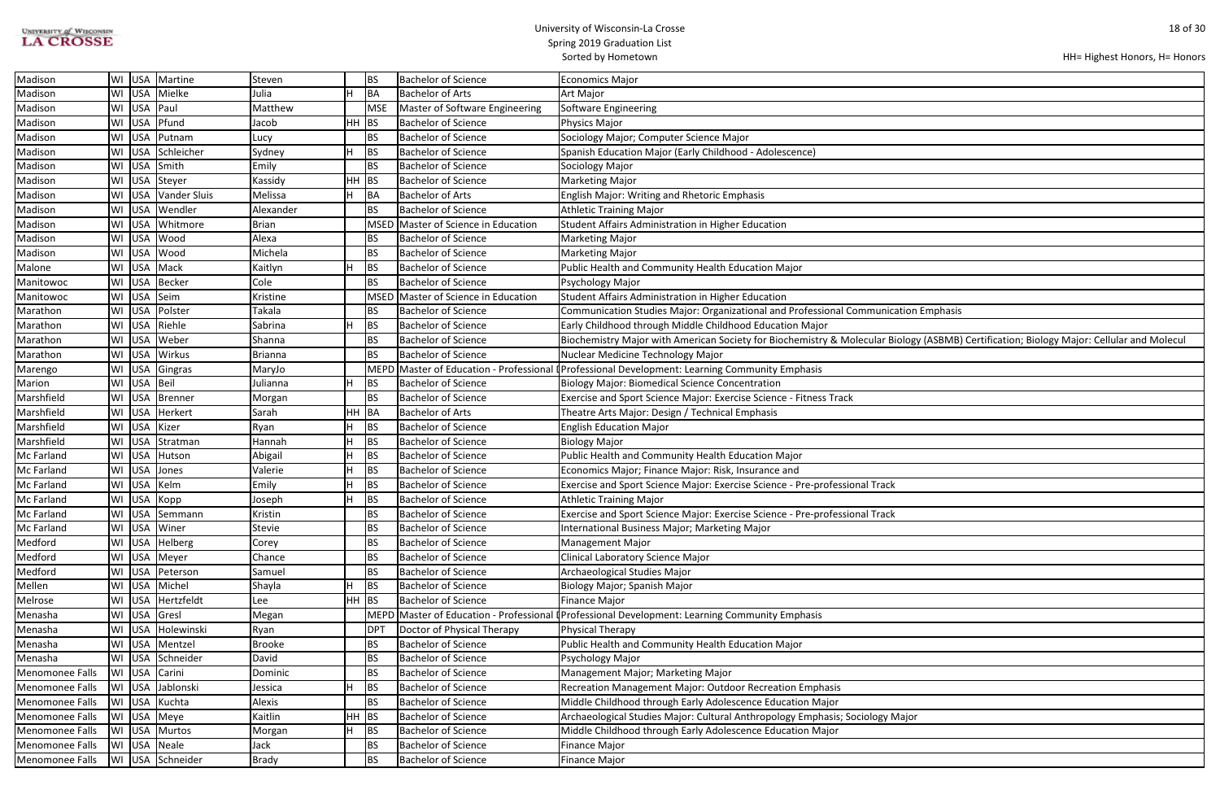| UNIVERSITY of WISCONSIN |
|-------------------------|
| <b>LA CROSSE</b>        |

| ation Emphasis                                                   |
|------------------------------------------------------------------|
|                                                                  |
| ology (ASBMB) Certification; Biology Major: Cellular and Molecul |
|                                                                  |
|                                                                  |
|                                                                  |
|                                                                  |
|                                                                  |
|                                                                  |
|                                                                  |
|                                                                  |
|                                                                  |
|                                                                  |
|                                                                  |
|                                                                  |
|                                                                  |
|                                                                  |
|                                                                  |
|                                                                  |
|                                                                  |
|                                                                  |
|                                                                  |
|                                                                  |
|                                                                  |
|                                                                  |
|                                                                  |
|                                                                  |
|                                                                  |
|                                                                  |
|                                                                  |
| lajor                                                            |
|                                                                  |
|                                                                  |
|                                                                  |

| Madison         | WI                         | USA Martine       | Steven         | IBS.        | <b>Bachelor of Science</b>         | Economics Major                                                                                                                         |
|-----------------|----------------------------|-------------------|----------------|-------------|------------------------------------|-----------------------------------------------------------------------------------------------------------------------------------------|
| Madison         | WI                         | USA Mielke        | Julia          | <b>BA</b>   | Bachelor of Arts                   | Art Major                                                                                                                               |
| Madison         | WI                         | USA Paul          | Matthew        | <b>MSE</b>  | Master of Software Engineering     | Software Engineering                                                                                                                    |
| Madison         | WI                         | USA Pfund         | Jacob          | HH BS       | Bachelor of Science                | Physics Major                                                                                                                           |
| Madison         | WI                         | USA Putnam        | Lucy           | <b>BS</b>   | <b>Bachelor of Science</b>         | Sociology Major; Computer Science Major                                                                                                 |
| Madison         |                            | WI USA Schleicher | Sydney         | <b>BS</b>   | <b>Bachelor of Science</b>         | Spanish Education Major (Early Childhood - Adolescence)                                                                                 |
| Madison         | WI                         | USA Smith         | Emily          | <b>BS</b>   | Bachelor of Science                | Sociology Major                                                                                                                         |
| Madison         | WI USA Steyer              |                   | Kassidy        | HH BS       | <b>Bachelor of Science</b>         | Marketing Major                                                                                                                         |
| Madison         | WI                         | USA Vander Sluis  | Melissa        | BA          | <b>Bachelor of Arts</b>            | <b>English Major: Writing and Rhetoric Emphasis</b>                                                                                     |
| Madison         | WI                         | USA Wendler       | Alexander      |             | <b>Bachelor of Science</b>         | Athletic Training Major                                                                                                                 |
| Madison         | WI                         | USA Whitmore      | <b>Brian</b>   | <b>MSED</b> | Master of Science in Education     | Student Affairs Administration in Higher Education                                                                                      |
| Madison         | WI USA Wood                |                   | Alexa          | BS          | <b>Bachelor of Science</b>         | Marketing Major                                                                                                                         |
| Madison         | WI USA Wood                |                   | Michela        | BS          | <b>Bachelor of Science</b>         | Marketing Major                                                                                                                         |
| Malone          | WI                         | USA Mack          | Kaitlyn        | <b>BS</b>   | <b>Bachelor of Science</b>         | Public Health and Community Health Education Major                                                                                      |
| Manitowoc       | WI                         | USA Becker        | Cole           | <b>BS</b>   | <b>Bachelor of Science</b>         | Psychology Major                                                                                                                        |
| Manitowoc       | WI                         | USA Seim          | Kristine       | MSED        | Master of Science in Education     | Student Affairs Administration in Higher Education                                                                                      |
| Marathon        | WI USA Polster             |                   | Takala         | IBS.        | <b>Bachelor of Science</b>         | Communication Studies Major: Organizational and Professional Communication Emphasis                                                     |
| Marathon        | WI USA Riehle              |                   | Sabrina        | IBS.        | <b>Bachelor of Science</b>         | Early Childhood through Middle Childhood Education Major                                                                                |
| Marathon        | WI USA Weber               |                   | Shanna         | BS          | Bachelor of Science                | Biochemistry Major with American Society for Biochemistry & Molecular Biology (ASBMB) Certification; Biology Major: Cellular and Molecu |
| Marathon        | WI USA Wirkus              |                   | <b>Brianna</b> | BS          | <b>Bachelor of Science</b>         | Nuclear Medicine Technology Major                                                                                                       |
| Marengo         | WI                         | USA Gingras       | MaryJo         | <b>MEPD</b> | Master of Education - Professional | I Professional Development: Learning Community Emphasis                                                                                 |
| Marion          | WI                         | USA Beil          | Julianna       |             | <b>Bachelor of Science</b>         | <b>Biology Major: Biomedical Science Concentration</b>                                                                                  |
| Marshfield      | WI                         | USA Brenner       | Morgan         | BS          | <b>Bachelor of Science</b>         | Exercise and Sport Science Major: Exercise Science - Fitness Track                                                                      |
| Marshfield      |                            | WI USA Herkert    | Sarah          | HH BA       | Bachelor of Arts                   | Theatre Arts Major: Design / Technical Emphasis                                                                                         |
| Marshfield      | WI USA Kizer               |                   | Ryan           | BS          | <b>Bachelor of Science</b>         | <b>English Education Major</b>                                                                                                          |
| Marshfield      | WI                         | USA Stratman      | Hannah         | <b>BS</b>   | <b>Bachelor of Science</b>         | Biology Major                                                                                                                           |
| Mc Farland      |                            | WI USA Hutson     | Abigail        | BS          | <b>Bachelor of Science</b>         | Public Health and Community Health Education Major                                                                                      |
| Mc Farland      | WI USA Jones               |                   | Valerie        | <b>BS</b>   | <b>Bachelor of Science</b>         | Economics Major; Finance Major: Risk, Insurance and                                                                                     |
| Mc Farland      | WI USA Kelm                |                   | Emily          | IBS.        | <b>Bachelor of Science</b>         | Exercise and Sport Science Major: Exercise Science - Pre-professional Track                                                             |
| Mc Farland      | WI USA Kopp                |                   | Joseph         | <b>BS</b>   | Bachelor of Science                | Athletic Training Major                                                                                                                 |
| Mc Farland      |                            | WI USA Semmann    | Kristin        | <b>BS</b>   | Bachelor of Science                | Exercise and Sport Science Major: Exercise Science - Pre-professional Track                                                             |
| Mc Farland      | WI USA Winer               |                   | Stevie         | <b>BS</b>   | <b>Bachelor of Science</b>         | International Business Major; Marketing Major                                                                                           |
| Medford         |                            | WI USA Helberg    | Corey          | <b>BS</b>   | Bachelor of Science                | Management Major                                                                                                                        |
| Medford         | WI USA Meyer               |                   | Chance         | <b>BS</b>   | <b>Bachelor of Science</b>         | Clinical Laboratory Science Major                                                                                                       |
| Medford         |                            | WI USA Peterson   | Samuel         | BS          | <b>Bachelor of Science</b>         | Archaeological Studies Major                                                                                                            |
| Mellen          | WI                         | USA Michel        | Shayla         | <b>BS</b>   | <b>Bachelor of Science</b>         | Biology Major; Spanish Major                                                                                                            |
| Melrose         | WI                         | USA Hertzfeldt    | Lee            | $HH$ BS     | Bachelor of Science                | Finance Major                                                                                                                           |
| Menasha         | WI USA Gresl               |                   | Megan          |             |                                    | MEPD Master of Education - Professional (Professional Development: Learning Community Emphasis                                          |
| Menasha         |                            | WI USA Holewinski | Ryan           | <b>DPT</b>  | Doctor of Physical Therapy         | Physical Therapy                                                                                                                        |
| Menasha         | WI                         | USA Mentzel       | <b>Brooke</b>  | <b>BS</b>   | Bachelor of Science                | Public Health and Community Health Education Major                                                                                      |
| Menasha         |                            | WI USA Schneider  | David          | <b>BS</b>   | <b>Bachelor of Science</b>         | Psychology Major                                                                                                                        |
| Menomonee Falls | WI USA Carini              |                   | Dominic        | <b>BS</b>   | Bachelor of Science                | Management Major; Marketing Major                                                                                                       |
| Menomonee Falls |                            | WI USA Jablonski  | Jessica        | BS          | <b>Bachelor of Science</b>         | Recreation Management Major: Outdoor Recreation Emphasis                                                                                |
| Menomonee Falls | WI USA Kuchta              |                   | Alexis         | <b>BS</b>   | <b>Bachelor of Science</b>         | Middle Childhood through Early Adolescence Education Major                                                                              |
| Menomonee Falls | WI                         | USA Meye          | Kaitlin        | HH BS       | <b>Bachelor of Science</b>         | Archaeological Studies Major: Cultural Anthropology Emphasis; Sociology Major                                                           |
| Menomonee Falls | WI                         | USA Murtos        | Morgan         | BS          | <b>Bachelor of Science</b>         | Middle Childhood through Early Adolescence Education Major                                                                              |
| Menomonee Falls |                            | USA Neale         | Jack           | BS          | <b>Bachelor of Science</b>         | Finance Major                                                                                                                           |
| Menomonee Falls | $\overline{\mathsf{I}}$ WI | USA Schneider     | Brady          | <b>BS</b>   | <b>Bachelor of Science</b>         | Finance Major                                                                                                                           |
|                 |                            |                   |                |             |                                    |                                                                                                                                         |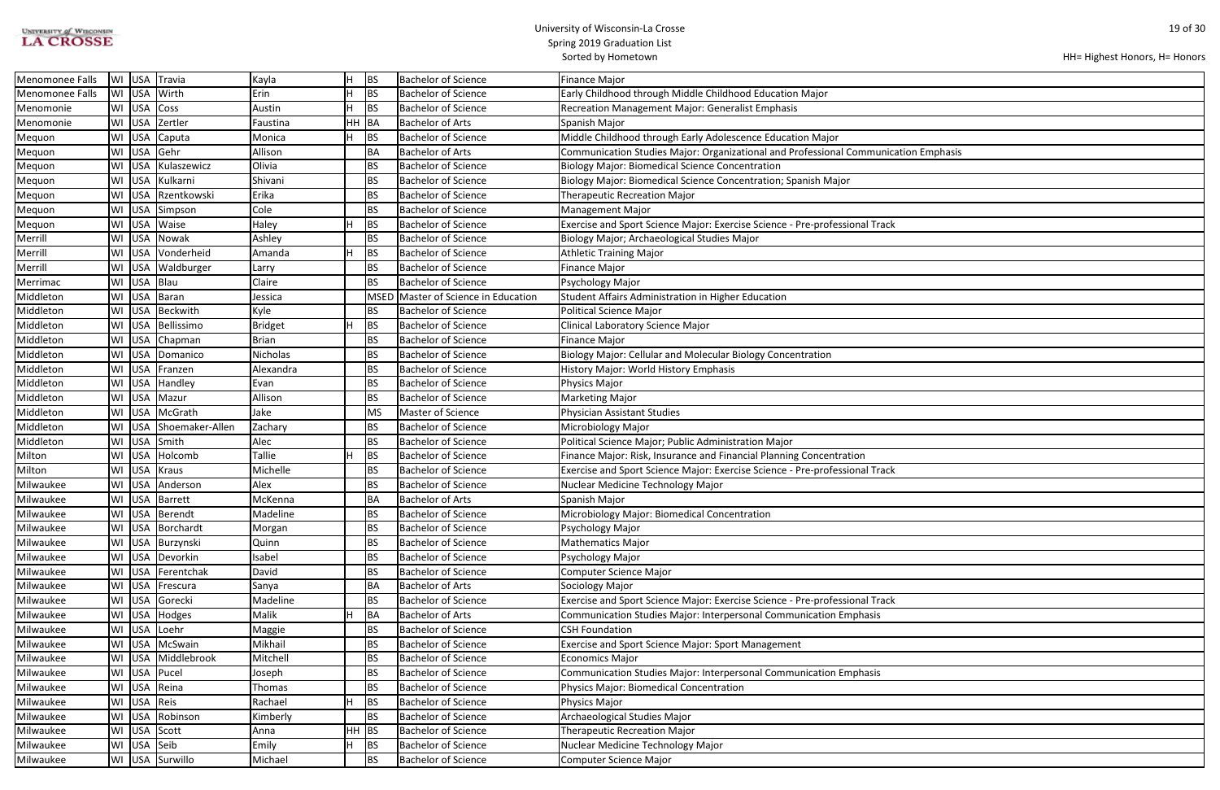| <b>UNIVERSITY of WISCONSIN</b> |
|--------------------------------|
| <b>LA CROSSE</b>               |

```
HH= Highest Honors, H= Honors
```

| ation Emphasis |  |
|----------------|--|
|                |  |
|                |  |
|                |  |
|                |  |
|                |  |
|                |  |
|                |  |
|                |  |
|                |  |
|                |  |
|                |  |
|                |  |
|                |  |
|                |  |
|                |  |
|                |  |
|                |  |
|                |  |
|                |  |
|                |  |
|                |  |
|                |  |
|                |  |
|                |  |
|                |  |
|                |  |
|                |  |
|                |  |
|                |  |
|                |  |
|                |  |
|                |  |
|                |  |
|                |  |
|                |  |
|                |  |
|                |  |
|                |  |
|                |  |
|                |  |
|                |  |
|                |  |
|                |  |
|                |  |
|                |  |
|                |  |
|                |  |
|                |  |
|                |  |
|                |  |
|                |  |
|                |  |
|                |  |
|                |  |
|                |  |
|                |  |
|                |  |
|                |  |
|                |  |

| Menomonee Falls        | WI USA | Travia               | Kayla           | lH.     | <b>BS</b>   | <b>Bachelor of Science</b>     | Finance Major                                                                       |  |  |
|------------------------|--------|----------------------|-----------------|---------|-------------|--------------------------------|-------------------------------------------------------------------------------------|--|--|
| <b>Menomonee Falls</b> | WI USA | Wirth                | Erin            |         | BS          | <b>Bachelor of Science</b>     | Early Childhood through Middle Childhood Education Major                            |  |  |
| Menomonie              | WI USA | Coss                 | Austin          |         | BS          | <b>Bachelor of Science</b>     | <b>Recreation Management Major: Generalist Emphasis</b>                             |  |  |
| Menomonie              | WI USA | Zertler              | Faustina        | HH      | BA          | <b>Bachelor of Arts</b>        | Spanish Major                                                                       |  |  |
| Mequon                 | WI USA | Caputa               | Monica          |         | <b>BS</b>   | <b>Bachelor of Science</b>     | Middle Childhood through Early Adolescence Education Major                          |  |  |
| Mequon                 | WI USA | Gehr                 | Allison         |         | BA          | <b>Bachelor of Arts</b>        | Communication Studies Major: Organizational and Professional Communication Emphasis |  |  |
| Mequon                 | WI USA | Kulaszewicz          | Olivia          |         | <b>BS</b>   | Bachelor of Science            | <b>Biology Major: Biomedical Science Concentration</b>                              |  |  |
| Mequon                 | WI USA | Kulkarni             | Shivani         |         | <b>BS</b>   | <b>Bachelor of Science</b>     | Biology Major: Biomedical Science Concentration; Spanish Major                      |  |  |
| Mequon                 | WI USA | Rzentkowski          | Erika           |         | <b>BS</b>   | <b>Bachelor of Science</b>     | <b>Therapeutic Recreation Major</b>                                                 |  |  |
| Mequon                 | WI USA | Simpson              | Cole            |         | <b>BS</b>   | <b>Bachelor of Science</b>     | <b>Management Major</b>                                                             |  |  |
| Mequon                 | WI USA | Waise                | Haley           |         | BS          | <b>Bachelor of Science</b>     | Exercise and Sport Science Major: Exercise Science - Pre-professional Track         |  |  |
| Merrill                | WI USA | Nowak                | Ashley          |         | <b>BS</b>   | Bachelor of Science            | Biology Major; Archaeological Studies Major                                         |  |  |
| Merrill                | WI USA | Vonderheid           | Amanda          |         | BS          | <b>Bachelor of Science</b>     | Athletic Training Major                                                             |  |  |
| Merrill                | WI USA | Waldburger           | Larry           |         | <b>BS</b>   | Bachelor of Science            | Finance Major                                                                       |  |  |
| Merrimac               | WI USA | Blau                 | Claire          |         | <b>BS</b>   | <b>Bachelor of Science</b>     | Psychology Major                                                                    |  |  |
| Middleton              | WI USA | Baran                | Jessica         |         | <b>MSED</b> | Master of Science in Education | Student Affairs Administration in Higher Education                                  |  |  |
| Middleton              | WI USA | Beckwith             | Kyle            |         | BS          | Bachelor of Science            | Political Science Major                                                             |  |  |
| Middleton              | WI USA | Bellissimo           | <b>Bridget</b>  |         | BS          | <b>Bachelor of Science</b>     | <b>Clinical Laboratory Science Major</b>                                            |  |  |
| Middleton              | WI USA | Chapman              | <b>Brian</b>    |         | <b>BS</b>   | <b>Bachelor of Science</b>     | Finance Major                                                                       |  |  |
| Middleton              | WI USA | Domanico             | <b>Nicholas</b> |         | <b>BS</b>   | <b>Bachelor of Science</b>     | Biology Major: Cellular and Molecular Biology Concentration                         |  |  |
| Middleton              | WI USA | Franzen              | Alexandra       |         | <b>BS</b>   | <b>Bachelor of Science</b>     | History Major: World History Emphasis                                               |  |  |
| Middleton              | WI USA | Handley              | Evan            |         | BS          | <b>Bachelor of Science</b>     | Physics Major                                                                       |  |  |
| Middleton              | WI USA | Mazur                | Allison         |         | <b>BS</b>   | <b>Bachelor of Science</b>     | <b>Marketing Major</b>                                                              |  |  |
| Middleton              | WI USA | McGrath              | Jake            |         | MS          | Master of Science              | Physician Assistant Studies                                                         |  |  |
| Middleton              | WI USA | Shoemaker-Allen      | Zachary         |         | BS          | <b>Bachelor of Science</b>     | Microbiology Major                                                                  |  |  |
| Middleton              | WI USA | Smith                | Alec            |         | BS          | Bachelor of Science            | Political Science Major; Public Administration Major                                |  |  |
| Milton                 | WI USA | Holcomb              | <b>Tallie</b>   |         | BS          | Bachelor of Science            | Finance Major: Risk, Insurance and Financial Planning Concentration                 |  |  |
| Milton                 | WI USA | Kraus                | Michelle        |         | BS          | <b>Bachelor of Science</b>     | Exercise and Sport Science Major: Exercise Science - Pre-professional Track         |  |  |
| Milwaukee              | WI USA | Anderson             | Alex            |         | BS          | <b>Bachelor of Science</b>     | Nuclear Medicine Technology Major                                                   |  |  |
| Milwaukee              |        | WI USA Barrett       | McKenna         |         | BA          | <b>Bachelor of Arts</b>        | Spanish Major                                                                       |  |  |
| Milwaukee              |        | WI USA Berendt       | Madeline        |         | BS          | <b>Bachelor of Science</b>     | Microbiology Major: Biomedical Concentration                                        |  |  |
| Milwaukee              |        | WI   USA   Borchardt | Morgan          |         | <b>BS</b>   | Bachelor of Science            | Psychology Major                                                                    |  |  |
| Milwaukee              |        | WI USA Burzynski     | Quinn           |         | BS          | <b>Bachelor of Science</b>     | Mathematics Major                                                                   |  |  |
| Milwaukee              |        | WI USA Devorkin      | Isabel          |         | <b>BS</b>   | <b>Bachelor of Science</b>     | Psychology Major                                                                    |  |  |
| Milwaukee              | WI USA | Ferentchak           | David           |         | <b>BS</b>   | <b>Bachelor of Science</b>     | Computer Science Major                                                              |  |  |
| Milwaukee              | WI USA | Frescura             | Sanya           |         | BA          | Bachelor of Arts               | Sociology Major                                                                     |  |  |
| Milwaukee              | WI USA | Gorecki              | Madeline        |         | <b>BS</b>   | <b>Bachelor of Science</b>     | Exercise and Sport Science Major: Exercise Science - Pre-professional Track         |  |  |
| Milwaukee              | WI USA | Hodges               | Malik           |         | BA          | Bachelor of Arts               | Communication Studies Major: Interpersonal Communication Emphasis                   |  |  |
| Milwaukee              | WI USA | Loehr                | Maggie          |         | <b>BS</b>   | <b>Bachelor of Science</b>     | <b>CSH Foundation</b>                                                               |  |  |
| Milwaukee              | WI USA | McSwain              | Mikhail         |         | <b>BS</b>   | <b>Bachelor of Science</b>     | <b>Exercise and Sport Science Major: Sport Management</b>                           |  |  |
| Milwaukee              | WI USA | Middlebrook          | Mitchell        |         | <b>BS</b>   | <b>Bachelor of Science</b>     | Economics Major                                                                     |  |  |
| Milwaukee              | WI USA | Pucel                | Joseph          |         | <b>BS</b>   | <b>Bachelor of Science</b>     | Communication Studies Major: Interpersonal Communication Emphasis                   |  |  |
| Milwaukee              | WI USA | Reina                | Thomas          |         | BS          | <b>Bachelor of Science</b>     | Physics Major: Biomedical Concentration                                             |  |  |
| Milwaukee              | WI USA | Reis                 | Rachael         |         | <b>BS</b>   | <b>Bachelor of Science</b>     | Physics Major                                                                       |  |  |
| Milwaukee              | WI USA | Robinson             | Kimberly        |         | <b>BS</b>   | <b>Bachelor of Science</b>     | Archaeological Studies Major                                                        |  |  |
| Milwaukee              | WI USA | Scott                | Anna            | $HH$ BS |             | <b>Bachelor of Science</b>     | <b>Therapeutic Recreation Major</b>                                                 |  |  |
| Milwaukee              | WI USA | Seib                 | Emily           |         | BS          | <b>Bachelor of Science</b>     | Nuclear Medicine Technology Major                                                   |  |  |
| Milwaukee              |        | WI USA Surwillo      | Michael         |         | BS          | <b>Bachelor of Science</b>     | Computer Science Major                                                              |  |  |
|                        |        |                      |                 |         |             |                                |                                                                                     |  |  |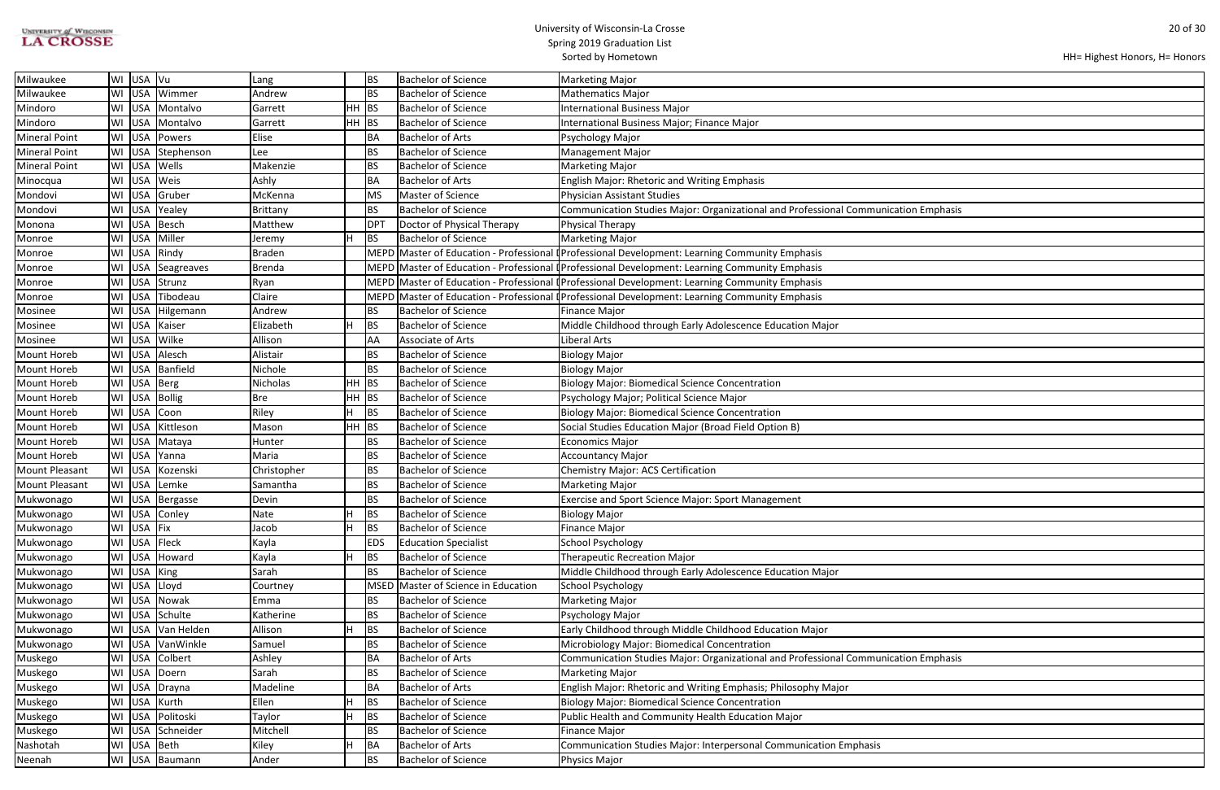| <b>UNIVERSITY of WISCONSIN</b> |  |
|--------------------------------|--|
| <b>LA CROSSE</b>               |  |

| HH= Highest Honors, H= Honors |  |  |  |
|-------------------------------|--|--|--|
|-------------------------------|--|--|--|

| ation Emphasis |
|----------------|
|                |
|                |
|                |
|                |
|                |
|                |
|                |
|                |
|                |
|                |
|                |
|                |
|                |
|                |
|                |
|                |
|                |
|                |
|                |
|                |
|                |
|                |
|                |
|                |
|                |
|                |
|                |
|                |
|                |
|                |
|                |
|                |
|                |
|                |
|                |
|                |
|                |
|                |
|                |
| ation Emphasis |
|                |
|                |
|                |
|                |
|                |
|                |
|                |
|                |
|                |

| Milwaukee             |           | WI USA Vu    |                      | Lang          |         | <b>BS</b>       | <b>Bachelor of Science</b>     | <b>Marketing Major</b>                                                                               |
|-----------------------|-----------|--------------|----------------------|---------------|---------|-----------------|--------------------------------|------------------------------------------------------------------------------------------------------|
| Milwaukee             | WI        |              | USA Wimmer           | Andrew        |         | <b>BS</b>       | Bachelor of Science            | <b>Mathematics Major</b>                                                                             |
| Mindoro               | WI I      |              | USA Montalvo         | Garrett       | HН      | BS              | <b>Bachelor of Science</b>     | <b>International Business Major</b>                                                                  |
| Mindoro               | WI        | <b>USA</b>   | Montalvo             | Garrett       | $HH$ BS |                 | <b>Bachelor of Science</b>     | International Business Major; Finance Major                                                          |
| <b>Mineral Point</b>  | WI        | <b>USA</b>   | Powers               | Elise         |         | BA              | <b>Bachelor of Arts</b>        | Psychology Major                                                                                     |
| <b>Mineral Point</b>  | WI        |              | USA Stephenson       | Lee           |         | <b>BS</b>       | Bachelor of Science            | <b>Management Major</b>                                                                              |
| <b>Mineral Point</b>  |           | WI USA Wells |                      | Makenzie      |         | <b>BS</b>       | <b>Bachelor of Science</b>     | <b>Marketing Major</b>                                                                               |
| Minocqua              | WI        | USA Weis     |                      | Ashly         |         | BA              | <b>Bachelor of Arts</b>        | <b>English Major: Rhetoric and Writing Emphasis</b>                                                  |
| Mondovi               | WI        | <b>USA</b>   | Gruber               | McKenna       |         | <b>MS</b>       | Master of Science              | Physician Assistant Studies                                                                          |
| Mondovi               | WI        | <b>USA</b>   | Yealey               | Brittany      |         | <b>BS</b>       | <b>Bachelor of Science</b>     | Communication Studies Major: Organizational and Professional Communication Emphasis                  |
| Monona                | WI        | <b>USA</b>   | Besch                | Matthew       |         | DP <sub>1</sub> | Doctor of Physical Therapy     | Physical Therapy                                                                                     |
| Monroe                | WI        |              | USA   Miller         | Jeremy        |         | <b>BS</b>       | <b>Bachelor of Science</b>     | Marketing Major                                                                                      |
| Monroe                |           |              | WI USA Rindy         | <b>Braden</b> |         |                 |                                | MEPD Master of Education - Professional (Professional Development: Learning Community Emphasis       |
| Monroe                | WI        |              | USA Seagreaves       | <b>Brenda</b> |         |                 |                                | MEPD Master of Education - Professional Professional Development: Learning Community Emphasis        |
| Monroe                | WI        |              | USA Strunz           | Ryan          |         |                 |                                | MEPD Master of Education - Professional I Professional Development: Learning Community Emphasis      |
| Monroe                | WI        |              | USA Tibodeau         | Claire        |         |                 |                                | MEPD Master of Education - Professional <i>Professional Development: Learning Community Emphasis</i> |
| Mosinee               | WI        |              | USA Hilgemann        | Andrew        |         | <b>BS</b>       | <b>Bachelor of Science</b>     | <b>Finance Major</b>                                                                                 |
| Mosinee               | WI        |              | USA Kaiser           | Elizabeth     |         | <b>BS</b>       | Bachelor of Science            | Middle Childhood through Early Adolescence Education Major                                           |
| Mosinee               | WI        |              | USA Wilke            | Allison       |         | AA              | Associate of Arts              | Liberal Arts                                                                                         |
| Mount Horeb           |           |              | WI USA Alesch        | Alistair      |         | <b>BS</b>       | <b>Bachelor of Science</b>     | <b>Biology Major</b>                                                                                 |
| Mount Horeb           | <b>WI</b> |              | USA Banfield         | Nichole       |         | <b>BS</b>       | Bachelor of Science            | <b>Biology Major</b>                                                                                 |
| Mount Horeb           | WI        | <b>USA</b>   | Berg                 | Nicholas      | HH.     | BS              | <b>Bachelor of Science</b>     | <b>Biology Major: Biomedical Science Concentration</b>                                               |
| <b>Mount Horeb</b>    | WI        | <b>USA</b>   | Bollig               | <b>Bre</b>    | HH BS   |                 | <b>Bachelor of Science</b>     | Psychology Major; Political Science Major                                                            |
| <b>Mount Horeb</b>    | WI        | <b>USA</b>   | Coon                 | Riley         |         | <b>BS</b>       | <b>Bachelor of Science</b>     | <b>Biology Major: Biomedical Science Concentration</b>                                               |
| Mount Horeb           |           |              | WI   USA   Kittleson | Mason         | $HH$ BS |                 | <b>Bachelor of Science</b>     | Social Studies Education Major (Broad Field Option B)                                                |
| Mount Horeb           | WI        |              | USA Mataya           | Hunter        |         | <b>BS</b>       | <b>Bachelor of Science</b>     | <b>Economics Major</b>                                                                               |
| Mount Horeb           |           |              | WI USA Yanna         | Maria         |         | <b>BS</b>       | <b>Bachelor of Science</b>     | Accountancy Major                                                                                    |
| <b>Mount Pleasant</b> | WI        | <b>USA</b>   | Kozenski             | Christopher   |         | <b>BS</b>       | <b>Bachelor of Science</b>     | <b>Chemistry Major: ACS Certification</b>                                                            |
| Mount Pleasant        | WI        |              | USA Lemke            | Samantha      |         | <b>BS</b>       | Bachelor of Science            | <b>Marketing Major</b>                                                                               |
| Mukwonago             | WI        |              | USA Bergasse         | Devin         |         | <b>BS</b>       | Bachelor of Science            | <b>Exercise and Sport Science Major: Sport Management</b>                                            |
| Mukwonago             |           |              | WI USA Conley        | Nate          | Н       | BS              | Bachelor of Science            | <b>Biology Major</b>                                                                                 |
| Mukwonago             |           | WI USA Fix   |                      | Jacob         | H.      | <b>BS</b>       | <b>Bachelor of Science</b>     | Finance Major                                                                                        |
| Mukwonago             |           | WI USA Fleck |                      | Kayla         |         | <b>EDS</b>      | <b>Education Specialist</b>    | School Psychology                                                                                    |
| Mukwonago             | WI        | <b>USA</b>   | Howard               | Kayla         |         | <b>BS</b>       | <b>Bachelor of Science</b>     | <b>Therapeutic Recreation Major</b>                                                                  |
| Mukwonago             | WI        | USA King     |                      | Sarah         |         | <b>BS</b>       | <b>Bachelor of Science</b>     | Middle Childhood through Early Adolescence Education Major                                           |
| Mukwonago             | WI        | <b>USA</b>   | Lloyd                | Courtney      |         | <b>MSED</b>     | Master of Science in Education | School Psychology                                                                                    |
| Mukwonago             | WI        | <b>USA</b>   | Nowak                | Emma          |         | <b>BS</b>       | <b>Bachelor of Science</b>     | Marketing Major                                                                                      |
| Mukwonago             | <b>WI</b> |              | USA Schulte          | Katherine     |         | <b>BS</b>       | Bachelor of Science            | Psychology Major                                                                                     |
| Mukwonago             |           |              | WI USA Van Helden    | Allison       |         | BS              | <b>Bachelor of Science</b>     | Early Childhood through Middle Childhood Education Major                                             |
| Mukwonago             | WI        |              | USA VanWinkle        | Samuel        |         | <b>BS</b>       | <b>Bachelor of Science</b>     | Microbiology Major: Biomedical Concentration                                                         |
| Muskego               | WI        | <b>USA</b>   | Colbert              | Ashley        |         | BA              | <b>Bachelor of Arts</b>        | Communication Studies Major: Organizational and Professional Communication Emphasis                  |
| Muskego               | WI        | <b>USA</b>   | Doern                | Sarah         |         | <b>BS</b>       | <b>Bachelor of Science</b>     | <b>Marketing Major</b>                                                                               |
| Muskego               | WI        |              | USA Drayna           | Madeline      |         | BA              | <b>Bachelor of Arts</b>        | English Major: Rhetoric and Writing Emphasis; Philosophy Major                                       |
| Muskego               | WI        |              | USA Kurth            | Ellen         |         | <b>BS</b>       | <b>Bachelor of Science</b>     | <b>Biology Major: Biomedical Science Concentration</b>                                               |
| Muskego               | WI        |              | USA Politoski        | Taylor        | н       | <b>BS</b>       | <b>Bachelor of Science</b>     | Public Health and Community Health Education Major                                                   |
| Muskego               | WI        |              | USA Schneider        | Mitchell      |         | <b>BS</b>       | <b>Bachelor of Science</b>     | <b>Finance Major</b>                                                                                 |
| Nashotah              | WI        | USA Beth     |                      | Kiley         |         | <b>BA</b>       | <b>Bachelor of Arts</b>        | Communication Studies Major: Interpersonal Communication Emphasis                                    |
| Neenah                |           |              | WI USA Baumann       | Ander         |         | <b>BS</b>       | <b>Bachelor of Science</b>     | Physics Major                                                                                        |
|                       |           |              |                      |               |         |                 |                                |                                                                                                      |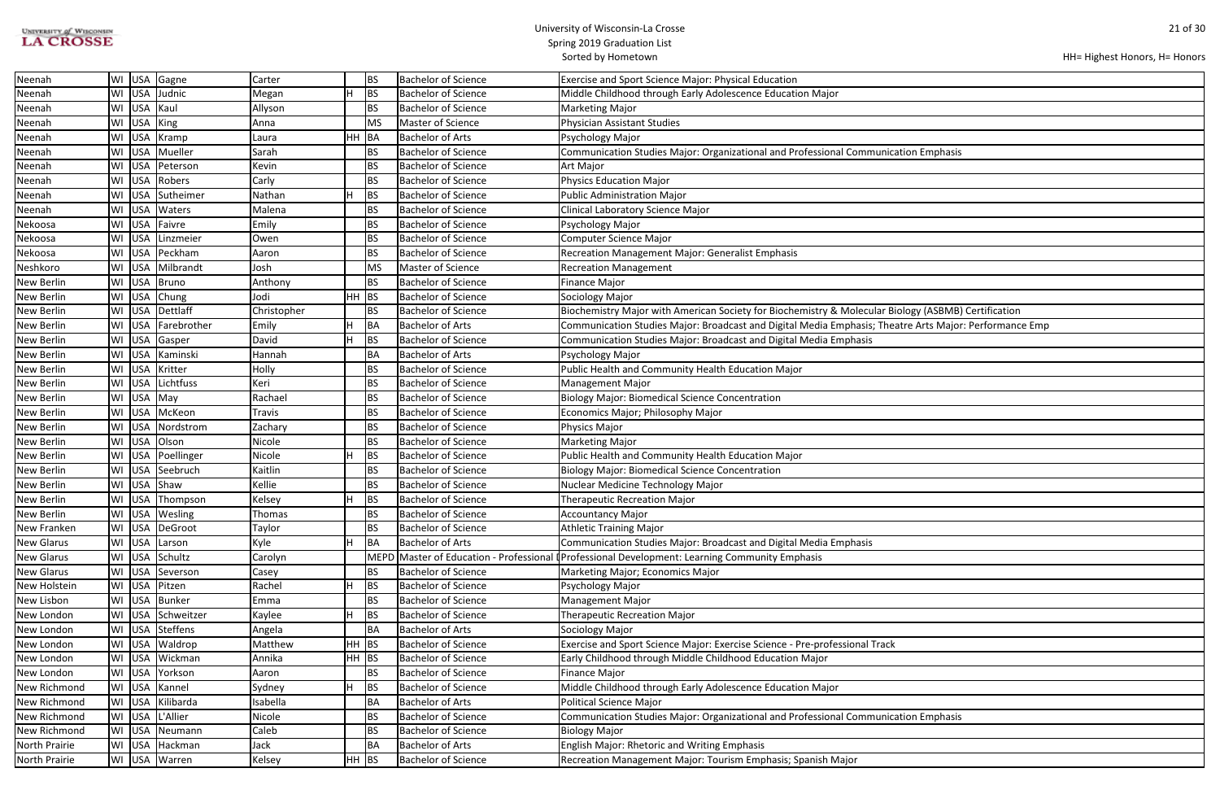| <b>UNIVERSITY of WISCONSIN</b> |  |
|--------------------------------|--|
| <b>LA CROSSE</b>               |  |

| HH= Highest Honors, H= Honors |  |  |  |
|-------------------------------|--|--|--|
|-------------------------------|--|--|--|

| ation Emphasis                   |
|----------------------------------|
|                                  |
|                                  |
|                                  |
|                                  |
|                                  |
|                                  |
|                                  |
|                                  |
|                                  |
|                                  |
|                                  |
| ology (ASBMB) Certification      |
| atre Arts Major: Performance Emp |
|                                  |
|                                  |
|                                  |
|                                  |
|                                  |
|                                  |
|                                  |
|                                  |
|                                  |
|                                  |
|                                  |
|                                  |
|                                  |
|                                  |
|                                  |
|                                  |
|                                  |
|                                  |
|                                  |
|                                  |
|                                  |
|                                  |
|                                  |
|                                  |
|                                  |
|                                  |
|                                  |
|                                  |
| ation Emphasis                   |
|                                  |
|                                  |
|                                  |

| Neenah            |    |            | WI   USA   Gagne    | Carter        |       | <b>BS</b> | <b>Bachelor of Science</b> | Exercise and Sport Science Major: Physical Education                                                   |
|-------------------|----|------------|---------------------|---------------|-------|-----------|----------------------------|--------------------------------------------------------------------------------------------------------|
| Neenah            |    | WI USA     | Judnic              | Megan         | H     | <b>BS</b> | <b>Bachelor of Science</b> | Middle Childhood through Early Adolescence Education Major                                             |
| Neenah            |    |            | WI USA Kaul         | Allyson       |       | BS        | <b>Bachelor of Science</b> | <b>Marketing Major</b>                                                                                 |
| Neenah            |    | WI USA     | King                | Anna          |       | <b>MS</b> | Master of Science          | <b>Physician Assistant Studies</b>                                                                     |
| Neenah            |    |            | WI USA Kramp        | Laura         | HH BA |           | <b>Bachelor of Arts</b>    | Psychology Major                                                                                       |
| Neenah            |    |            | WI USA Mueller      | Sarah         |       | <b>BS</b> | <b>Bachelor of Science</b> | Communication Studies Major: Organizational and Professional Communication Emphasis                    |
| Neenah            | WI | <b>USA</b> | Peterson            | Kevin         |       | BS        | <b>Bachelor of Science</b> | Art Major                                                                                              |
| Neenah            |    |            | WI USA Robers       | Carly         |       | <b>BS</b> | <b>Bachelor of Science</b> | <b>Physics Education Major</b>                                                                         |
| Neenah            |    | WI USA     | Sutheimer           | Nathan        | H     | <b>BS</b> | <b>Bachelor of Science</b> | <b>Public Administration Major</b>                                                                     |
| Neenah            |    |            | WI USA Waters       | Malena        |       | BS        | <b>Bachelor of Science</b> | <b>Clinical Laboratory Science Major</b>                                                               |
| Nekoosa           |    |            | WI USA Faivre       | Emily         |       | BS.       | <b>Bachelor of Science</b> | Psychology Major                                                                                       |
| Nekoosa           | WI |            | USA Linzmeier       | Owen          |       | <b>BS</b> | <b>Bachelor of Science</b> | <b>Computer Science Major</b>                                                                          |
| Nekoosa           | WI |            | USA Peckham         | Aaron         |       | <b>BS</b> | <b>Bachelor of Science</b> | Recreation Management Major: Generalist Emphasis                                                       |
| Neshkoro          | WI | USA        | Milbrandt           | Josh          |       | MS        | Master of Science          | <b>Recreation Management</b>                                                                           |
| New Berlin        |    |            | WI USA Bruno        | Anthony       |       | BS        | <b>Bachelor of Science</b> | <b>Finance Major</b>                                                                                   |
| New Berlin        |    | WI USA     | Chung               | Jodi          | HH BS |           | <b>Bachelor of Science</b> | Sociology Major                                                                                        |
| New Berlin        |    |            | WI USA Dettlaff     | Christopher   |       | BS        | <b>Bachelor of Science</b> | Biochemistry Major with American Society for Biochemistry & Molecular Biology (ASBMB) Certification    |
| New Berlin        |    |            | WI USA Farebrother  | Emily         |       | BA        | <b>Bachelor of Arts</b>    | Communication Studies Major: Broadcast and Digital Media Emphasis; Theatre Arts Major: Performance Emp |
| New Berlin        |    |            | WI USA Gasper       | David         | H     | BS        | <b>Bachelor of Science</b> | Communication Studies Major: Broadcast and Digital Media Emphasis                                      |
| New Berlin        |    |            | WI USA Kaminski     | Hannah        |       | BA        | <b>Bachelor of Arts</b>    | Psychology Major                                                                                       |
| New Berlin        |    | WI USA     | Kritter             | Holly         |       | <b>BS</b> | <b>Bachelor of Science</b> | Public Health and Community Health Education Major                                                     |
| New Berlin        |    |            | WI USA Lichtfuss    | Keri          |       | BS        | <b>Bachelor of Science</b> | <b>Management Major</b>                                                                                |
| New Berlin        |    |            | WI USA May          | Rachael       |       | <b>BS</b> | <b>Bachelor of Science</b> | <b>Biology Major: Biomedical Science Concentration</b>                                                 |
| New Berlin        |    |            | WI USA McKeon       | <b>Travis</b> |       | <b>BS</b> | <b>Bachelor of Science</b> | Economics Major; Philosophy Major                                                                      |
| New Berlin        |    |            | WI USA Nordstrom    | Zachary       |       | <b>BS</b> | <b>Bachelor of Science</b> | Physics Major                                                                                          |
| New Berlin        | WI | USA        | Olson               | Nicole        |       | <b>BS</b> | <b>Bachelor of Science</b> | <b>Marketing Major</b>                                                                                 |
| <b>New Berlin</b> |    |            | WI USA Poellinger   | Nicole        | H     | BS        | <b>Bachelor of Science</b> | Public Health and Community Health Education Major                                                     |
| New Berlin        |    | WI USA     | Seebruch            | Kaitlin       |       | <b>BS</b> | <b>Bachelor of Science</b> | <b>Biology Major: Biomedical Science Concentration</b>                                                 |
| <b>New Berlin</b> |    |            | WI USA Shaw         | Kellie        |       | BS        | <b>Bachelor of Science</b> | Nuclear Medicine Technology Major                                                                      |
| New Berlin        |    |            | WI   USA   Thompson | Kelsey        | H     | <b>BS</b> | <b>Bachelor of Science</b> | <b>Therapeutic Recreation Major</b>                                                                    |
| New Berlin        |    |            | WI USA Wesling      | Thomas        |       | <b>BS</b> | <b>Bachelor of Science</b> | <b>Accountancy Major</b>                                                                               |
| New Franken       |    |            | WI   USA   DeGroot  | Taylor        |       | <b>BS</b> | <b>Bachelor of Science</b> | <b>Athletic Training Major</b>                                                                         |
| <b>New Glarus</b> |    | WI USA     | Larson              | Kyle          | H.    | BA        | <b>Bachelor of Arts</b>    | Communication Studies Major: Broadcast and Digital Media Emphasis                                      |
| <b>New Glarus</b> |    |            | WI USA Schultz      | Carolyn       |       | IMEPD     |                            | Master of Education - Professional I Professional Development: Learning Community Emphasis             |
| <b>New Glarus</b> |    |            | WI   USA   Severson | Casey         |       | <b>BS</b> | <b>Bachelor of Science</b> | Marketing Major; Economics Major                                                                       |
| New Holstein      |    |            | WI USA Pitzen       | Rachel        | H.    | <b>BS</b> | <b>Bachelor of Science</b> | Psychology Major                                                                                       |
| New Lisbon        |    |            | WI USA Bunker       | Emma          |       | BS        | <b>Bachelor of Science</b> | <b>Management Major</b>                                                                                |
| New London        |    |            | WI USA Schweitzer   | Kaylee        | H.    | <b>BS</b> | <b>Bachelor of Science</b> | <b>Therapeutic Recreation Major</b>                                                                    |
| New London        |    |            | WI USA Steffens     | Angela        |       | BA        | <b>Bachelor of Arts</b>    | Sociology Major                                                                                        |
| New London        |    |            | WI USA Waldrop      | Matthew       | HH BS |           | <b>Bachelor of Science</b> | Exercise and Sport Science Major: Exercise Science - Pre-professional Track                            |
| New London        |    |            | WI USA Wickman      | Annika        | HH BS |           | <b>Bachelor of Science</b> | Early Childhood through Middle Childhood Education Major                                               |
| New London        |    | WI USA     | Yorkson             | Aaron         |       | BS        | <b>Bachelor of Science</b> | <b>Finance Major</b>                                                                                   |
| New Richmond      |    |            | WI USA Kannel       | Sydney        | H.    | <b>BS</b> | <b>Bachelor of Science</b> | Middle Childhood through Early Adolescence Education Major                                             |
| New Richmond      |    |            | WI USA Kilibarda    | Isabella      |       | BA        | <b>Bachelor of Arts</b>    | <b>Political Science Major</b>                                                                         |
| New Richmond      |    | WI USA     | L'Allier            | Nicole        |       | <b>BS</b> | <b>Bachelor of Science</b> | Communication Studies Major: Organizational and Professional Communication Emphasis                    |
| New Richmond      |    |            | WI USA Neumann      | Caleb         |       | BS        | <b>Bachelor of Science</b> | <b>Biology Major</b>                                                                                   |
| North Prairie     |    |            | WI USA Hackman      | Jack          |       | <b>BA</b> | <b>Bachelor of Arts</b>    | <b>English Major: Rhetoric and Writing Emphasis</b>                                                    |
| North Prairie     |    |            | WI USA Warren       | Kelsey        | HH BS |           | <b>Bachelor of Science</b> | Recreation Management Major: Tourism Emphasis; Spanish Major                                           |
|                   |    |            |                     |               |       |           |                            |                                                                                                        |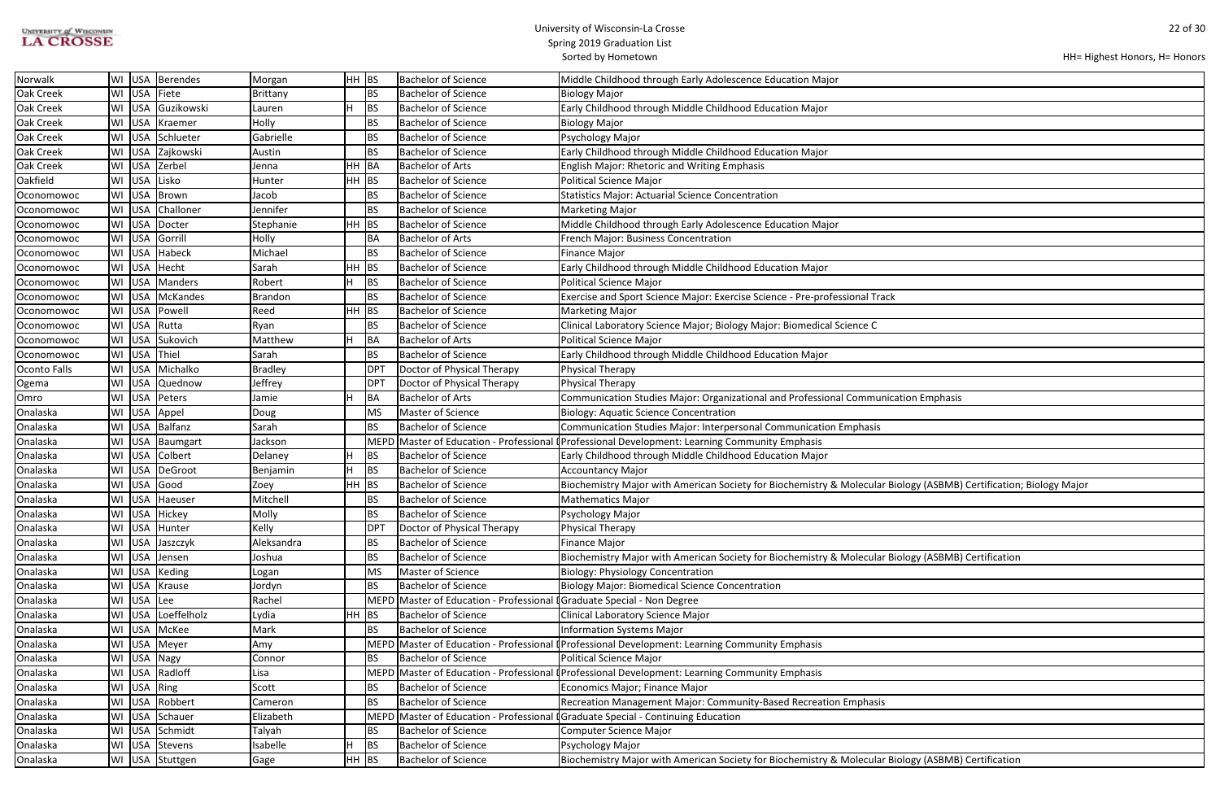| UNIVERSITY of WISCONSIN |  |
|-------------------------|--|
| <b>LA CROSSE</b>        |  |

| ation Emphasis                              |
|---------------------------------------------|
|                                             |
|                                             |
|                                             |
|                                             |
|                                             |
|                                             |
| iology (ASBMB) Certification; Biology Major |
|                                             |
|                                             |
|                                             |
|                                             |
|                                             |
| iology (ASBMB) Certification                |
|                                             |
|                                             |
|                                             |
|                                             |
|                                             |
|                                             |
|                                             |
|                                             |
|                                             |
|                                             |
|                                             |
|                                             |
|                                             |
|                                             |
| iology (ASBMB) Certification                |
|                                             |

| Norwalk          |             | WI   USA   Berendes | Morgan         | HH BS |             | <b>Bachelor of Science</b>                                              | Middle Childhood through Early Adolescence Education Major                                                         |
|------------------|-------------|---------------------|----------------|-------|-------------|-------------------------------------------------------------------------|--------------------------------------------------------------------------------------------------------------------|
| <b>Oak Creek</b> |             | WI USA Fiete        | Brittany       |       | <b>BS</b>   | <b>Bachelor of Science</b>                                              | <b>Biology Major</b>                                                                                               |
| Oak Creek        |             | WI USA Guzikowski   | Lauren         | lH.   | <b>BS</b>   | <b>Bachelor of Science</b>                                              | Early Childhood through Middle Childhood Education Major                                                           |
| Oak Creek        |             | WI USA Kraemer      | Holly          |       | <b>BS</b>   | <b>Bachelor of Science</b>                                              | <b>Biology Major</b>                                                                                               |
| Oak Creek        |             | WI USA Schlueter    | Gabrielle      |       | <b>BS</b>   | <b>Bachelor of Science</b>                                              | Psychology Major                                                                                                   |
| Oak Creek        |             | WI USA Zajkowski    | Austin         |       | <b>BS</b>   | <b>Bachelor of Science</b>                                              | Early Childhood through Middle Childhood Education Major                                                           |
| Oak Creek        |             | WI USA Zerbel       | Jenna          | HH.   | BA          | <b>Bachelor of Arts</b>                                                 | <b>English Major: Rhetoric and Writing Emphasis</b>                                                                |
| Oakfield         |             | WI USA Lisko        | Hunter         | HH.   | <b>BS</b>   | <b>Bachelor of Science</b>                                              | <b>Political Science Major</b>                                                                                     |
| Oconomowoc       |             | WI USA Brown        | Jacob          |       | BS.         | <b>Bachelor of Science</b>                                              | <b>Statistics Major: Actuarial Science Concentration</b>                                                           |
| Oconomowoc       |             | WI USA Challoner    | Jennifer       |       | <b>BS</b>   | <b>Bachelor of Science</b>                                              | <b>Marketing Major</b>                                                                                             |
| Oconomowoc       |             | WI USA Docter       | Stephanie      | HH BS |             | <b>Bachelor of Science</b>                                              | Middle Childhood through Early Adolescence Education Major                                                         |
| Oconomowoc       |             | WI USA Gorrill      | Holly          |       | BA          | <b>Bachelor of Arts</b>                                                 | French Major: Business Concentration                                                                               |
| Oconomowoc       |             | WI USA Habeck       | Michael        |       | <b>BS</b>   | <b>Bachelor of Science</b>                                              | <b>Finance Major</b>                                                                                               |
| Oconomowoc       |             | WI USA Hecht        | Sarah          | HH    | BS          | <b>Bachelor of Science</b>                                              | Early Childhood through Middle Childhood Education Major                                                           |
| Oconomowoc       |             | WI USA Manders      | Robert         | H     | IBS.        | <b>Bachelor of Science</b>                                              | <b>Political Science Major</b>                                                                                     |
| Oconomowoc       |             | WI   USA   McKandes | <b>Brandon</b> |       | <b>BS</b>   | <b>Bachelor of Science</b>                                              | Exercise and Sport Science Major: Exercise Science - Pre-professional Track                                        |
| Oconomowoc       |             | WI USA Powell       | Reed           | HH BS |             | <b>Bachelor of Science</b>                                              | <b>Marketing Major</b>                                                                                             |
| Oconomowoc       |             | WI USA Rutta        | Ryan           |       | BS          | <b>Bachelor of Science</b>                                              | Clinical Laboratory Science Major; Biology Major: Biomedical Science C                                             |
| Oconomowoc       |             | WI USA Sukovich     | Matthew        | Iн    | BA          | <b>Bachelor of Arts</b>                                                 | <b>Political Science Major</b>                                                                                     |
| Oconomowoc       |             | WI USA Thiel        | Sarah          |       | BS          | <b>Bachelor of Science</b>                                              | Early Childhood through Middle Childhood Education Major                                                           |
| Oconto Falls     |             | WI USA Michalko     | <b>Bradley</b> |       | DPT         | Doctor of Physical Therapy                                              | Physical Therapy                                                                                                   |
| Ogema            |             | WI USA Quednow      | Jeffrey        |       | DPT         | Doctor of Physical Therapy                                              | Physical Therapy                                                                                                   |
| Omro             |             | WI USA Peters       | Jamie          | lH.   | BA          | <b>Bachelor of Arts</b>                                                 | Communication Studies Major: Organizational and Professional Communication Emphasis                                |
| Onalaska         |             | WI USA Appel        | Doug           |       | MS          | Master of Science                                                       | <b>Biology: Aquatic Science Concentration</b>                                                                      |
| Onalaska         |             | WI USA Balfanz      | Sarah          |       | <b>BS</b>   | <b>Bachelor of Science</b>                                              | Communication Studies Major: Interpersonal Communication Emphasis                                                  |
| Onalaska         |             | WI USA Baumgart     | Jackson        |       | <b>MEPD</b> |                                                                         | Master of Education - Professional (Professional Development: Learning Community Emphasis                          |
| Onalaska         |             | WI USA Colbert      | Delaney        | H.    | BS.         | <b>Bachelor of Science</b>                                              | Early Childhood through Middle Childhood Education Major                                                           |
| Onalaska         |             | WI USA DeGroot      | Benjamin       | IH.   | BS.         | <b>Bachelor of Science</b>                                              | <b>Accountancy Major</b>                                                                                           |
| Onalaska         |             | WI USA Good         | Zoey           | HH.   | <b>BS</b>   | <b>Bachelor of Science</b>                                              | Biochemistry Major with American Society for Biochemistry & Molecular Biology (ASBMB) Certification; Biology Major |
| Onalaska         |             | WI USA Haeuser      | Mitchell       |       | <b>BS</b>   | <b>Bachelor of Science</b>                                              | <b>Mathematics Major</b>                                                                                           |
| Onalaska         |             | WI USA Hickey       | Molly          |       | <b>BS</b>   | <b>Bachelor of Science</b>                                              | Psychology Major                                                                                                   |
| Onalaska         |             | WI USA Hunter       | Kelly          |       | <b>DPT</b>  | Doctor of Physical Therapy                                              | Physical Therapy                                                                                                   |
| Onalaska         |             | WI USA Jaszczyk     | Aleksandra     |       | <b>BS</b>   | <b>Bachelor of Science</b>                                              | <b>Finance Major</b>                                                                                               |
| Onalaska         |             | WI USA Jensen       | Joshua         |       | BS.         | <b>Bachelor of Science</b>                                              | Biochemistry Major with American Society for Biochemistry & Molecular Biology (ASBMB) Certification                |
| Onalaska         |             | WI USA Keding       | Logan          |       | <b>MS</b>   | Master of Science                                                       | <b>Biology: Physiology Concentration</b>                                                                           |
| Onalaska         |             | WI USA Krause       | Jordyn         |       | <b>BS</b>   | <b>Bachelor of Science</b>                                              | <b>Biology Major: Biomedical Science Concentration</b>                                                             |
| Onalaska         | WI USA Lee  |                     | Rachel         |       |             | MEPD Master of Education - Professional I Graduate Special - Non Degree |                                                                                                                    |
| Onalaska         |             | WI USA Loeffelholz  | Lydia          | HH BS |             | <b>Bachelor of Science</b>                                              | Clinical Laboratory Science Major                                                                                  |
| Onalaska         |             | WI USA McKee        | Mark           |       | BS          | <b>Bachelor of Science</b>                                              | <b>Information Systems Major</b>                                                                                   |
| Onalaska         |             | WI USA Meyer        | Amy            |       |             |                                                                         | MEPD Master of Education - Professional (Professional Development: Learning Community Emphasis                     |
| Onalaska         |             | WI USA Nagy         | Connor         |       | BS.         | <b>Bachelor of Science</b>                                              | <b>Political Science Major</b>                                                                                     |
| Onalaska         |             | WI USA Radloff      | Lisa           |       | MEPD        |                                                                         | Master of Education - Professional Professional Development: Learning Community Emphasis                           |
| Onalaska         | WI USA Ring |                     | Scott          |       | <b>BS</b>   | <b>Bachelor of Science</b>                                              | Economics Major; Finance Major                                                                                     |
| Onalaska         |             | WI USA Robbert      | Cameron        |       | <b>BS</b>   | <b>Bachelor of Science</b>                                              | Recreation Management Major: Community-Based Recreation Emphasis                                                   |
| Onalaska         |             | WI USA Schauer      | Elizabeth      |       | <b>MEPD</b> |                                                                         | Master of Education - Professional I Graduate Special - Continuing Education                                       |
| Onalaska         |             | WI USA Schmidt      | Talyah         |       | BS.         | <b>Bachelor of Science</b>                                              | Computer Science Major                                                                                             |
| Onalaska         |             | WI USA Stevens      | Isabelle       | н     | <b>BS</b>   | <b>Bachelor of Science</b>                                              | Psychology Major                                                                                                   |
| Onalaska         |             | WI USA Stuttgen     | Gage           | HH BS |             | <b>Bachelor of Science</b>                                              | Biochemistry Major with American Society for Biochemistry & Molecular Biology (ASBMB) Certification                |
|                  |             |                     |                |       |             |                                                                         |                                                                                                                    |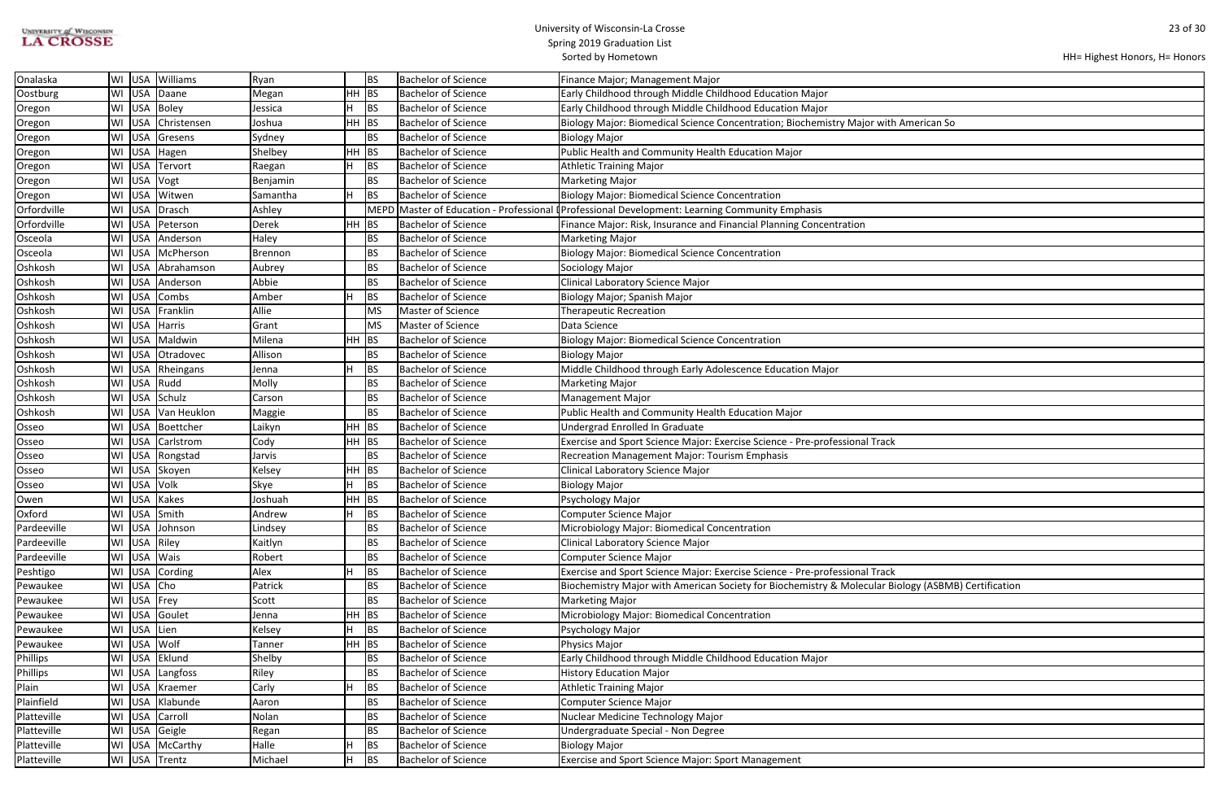| <b>UNIVERSITY of WISCONSIN</b> |  |
|--------------------------------|--|
| <b>LA CROSSE</b>               |  |

| HH= Highest Honors, H= Honors |  |
|-------------------------------|--|
|-------------------------------|--|

| American So                  |
|------------------------------|
|                              |
|                              |
|                              |
|                              |
|                              |
|                              |
|                              |
|                              |
|                              |
|                              |
|                              |
|                              |
|                              |
|                              |
|                              |
|                              |
|                              |
|                              |
|                              |
|                              |
|                              |
|                              |
|                              |
|                              |
|                              |
|                              |
|                              |
|                              |
|                              |
| iology (ASBMB) Certification |
|                              |
|                              |
|                              |
|                              |
|                              |
|                              |
|                              |
|                              |
|                              |
|                              |
|                              |

| Onalaska    | l WI |              | USA Williams     | Ryan     |         | BS          | <b>Bachelor of Science</b> | Finance Major; Management Major                                                                       |
|-------------|------|--------------|------------------|----------|---------|-------------|----------------------------|-------------------------------------------------------------------------------------------------------|
| Oostburg    |      |              | WI USA Daane     | Megan    | HH BS   |             | <b>Bachelor of Science</b> | Early Childhood through Middle Childhood Education Major                                              |
| Oregon      | WI   |              | USA Boley        | Jessica  |         | BS          | <b>Bachelor of Science</b> | Early Childhood through Middle Childhood Education Major                                              |
| Oregon      | WI   |              | USA Christensen  | Joshua   | HH BS   |             | <b>Bachelor of Science</b> | Biology Major: Biomedical Science Concentration; Biochemistry Major with American So                  |
| Oregon      | WI   |              | USA Gresens      | Sydney   |         | <b>BS</b>   | <b>Bachelor of Science</b> | <b>Biology Major</b>                                                                                  |
| Oregon      | WI   |              | USA Hagen        | Shelbey  | $HH$ BS |             | <b>Bachelor of Science</b> | Public Health and Community Health Education Major                                                    |
| Oregon      | WI   |              | USA Tervort      | Raegan   | H.      | BS          | <b>Bachelor of Science</b> | <b>Athletic Training Major</b>                                                                        |
| Oregon      | WI   | USA Vogt     |                  | Benjamin |         | <b>BS</b>   | <b>Bachelor of Science</b> | <b>Marketing Major</b>                                                                                |
| Oregon      | WI   |              | USA Witwen       | Samantha |         | <b>BS</b>   | <b>Bachelor of Science</b> | <b>Biology Major: Biomedical Science Concentration</b>                                                |
| Orfordville | WI   | USA          | Drasch           | Ashley   |         | <b>MEPD</b> |                            | Master of Education - Professional <sup>[</sup> Professional Development: Learning Community Emphasis |
| Orfordville | WI   |              | USA Peterson     | Derek    | $HH$ BS |             | <b>Bachelor of Science</b> | Finance Major: Risk, Insurance and Financial Planning Concentration                                   |
| Osceola     | WI   |              | USA Anderson     | Haley    |         | <b>BS</b>   | <b>Bachelor of Science</b> | <b>Marketing Major</b>                                                                                |
| Osceola     | WI   |              | USA McPherson    | Brennon  |         | <b>BS</b>   | <b>Bachelor of Science</b> | <b>Biology Major: Biomedical Science Concentration</b>                                                |
| Oshkosh     | WI   |              | USA Abrahamson   | Aubrey   |         | BS          | <b>Bachelor of Science</b> | Sociology Major                                                                                       |
| Oshkosh     | WI   |              | USA Anderson     | Abbie    |         | BS          | <b>Bachelor of Science</b> | Clinical Laboratory Science Major                                                                     |
| Oshkosh     |      |              | WI USA Combs     | Amber    |         | BS          | <b>Bachelor of Science</b> | Biology Major; Spanish Major                                                                          |
| Oshkosh     | WI   | <b>USA</b>   | Franklin         | Allie    |         | MS          | Master of Science          | <b>Therapeutic Recreation</b>                                                                         |
| Oshkosh     | WI   |              | USA Harris       | Grant    |         | MS          | Master of Science          | Data Science                                                                                          |
| Oshkosh     | WI   |              | USA Maldwin      | Milena   | $HH$ BS |             | Bachelor of Science        | <b>Biology Major: Biomedical Science Concentration</b>                                                |
| Oshkosh     | WI   |              | USA Otradovec    | Allison  |         | <b>BS</b>   | <b>Bachelor of Science</b> | Biology Major                                                                                         |
| Oshkosh     | WI   |              | USA Rheingans    | Jenna    |         | BS          | <b>Bachelor of Science</b> | Middle Childhood through Early Adolescence Education Major                                            |
| Oshkosh     | WI   | USA Rudd     |                  | Molly    |         | BS          | <b>Bachelor of Science</b> | <b>Marketing Major</b>                                                                                |
| Oshkosh     | WI   |              | USA Schulz       | Carson   |         | <b>BS</b>   | <b>Bachelor of Science</b> | <b>Management Major</b>                                                                               |
| Oshkosh     | WI   |              | USA Van Heuklon  | Maggie   |         | BS          | <b>Bachelor of Science</b> | Public Health and Community Health Education Major                                                    |
| Osseo       | WI   |              | USA Boettcher    | Laikyn   | $HH$ BS |             | <b>Bachelor of Science</b> | Undergrad Enrolled In Graduate                                                                        |
| Osseo       |      |              | WI USA Carlstrom | Cody     | $HH$ BS |             | <b>Bachelor of Science</b> | Exercise and Sport Science Major: Exercise Science - Pre-professional Track                           |
| Osseo       | WI   |              | USA Rongstad     | Jarvis   |         | <b>BS</b>   | <b>Bachelor of Science</b> | <b>Recreation Management Major: Tourism Emphasis</b>                                                  |
| Osseo       | WI   |              | USA Skoyen       | Kelsey   | HH BS   |             | <b>Bachelor of Science</b> | Clinical Laboratory Science Major                                                                     |
| Osseo       | WI   | USA Volk     |                  | Skye     |         | BS          | <b>Bachelor of Science</b> | <b>Biology Major</b>                                                                                  |
| Owen        | WI   |              | USA Kakes        | Joshuah  | $HH$ BS |             | <b>Bachelor of Science</b> | Psychology Major                                                                                      |
| Oxford      |      |              | WI USA Smith     | Andrew   | Н.      | <b>BS</b>   | <b>Bachelor of Science</b> | Computer Science Major                                                                                |
| Pardeeville |      |              | WI USA Johnson   | Lindsey  |         | <b>BS</b>   | Bachelor of Science        | Microbiology Major: Biomedical Concentration                                                          |
| Pardeeville |      | WI USA Riley |                  | Kaitlyn  |         | BS          | <b>Bachelor of Science</b> | <b>Clinical Laboratory Science Major</b>                                                              |
| Pardeeville |      | WI USA Wais  |                  | Robert   |         | BS          | <b>Bachelor of Science</b> | <b>Computer Science Major</b>                                                                         |
| Peshtigo    |      |              | WI USA Cording   | Alex     |         | BS          | <b>Bachelor of Science</b> | Exercise and Sport Science Major: Exercise Science - Pre-professional Track                           |
| Pewaukee    |      | WI USA Cho   |                  | Patrick  |         | <b>BS</b>   | <b>Bachelor of Science</b> | Biochemistry Major with American Society for Biochemistry & Molecular Biology (ASBMB) Certification   |
| Pewaukee    |      | WI USA Frey  |                  | Scott    |         | BS          | <b>Bachelor of Science</b> | <b>Marketing Major</b>                                                                                |
| Pewaukee    |      |              | WI USA Goulet    | Jenna    | HH BS   |             | <b>Bachelor of Science</b> | Microbiology Major: Biomedical Concentration                                                          |
| Pewaukee    |      | WI USA Lien  |                  | Kelsey   | н       | BS          | <b>Bachelor of Science</b> | Psychology Major                                                                                      |
| Pewaukee    |      | WI USA Wolf  |                  | Tanner   | HH BS   |             | <b>Bachelor of Science</b> | Physics Major                                                                                         |
| Phillips    |      |              | WI USA Eklund    | Shelby   |         | BS          | <b>Bachelor of Science</b> | Early Childhood through Middle Childhood Education Major                                              |
| Phillips    |      |              | WI USA Langfoss  | Riley    |         | <b>BS</b>   | <b>Bachelor of Science</b> | <b>History Education Major</b>                                                                        |
| Plain       |      |              | WI USA Kraemer   | Carly    |         | <b>BS</b>   | <b>Bachelor of Science</b> | <b>Athletic Training Major</b>                                                                        |
| Plainfield  |      |              | WI USA Klabunde  | Aaron    |         | BS          | <b>Bachelor of Science</b> | <b>Computer Science Major</b>                                                                         |
| Platteville |      |              | WI USA Carroll   | Nolan    |         | <b>BS</b>   | <b>Bachelor of Science</b> | Nuclear Medicine Technology Major                                                                     |
| Platteville |      |              | WI USA Geigle    | Regan    |         | BS          | <b>Bachelor of Science</b> | Undergraduate Special - Non Degree                                                                    |
| Platteville |      |              | WI USA McCarthy  | Halle    |         | BS          | <b>Bachelor of Science</b> | <b>Biology Major</b>                                                                                  |
| Platteville |      |              | WI USA Trentz    | Michael  | H       | <b>BS</b>   | <b>Bachelor of Science</b> | <b>Exercise and Sport Science Major: Sport Management</b>                                             |
|             |      |              |                  |          |         |             |                            |                                                                                                       |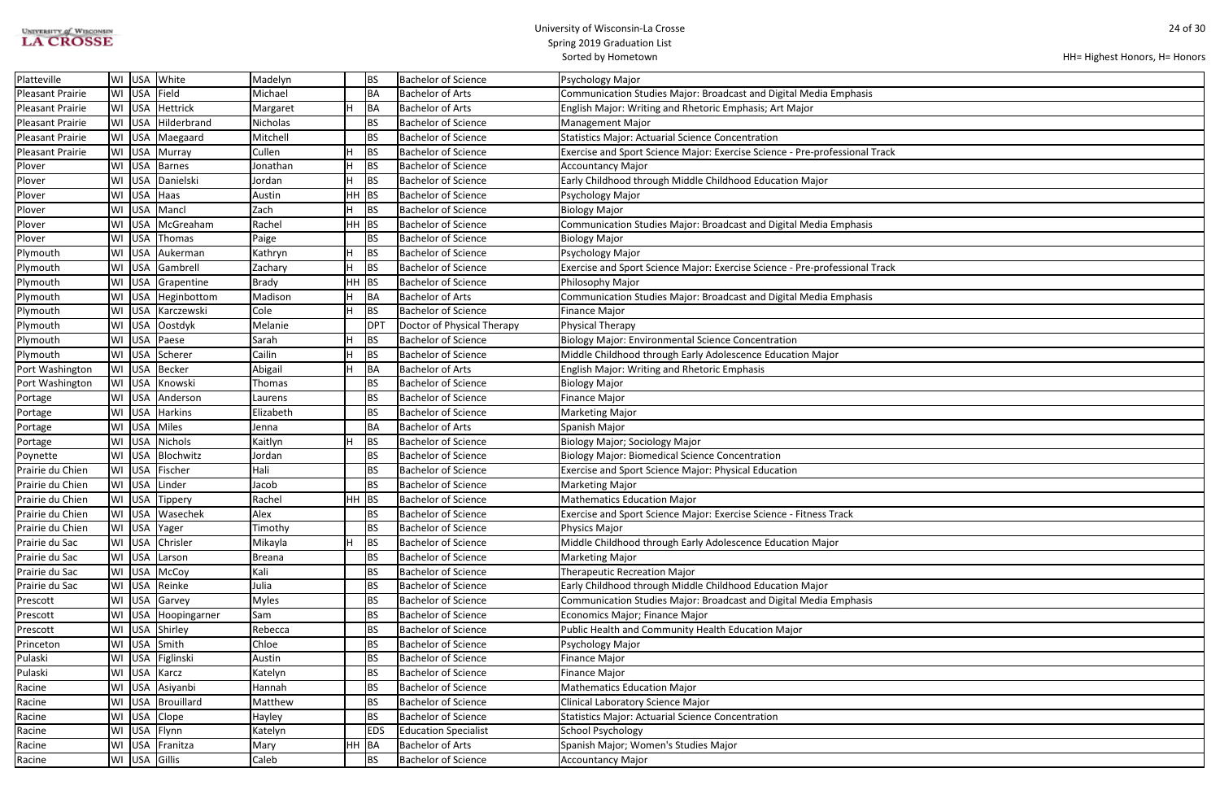| <b>UNIVERSITY of WISCONSIN</b> |  |
|--------------------------------|--|
| <b>LA CROSSE</b>               |  |

```
HH= Highest Honors, H= Honors
```

| Platteville             | WI | <b>USA</b>    | White            | Madelyn       |           | BS         | <b>Bachelor of Science</b>  | Psychology Major                                                            |
|-------------------------|----|---------------|------------------|---------------|-----------|------------|-----------------------------|-----------------------------------------------------------------------------|
| <b>Pleasant Prairie</b> | WI | USA           | Field            | Michael       |           | BA         | Bachelor of Arts            | <b>Communication Studies Major: Broadcast and Digital Media Emphasis</b>    |
| <b>Pleasant Prairie</b> | WI | <b>USA</b>    | Hettrick         | Margaret      | н         | BA         | Bachelor of Arts            | English Major: Writing and Rhetoric Emphasis; Art Major                     |
| <b>Pleasant Prairie</b> | WI | USA           | Hilderbrand      | Nicholas      |           | BS         | <b>Bachelor of Science</b>  | <b>Management Major</b>                                                     |
| <b>Pleasant Prairie</b> | WI | USA           | Maegaard         | Mitchell      |           | BS         | <b>Bachelor of Science</b>  | <b>Statistics Major: Actuarial Science Concentration</b>                    |
| <b>Pleasant Prairie</b> | WI | <b>USA</b>    | Murray           | Cullen        | н         | BS         | <b>Bachelor of Science</b>  | Exercise and Sport Science Major: Exercise Science - Pre-professional Track |
| Plover                  | WI | <b>USA</b>    | Barnes           | Jonathan      | н         | BS         | <b>Bachelor of Science</b>  | Accountancy Major                                                           |
| Plover                  | WI | <b>USA</b>    | Danielski        | Jordan        |           | BS         | <b>Bachelor of Science</b>  | Early Childhood through Middle Childhood Education Major                    |
| Plover                  | WI | <b>USA</b>    | Haas             | Austin        | HH        | BS         | <b>Bachelor of Science</b>  | Psychology Major                                                            |
| Plover                  | WI | <b>USA</b>    | Mancl            | Zach          | н         | BS         | <b>Bachelor of Science</b>  | <b>Biology Major</b>                                                        |
| Plover                  | WI | <b>USA</b>    | McGreaham        | Rachel        | <b>HH</b> | BS         | <b>Bachelor of Science</b>  | Communication Studies Major: Broadcast and Digital Media Emphasis           |
| Plover                  | WI | <b>USA</b>    | Thomas           | Paige         |           | BS         | <b>Bachelor of Science</b>  | <b>Biology Major</b>                                                        |
| Plymouth                | WI | <b>USA</b>    | Aukerman         | Kathryn       | н         | BS         | <b>Bachelor of Science</b>  | Psychology Major                                                            |
| Plymouth                | WI | <b>USA</b>    | Gambrell         | Zachary       | н         | BS         | <b>Bachelor of Science</b>  | Exercise and Sport Science Major: Exercise Science - Pre-professional Track |
| Plymouth                | WI | <b>USA</b>    | Grapentine       | <b>Brady</b>  | HH        | <b>BS</b>  | <b>Bachelor of Science</b>  | Philosophy Major                                                            |
| Plymouth                | WI | <b>USA</b>    | Heginbottom      | Madison       | н         | BA         | Bachelor of Arts            | Communication Studies Major: Broadcast and Digital Media Emphasis           |
| Plymouth                | WI | <b>USA</b>    | Karczewski       | Cole          | н         | BS         | <b>Bachelor of Science</b>  | <b>Finance Major</b>                                                        |
| Plymouth                | WI | <b>USA</b>    | Oostdyk          | Melanie       |           | DPT        | Doctor of Physical Therapy  | Physical Therapy                                                            |
| Plymouth                | WI | <b>USA</b>    | Paese            | Sarah         | н         | BS         | <b>Bachelor of Science</b>  | <b>Biology Major: Environmental Science Concentration</b>                   |
| Plymouth                | WI | <b>USA</b>    | Scherer          | Cailin        | н         | BS         | <b>Bachelor of Science</b>  | Middle Childhood through Early Adolescence Education Major                  |
| Port Washington         | WI | USA           | Becker           | Abigail       | н         | BA         | Bachelor of Arts            | <b>English Major: Writing and Rhetoric Emphasis</b>                         |
| Port Washington         | WI | <b>USA</b>    | Knowski          | Thomas        |           | BS         | <b>Bachelor of Science</b>  | <b>Biology Major</b>                                                        |
| Portage                 | WI | <b>USA</b>    | Anderson         | Laurens       |           | BS         | <b>Bachelor of Science</b>  | <b>Finance Major</b>                                                        |
| Portage                 | WI | <b>USA</b>    | <b>Harkins</b>   | Elizabeth     |           | BS         | <b>Bachelor of Science</b>  | <b>Marketing Major</b>                                                      |
| Portage                 | WI | <b>USA</b>    | Miles            | Jenna         |           | BA         | <b>Bachelor of Arts</b>     | Spanish Major                                                               |
| Portage                 | WI | <b>USA</b>    | <b>Nichols</b>   | Kaitlyn       |           | BS         | <b>Bachelor of Science</b>  | Biology Major; Sociology Major                                              |
| Poynette                | WI | <b>USA</b>    | Blochwitz        | Jordan        |           | BS         | <b>Bachelor of Science</b>  | <b>Biology Major: Biomedical Science Concentration</b>                      |
| Prairie du Chien        | WI | <b>USA</b>    | Fischer          | Hali          |           | BS         | <b>Bachelor of Science</b>  | Exercise and Sport Science Major: Physical Education                        |
| Prairie du Chien        | WI | USA           | Linder           | Jacob         |           | BS         | <b>Bachelor of Science</b>  | Marketing Major                                                             |
| Prairie du Chien        |    | WI USA        | Tippery          | Rachel        | HH        | BS         | <b>Bachelor of Science</b>  | <b>Mathematics Education Major</b>                                          |
| Prairie du Chien        |    |               | WI USA Wasechek  | Alex          |           | BS         | <b>Bachelor of Science</b>  | Exercise and Sport Science Major: Exercise Science - Fitness Track          |
| Prairie du Chien        | WI | <b>USA</b>    | Yager            | Timothy       |           | BS         | <b>Bachelor of Science</b>  | Physics Major                                                               |
| Prairie du Sac          | WI | USA           | Chrisler         | Mikayla       | н         | BS         | <b>Bachelor of Science</b>  | Middle Childhood through Early Adolescence Education Major                  |
| Prairie du Sac          | WI | <b>USA</b>    | Larson           | <b>Breana</b> |           | BS         | <b>Bachelor of Science</b>  | <b>Marketing Major</b>                                                      |
| Prairie du Sac          | WI | USA           | McCoy            | Kali          |           | BS         | <b>Bachelor of Science</b>  | <b>Therapeutic Recreation Major</b>                                         |
| Prairie du Sac          | WI | USA           | Reinke           | Julia         |           | BS         | <b>Bachelor of Science</b>  | Early Childhood through Middle Childhood Education Major                    |
| Prescott                | WI | <b>USA</b>    | Garvey           | <b>Myles</b>  |           | BS         | <b>Bachelor of Science</b>  | <b>Communication Studies Major: Broadcast and Digital Media Emphasis</b>    |
| Prescott                | WI |               | USA Hoopingarner | Sam           |           | BS         | <b>Bachelor of Science</b>  | Economics Major; Finance Major                                              |
| Prescott                | WI | <b>USA</b>    | Shirley          | Rebecca       |           | BS         | <b>Bachelor of Science</b>  | Public Health and Community Health Education Major                          |
| Princeton               | WI | <b>USA</b>    | Smith            | Chloe         |           | BS         | <b>Bachelor of Science</b>  | Psychology Major                                                            |
| Pulaski                 | WI | <b>USA</b>    | Figlinski        | Austin        |           | BS         | <b>Bachelor of Science</b>  | <b>Finance Major</b>                                                        |
| Pulaski                 | WI | <b>USA</b>    | Karcz            | Katelyn       |           | BS         | <b>Bachelor of Science</b>  | <b>Finance Major</b>                                                        |
| Racine                  | WI |               | USA Asiyanbi     | Hannah        |           | BS         | <b>Bachelor of Science</b>  | Mathematics Education Major                                                 |
| Racine                  | WI |               | USA   Brouillard | Matthew       |           | BS         | <b>Bachelor of Science</b>  | Clinical Laboratory Science Major                                           |
| Racine                  | WI | <b>USA</b>    | Clope            | Hayley        |           | BS         | <b>Bachelor of Science</b>  | <b>Statistics Major: Actuarial Science Concentration</b>                    |
| Racine                  | WI | <b>USA</b>    | Flynn            | Katelyn       |           | <b>EDS</b> | <b>Education Specialist</b> | <b>School Psychology</b>                                                    |
| Racine                  | WI | <b>USA</b>    | Franitza         | Mary          | HH.       | BA         | Bachelor of Arts            | Spanish Major; Women's Studies Major                                        |
| Racine                  |    | WI USA Gillis |                  | Caleb         |           | BS         | <b>Bachelor of Science</b>  | Accountancy Major                                                           |
|                         |    |               |                  |               |           |            |                             |                                                                             |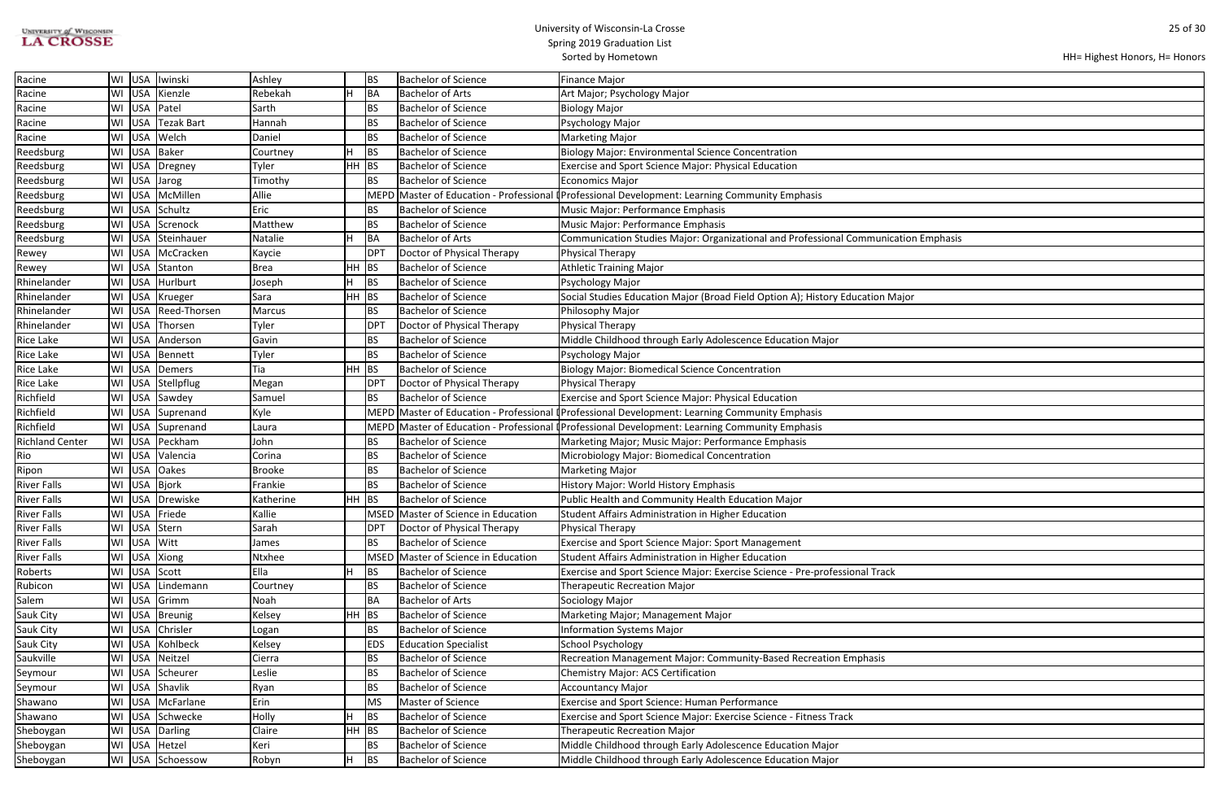| <b>UNIVERSITY of WISCONSIN</b> |
|--------------------------------|
| <b>LA CROSSE</b>               |

### University of Wisconsin-La Crosse Spring 2019 Graduation List

| HH= Highest Honors, H= Honors |  |  |  |
|-------------------------------|--|--|--|
|-------------------------------|--|--|--|

| ation Emphasis |  |
|----------------|--|
|                |  |
|                |  |
|                |  |
| lajor          |  |
|                |  |
|                |  |
|                |  |
|                |  |
|                |  |
|                |  |
|                |  |
|                |  |
|                |  |
|                |  |
|                |  |
|                |  |
|                |  |
|                |  |
|                |  |
|                |  |
|                |  |
|                |  |
|                |  |
|                |  |
|                |  |
|                |  |
|                |  |
|                |  |
|                |  |
|                |  |
|                |  |
|                |  |
|                |  |
|                |  |
|                |  |
|                |  |
|                |  |
|                |  |
|                |  |
|                |  |

|                        |        |                     |               |         |                 |                                         | Sorted by Hometown                                                                             |
|------------------------|--------|---------------------|---------------|---------|-----------------|-----------------------------------------|------------------------------------------------------------------------------------------------|
| Racine                 | WI USA | Iwinski             | Ashley        |         | BS              | <b>Bachelor of Science</b>              | Finance Major                                                                                  |
| Racine                 | WI USA | Kienzle             | Rebekah       |         | BA              | <b>Bachelor of Arts</b>                 | Art Major; Psychology Major                                                                    |
| Racine                 | WI USA | Patel               | Sarth         |         | BS              | <b>Bachelor of Science</b>              | <b>Biology Major</b>                                                                           |
| Racine                 | WI USA | <b>Tezak Bart</b>   | Hannah        |         | <b>BS</b>       | <b>Bachelor of Science</b>              | Psychology Major                                                                               |
| Racine                 | WI USA | Welch               | Daniel        |         | BS              | <b>Bachelor of Science</b>              | Marketing Major                                                                                |
| Reedsburg              | WI USA | Baker               | Courtney      |         | BS              | <b>Bachelor of Science</b>              | <b>Biology Major: Environmental Science Concentration</b>                                      |
| Reedsburg              | WI USA | Dregney             | Tyler         | HH BS   |                 | Bachelor of Science                     | <b>Exercise and Sport Science Major: Physical Education</b>                                    |
| Reedsburg              | WI USA | Jarog               | Timothy       |         | <b>BS</b>       | <b>Bachelor of Science</b>              | Economics Major                                                                                |
| Reedsburg              | WI USA | McMillen            | Allie         |         | <b>MEPD</b>     |                                         | Master of Education - Professional (Professional Development: Learning Community Emphasis      |
| Reedsburg              | WI USA | Schultz             | Eric          |         | <b>BS</b>       | Bachelor of Science                     | Music Major: Performance Emphasis                                                              |
| Reedsburg              | WI USA | Screnock            | Matthew       |         | <b>BS</b>       | <b>Bachelor of Science</b>              | Music Major: Performance Emphasis                                                              |
| Reedsburg              | WI USA | Steinhauer          | Natalie       |         | BA              | <b>Bachelor of Arts</b>                 | Communication Studies Major: Organizational and Professional Communication Emphasis            |
| Rewey                  | WI USA | McCracken           | Kaycie        |         | DP <sub>1</sub> | Doctor of Physical Therapy              | Physical Therapy                                                                               |
| Rewey                  | WI USA | Stanton             | <b>Brea</b>   | $HH$ BS |                 | <b>Bachelor of Science</b>              | <b>Athletic Training Major</b>                                                                 |
| Rhinelander            | WI USA | Hurlburt            | Joseph        |         | BS              | <b>Bachelor of Science</b>              | Psychology Major                                                                               |
| Rhinelander            | WI USA | Krueger             | Sara          | $HH$ BS |                 | <b>Bachelor of Science</b>              | Social Studies Education Major (Broad Field Option A); History Education Major                 |
| Rhinelander            |        | WI USA Reed-Thorsen | Marcus        |         | BS              | <b>Bachelor of Science</b>              | Philosophy Major                                                                               |
| Rhinelander            | WI USA | Thorsen             | Tyler         |         | DP <sub>1</sub> | Doctor of Physical Therapy              | Physical Therapy                                                                               |
| <b>Rice Lake</b>       | WI USA | Anderson            | Gavin         |         | <b>BS</b>       | Bachelor of Science                     | Middle Childhood through Early Adolescence Education Major                                     |
| <b>Rice Lake</b>       | WI USA | Bennett             | Tyler         |         | <b>BS</b>       | <b>Bachelor of Science</b>              | Psychology Major                                                                               |
| Rice Lake              | WI USA | Demers              | Tia           | $HH$ BS |                 | <b>Bachelor of Science</b>              | <b>Biology Major: Biomedical Science Concentration</b>                                         |
| <b>Rice Lake</b>       | WI USA | Stellpflug          | Megan         |         | DP <sub>1</sub> | Doctor of Physical Therapy              | Physical Therapy                                                                               |
| Richfield              | WI USA | Sawdey              | Samuel        |         | <b>BS</b>       | <b>Bachelor of Science</b>              | <b>Exercise and Sport Science Major: Physical Education</b>                                    |
| Richfield              | WI USA | Suprenand           | Kyle          |         |                 | MEPD Master of Education - Professional | <b>I</b> Professional Development: Learning Community Emphasis                                 |
| Richfield              | WI USA | Suprenand           | Laura         |         |                 |                                         | MEPD Master of Education - Professional (Professional Development: Learning Community Emphasis |
| <b>Richland Center</b> | WI USA | Peckham             | John          |         | <b>BS</b>       | <b>Bachelor of Science</b>              | Marketing Major; Music Major: Performance Emphasis                                             |
| Rio                    | WI USA | Valencia            | Corina        |         | <b>BS</b>       | <b>Bachelor of Science</b>              | Microbiology Major: Biomedical Concentration                                                   |
| Ripon                  | WI USA | <b>Oakes</b>        | <b>Brooke</b> |         | <b>BS</b>       | <b>Bachelor of Science</b>              | Marketing Major                                                                                |
| <b>River Falls</b>     |        | WI USA Bjork        | Frankie       |         | BS              | <b>Bachelor of Science</b>              | History Major: World History Emphasis                                                          |
| <b>River Falls</b>     |        | WI USA Drewiske     | Katherine     | HH BS   |                 | <b>Bachelor of Science</b>              | Public Health and Community Health Education Major                                             |
| <b>River Falls</b>     | WI USA | Friede              | Kallie        |         |                 | MSED Master of Science in Education     | Student Affairs Administration in Higher Education                                             |
| <b>River Falls</b>     | WI USA | Stern               | Sarah         |         | DPT             | Doctor of Physical Therapy              | Physical Therapy                                                                               |
| <b>River Falls</b>     | WI USA | Witt                | James         |         | <b>BS</b>       | <b>Bachelor of Science</b>              | <b>Exercise and Sport Science Major: Sport Management</b>                                      |
| <b>River Falls</b>     | WI USA | Xiong               | Ntxhee        |         |                 | MSED Master of Science in Education     | Student Affairs Administration in Higher Education                                             |
| Roberts                | WI USA | Scott               | Ella          |         | <b>BS</b>       | <b>Bachelor of Science</b>              | Exercise and Sport Science Major: Exercise Science - Pre-professional Track                    |
| Rubicon                | WI USA | Lindemann           | Courtney      |         | BS              | <b>Bachelor of Science</b>              | <b>Therapeutic Recreation Major</b>                                                            |
| Salem                  | WI USA | Grimm               | Noah          |         | <b>BA</b>       | <b>Bachelor of Arts</b>                 | Sociology Major                                                                                |
| Sauk City              | WI USA | Breunig             | Kelsey        | $HH$ BS |                 | Bachelor of Science                     | Marketing Major; Management Major                                                              |
| Sauk City              | WI USA | Chrisler            | Logan         |         | BS              | <b>Bachelor of Science</b>              | <b>Information Systems Major</b>                                                               |
| Sauk City              | WI USA | Kohlbeck            | Kelsey        |         | <b>EDS</b>      | <b>Education Specialist</b>             | School Psychology                                                                              |
| Saukville              | WI USA | Neitzel             | Cierra        |         | BS              | <b>Bachelor of Science</b>              | Recreation Management Major: Community-Based Recreation Emphasis                               |
| Seymour                | WI USA | Scheurer            | Leslie        |         | BS              | <b>Bachelor of Science</b>              | Chemistry Major: ACS Certification                                                             |
| Seymour                | WI USA | Shavlik             | Ryan          |         | BS              | <b>Bachelor of Science</b>              | Accountancy Major                                                                              |
| Shawano                | WI USA | McFarlane           | Erin          |         | MS              | Master of Science                       | <b>Exercise and Sport Science: Human Performance</b>                                           |
| Shawano                | WI USA | Schwecke            | Holly         |         | <b>BS</b>       | <b>Bachelor of Science</b>              | Exercise and Sport Science Major: Exercise Science - Fitness Track                             |
| Sheboygan              | WI USA | Darling             | Claire        | $HH$ BS |                 | <b>Bachelor of Science</b>              | <b>Therapeutic Recreation Major</b>                                                            |
| Sheboygan              | WI USA | Hetzel              | Keri          |         | BS              | <b>Bachelor of Science</b>              | Middle Childhood through Early Adolescence Education Major                                     |
| Sheboygan              |        | WI USA Schoessow    | Robyn         | H       | <b>BS</b>       | <b>Bachelor of Science</b>              | Middle Childhood through Early Adolescence Education Major                                     |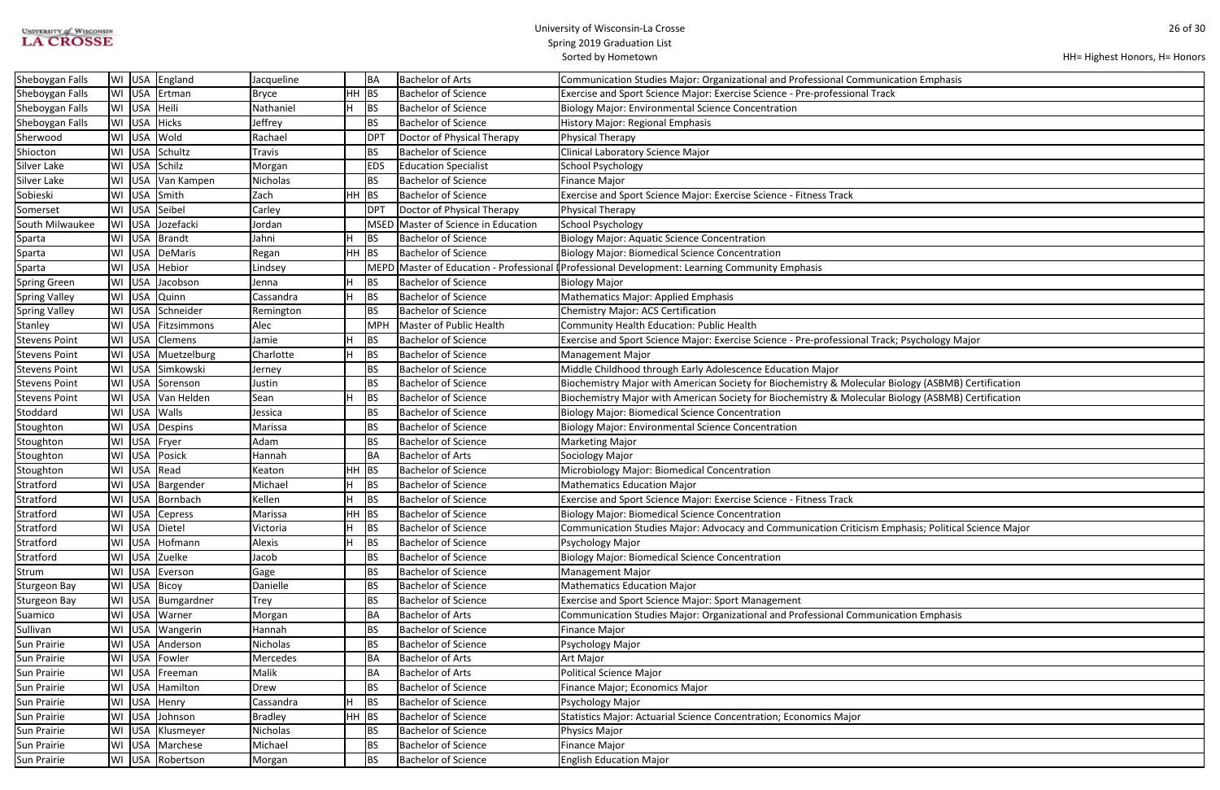| <b>UNIVERSITY of WISCONSIN</b> |  |
|--------------------------------|--|
| <b>LA CROSSE</b>               |  |

HH= Highest Honors, H= Honors

| mphasis                   |
|---------------------------|
|                           |
|                           |
|                           |
|                           |
|                           |
|                           |
|                           |
|                           |
|                           |
|                           |
|                           |
|                           |
|                           |
|                           |
|                           |
|                           |
| nology Major              |
|                           |
|                           |
| (ASBMB) Certification     |
| (ASBMB) Certification     |
|                           |
|                           |
|                           |
|                           |
|                           |
|                           |
|                           |
|                           |
| ; Political Science Major |
|                           |
|                           |
|                           |
|                           |
| mphasis                   |
|                           |
|                           |
|                           |
|                           |
|                           |
|                           |
|                           |
|                           |
|                           |

| Sheboygan Falls      |                  | WI USA England      | Jacqueline      | BA          | Bachelor of Arts               | Communication Studies Major: Organizational and Professional Communication Emphasis                        |
|----------------------|------------------|---------------------|-----------------|-------------|--------------------------------|------------------------------------------------------------------------------------------------------------|
| Sheboygan Falls      |                  | WI USA Ertman       | <b>Bryce</b>    | $HH$ BS     | <b>Bachelor of Science</b>     | Exercise and Sport Science Major: Exercise Science - Pre-professional Track                                |
| Sheboygan Falls      | WI USA Heili     |                     | H.<br>Nathaniel | <b>BS</b>   | <b>Bachelor of Science</b>     | <b>Biology Major: Environmental Science Concentration</b>                                                  |
| Sheboygan Falls      | WI USA           | Hicks               | Jeffrey         | <b>BS</b>   | <b>Bachelor of Science</b>     | <b>History Major: Regional Emphasis</b>                                                                    |
| Sherwood             |                  | WI USA Wold         | Rachael         | DP          | Doctor of Physical Therapy     | <b>Physical Therapy</b>                                                                                    |
| Shiocton             | USA<br>WI        | Schultz             | <b>Travis</b>   | <b>BS</b>   | <b>Bachelor of Science</b>     | Clinical Laboratory Science Major                                                                          |
| Silver Lake          |                  | WI USA Schilz       | Morgan          | <b>EDS</b>  | <b>Education Specialist</b>    | <b>School Psychology</b>                                                                                   |
| Silver Lake          |                  | WI USA Van Kampen   | Nicholas        | <b>BS</b>   | <b>Bachelor of Science</b>     | <b>Finance Major</b>                                                                                       |
| Sobieski             | USA<br>WI        | Smith               | Zach            | $HH$ BS     | <b>Bachelor of Science</b>     | Exercise and Sport Science Major: Exercise Science - Fitness Track                                         |
| Somerset             |                  | WI USA Seibel       | Carley          | DP          | Doctor of Physical Therapy     | Physical Therapy                                                                                           |
| South Milwaukee      | WI USA           | Jozefacki           | Jordan          | <b>MSED</b> | Master of Science in Education | <b>School Psychology</b>                                                                                   |
| Sparta               |                  | WI USA Brandt       | Н<br>Jahni      | <b>BS</b>   | Bachelor of Science            | <b>Biology Major: Aquatic Science Concentration</b>                                                        |
| Sparta               |                  | WI   USA   DeMaris  | Regan           | HH BS       | <b>Bachelor of Science</b>     | <b>Biology Major: Biomedical Science Concentration</b>                                                     |
| Sparta               |                  | WI USA Hebior       | Lindsey         |             |                                | MEPD Master of Education - Professional <sup>[</sup> Professional Development: Learning Community Emphasis |
| <b>Spring Green</b>  |                  | WI USA Jacobson     | Н<br>Jenna      | <b>BS</b>   | <b>Bachelor of Science</b>     | <b>Biology Major</b>                                                                                       |
| <b>Spring Valley</b> |                  | WI USA Quinn        | Cassandra<br>н  | <b>BS</b>   | Bachelor of Science            | Mathematics Major: Applied Emphasis                                                                        |
| <b>Spring Valley</b> |                  | WI USA Schneider    | Remington       | <b>BS</b>   | <b>Bachelor of Science</b>     | <b>Chemistry Major: ACS Certification</b>                                                                  |
| Stanley              | WI USA           | Fitzsimmons         | Alec            | <b>MPH</b>  | Master of Public Health        | Community Health Education: Public Health                                                                  |
| <b>Stevens Point</b> | <b>USA</b><br>WI | Clemens             | Jamie           | <b>BS</b>   | <b>Bachelor of Science</b>     | Exercise and Sport Science Major: Exercise Science - Pre-professional Track; Psychology Major              |
| <b>Stevens Point</b> | USA<br>WI        | Muetzelburg         | Charlotte       | <b>BS</b>   | <b>Bachelor of Science</b>     | <b>Management Major</b>                                                                                    |
| <b>Stevens Point</b> |                  | WI USA Simkowski    | Jerney          | <b>BS</b>   | <b>Bachelor of Science</b>     | Middle Childhood through Early Adolescence Education Major                                                 |
| <b>Stevens Point</b> |                  | WI USA Sorenson     | Justin          | <b>BS</b>   | <b>Bachelor of Science</b>     | Biochemistry Major with American Society for Biochemistry & Molecular Biology (ASBMB) Certification        |
| <b>Stevens Point</b> | WI USA           | Van Helden          | Sean            | <b>BS</b>   | <b>Bachelor of Science</b>     | Biochemistry Major with American Society for Biochemistry & Molecular Biology (ASBMB) Certification        |
| Stoddard             |                  | WI USA Walls        | Jessica         | <b>BS</b>   | <b>Bachelor of Science</b>     | <b>Biology Major: Biomedical Science Concentration</b>                                                     |
| Stoughton            | USA<br>WI        | Despins             | Marissa         | <b>BS</b>   | <b>Bachelor of Science</b>     | <b>Biology Major: Environmental Science Concentration</b>                                                  |
| Stoughton            | WI               | USA Fryer           | Adam            | BS          | <b>Bachelor of Science</b>     | <b>Marketing Major</b>                                                                                     |
| Stoughton            |                  | WI USA Posick       | Hannah          | BA          | Bachelor of Arts               | Sociology Major                                                                                            |
| Stoughton            |                  | WI USA Read         | Keaton          | $HH$ BS     | <b>Bachelor of Science</b>     | Microbiology Major: Biomedical Concentration                                                               |
| Stratford            |                  | WI USA   Bargender  | н<br>Michael    | <b>BS</b>   | <b>Bachelor of Science</b>     | <b>Mathematics Education Major</b>                                                                         |
| Stratford            |                  | WI USA Bornbach     | Kellen<br>H     | <b>BS</b>   | <b>Bachelor of Science</b>     | Exercise and Sport Science Major: Exercise Science - Fitness Track                                         |
| Stratford            |                  | WI USA Cepress      | Marissa         | $HH$ BS     | Bachelor of Science            | <b>Biology Major: Biomedical Science Concentration</b>                                                     |
| Stratford            |                  | WI USA Dietel       | н<br>Victoria   | BS          | <b>Bachelor of Science</b>     | Communication Studies Major: Advocacy and Communication Criticism Emphasis; Political Science Major        |
| Stratford            |                  | WI USA Hofmann      | н<br>Alexis     | BS          | <b>Bachelor of Science</b>     | Psychology Major                                                                                           |
| Stratford            |                  | WI USA Zuelke       | Jacob           | <b>BS</b>   | <b>Bachelor of Science</b>     | <b>Biology Major: Biomedical Science Concentration</b>                                                     |
| Strum                |                  | WI USA Everson      | Gage            | BS          | <b>Bachelor of Science</b>     | <b>Management Major</b>                                                                                    |
| <b>Sturgeon Bay</b>  |                  | WI USA Bicoy        | Danielle        | <b>BS</b>   | <b>Bachelor of Science</b>     | <b>Mathematics Education Major</b>                                                                         |
| Sturgeon Bay         |                  | WI USA Bumgardner   | Trey            | BS          | <b>Bachelor of Science</b>     | Exercise and Sport Science Major: Sport Management                                                         |
| Suamico              | WI               | USA   Warner        | Morgan          | BA          | Bachelor of Arts               | Communication Studies Major: Organizational and Professional Communication Emphasis                        |
| Sullivan             |                  | WI USA Wangerin     | Hannah          | BS          | Bachelor of Science            | <b>Finance Major</b>                                                                                       |
| Sun Prairie          |                  | WI USA Anderson     | Nicholas        | <b>BS</b>   | <b>Bachelor of Science</b>     | Psychology Major                                                                                           |
| <b>Sun Prairie</b>   |                  | WI USA Fowler       | Mercedes        | <b>BA</b>   | <b>Bachelor of Arts</b>        | Art Major                                                                                                  |
| <b>Sun Prairie</b>   | WI USA           | Freeman             | Malik           | BA          | Bachelor of Arts               | <b>Political Science Major</b>                                                                             |
| <b>Sun Prairie</b>   |                  | WI   USA   Hamilton | Drew            | <b>BS</b>   | <b>Bachelor of Science</b>     | Finance Major; Economics Major                                                                             |
| <b>Sun Prairie</b>   | WI               | USA Henry           | Cassandra<br>Н  | BS          | <b>Bachelor of Science</b>     | Psychology Major                                                                                           |
| Sun Prairie          | WI               | USA Johnson         | <b>Bradley</b>  | HH BS       | <b>Bachelor of Science</b>     | Statistics Major: Actuarial Science Concentration; Economics Major                                         |
| <b>Sun Prairie</b>   |                  | WI USA Klusmeyer    | Nicholas        | BS          | <b>Bachelor of Science</b>     | Physics Major                                                                                              |
| Sun Prairie          | WI               | USA Marchese        | Michael         | <b>BS</b>   | <b>Bachelor of Science</b>     | Finance Major                                                                                              |
| <b>Sun Prairie</b>   |                  | WI USA Robertson    | Morgan          | <b>BS</b>   | <b>Bachelor of Science</b>     | <b>English Education Major</b>                                                                             |
|                      |                  |                     |                 |             |                                |                                                                                                            |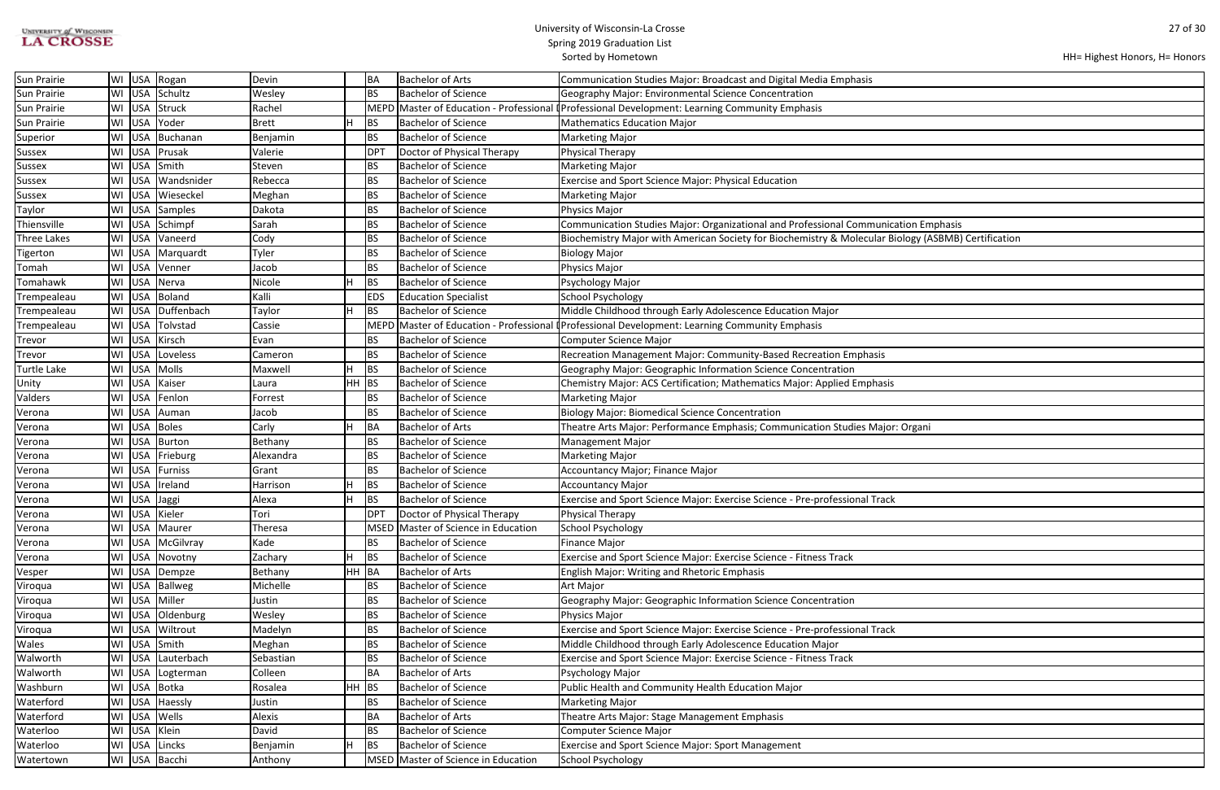| <b>UNIVERSITY of WISCONSIN</b> |  |
|--------------------------------|--|
| <b>LA CROSSE</b>               |  |

| HH= Highest Honors, H= Honors |  |  |  |
|-------------------------------|--|--|--|
|-------------------------------|--|--|--|

| ation Emphasis              |
|-----------------------------|
| ology (ASBMB) Certification |
|                             |
|                             |
|                             |
|                             |
|                             |
|                             |
|                             |
|                             |
|                             |
|                             |
|                             |
|                             |
|                             |
|                             |
| : Organi                    |
|                             |
|                             |
|                             |
|                             |
|                             |
|                             |
|                             |
|                             |
|                             |
|                             |
|                             |
|                             |
|                             |
|                             |
|                             |
|                             |
|                             |
|                             |
|                             |
|                             |
|                             |
|                             |
|                             |
|                             |
|                             |
|                             |
|                             |
|                             |

| Sun Prairie        |    |              | WI USA Rogan      | Devin        |         | BA              | <b>Bachelor of Arts</b>             | Communication Studies Major: Broadcast and Digital Media Emphasis                                   |
|--------------------|----|--------------|-------------------|--------------|---------|-----------------|-------------------------------------|-----------------------------------------------------------------------------------------------------|
| Sun Prairie        |    |              | WI USA Schultz    | Wesley       |         | BS              | <b>Bachelor of Science</b>          | Geography Major: Environmental Science Concentration                                                |
| Sun Prairie        | WI |              | USA Struck        | Rachel       |         |                 |                                     | MEPD Master of Education - Professional (Professional Development: Learning Community Emphasis      |
| Sun Prairie        | WI | <b>USA</b>   | Yoder             | <b>Brett</b> |         | BS              | <b>Bachelor of Science</b>          | <b>Mathematics Education Major</b>                                                                  |
| Superior           | WI |              | USA Buchanan      | Benjamin     |         | <b>BS</b>       | <b>Bachelor of Science</b>          | <b>Marketing Major</b>                                                                              |
| <b>Sussex</b>      | WI |              | USA Prusak        | Valerie      |         | DP <sub>1</sub> | Doctor of Physical Therapy          | Physical Therapy                                                                                    |
| <b>Sussex</b>      |    |              | WI USA Smith      | Steven       |         | BS              | <b>Bachelor of Science</b>          | <b>Marketing Major</b>                                                                              |
| <b>Sussex</b>      | WI |              | USA Wandsnider    | Rebecca      |         | BS              | <b>Bachelor of Science</b>          | <b>Exercise and Sport Science Major: Physical Education</b>                                         |
| Sussex             | WI |              | USA Wieseckel     | Meghan       |         | <b>BS</b>       | <b>Bachelor of Science</b>          | <b>Marketing Major</b>                                                                              |
| Taylor             | WI |              | USA Samples       | Dakota       |         | <b>BS</b>       | <b>Bachelor of Science</b>          | Physics Major                                                                                       |
| Thiensville        | WI |              | USA Schimpf       | Sarah        |         | BS              | <b>Bachelor of Science</b>          | Communication Studies Major: Organizational and Professional Communication Emphasis                 |
| <b>Three Lakes</b> | WI | USA          | Vaneerd           | Cody         |         | <b>BS</b>       | <b>Bachelor of Science</b>          | Biochemistry Major with American Society for Biochemistry & Molecular Biology (ASBMB) Certification |
| Tigerton           | WI |              | USA Marquardt     | Tyler        |         | <b>BS</b>       | <b>Bachelor of Science</b>          | Biology Major                                                                                       |
| Tomah              |    | WI USA       | Venner            | Jacob        |         | BS              | <b>Bachelor of Science</b>          | Physics Major                                                                                       |
| Tomahawk           | WI |              | USA Nerva         | Nicole       |         | <b>BS</b>       | <b>Bachelor of Science</b>          | Psychology Major                                                                                    |
| Trempealeau        |    |              | WI USA Boland     | Kalli        |         | <b>EDS</b>      | <b>Education Specialist</b>         | <b>School Psychology</b>                                                                            |
| Trempealeau        | WI |              | USA Duffenbach    | Taylor       |         | <b>BS</b>       | <b>Bachelor of Science</b>          | Middle Childhood through Early Adolescence Education Major                                          |
| Trempealeau        |    |              | WI USA Tolvstad   | Cassie       |         | <b>MEPD</b>     |                                     | Master of Education - Professional <i>Professional Development: Learning Community Emphasis</i>     |
| Trevor             |    |              | WI USA Kirsch     | Evan         |         | <b>BS</b>       | <b>Bachelor of Science</b>          | Computer Science Major                                                                              |
| Trevor             | WI |              | USA Loveless      | Cameron      |         | <b>BS</b>       | <b>Bachelor of Science</b>          | Recreation Management Major: Community-Based Recreation Emphasis                                    |
| <b>Turtle Lake</b> |    |              | WI USA Molls      | Maxwell      |         | BS              | <b>Bachelor of Science</b>          | Geography Major: Geographic Information Science Concentration                                       |
| Unity              | WI |              | USA Kaiser        | Laura        | $HH$ BS |                 | <b>Bachelor of Science</b>          | Chemistry Major: ACS Certification; Mathematics Major: Applied Emphasis                             |
| Valders            | WI |              | USA Fenlon        | Forrest      |         | BS              | <b>Bachelor of Science</b>          | <b>Marketing Major</b>                                                                              |
| Verona             | WI | USA          | Auman             | Jacob        |         | BS              | <b>Bachelor of Science</b>          | <b>Biology Major: Biomedical Science Concentration</b>                                              |
| Verona             | WI |              | USA Boles         | Carly        |         | BA              | <b>Bachelor of Arts</b>             | Theatre Arts Major: Performance Emphasis; Communication Studies Major: Organi                       |
| Verona             |    |              | WI USA Burton     | Bethany      |         | BS              | <b>Bachelor of Science</b>          | <b>Management Major</b>                                                                             |
| Verona             | WI |              | USA Frieburg      | Alexandra    |         | BS              | <b>Bachelor of Science</b>          | <b>Marketing Major</b>                                                                              |
| Verona             | WI |              | USA Furniss       | Grant        |         | <b>BS</b>       | <b>Bachelor of Science</b>          | Accountancy Major; Finance Major                                                                    |
| Verona             | WI |              | USA   Ireland     | Harrison     |         | BS              | <b>Bachelor of Science</b>          | Accountancy Major                                                                                   |
| Verona             | WI | USA Jaggi    |                   | Alexa        |         | BS              | <b>Bachelor of Science</b>          | Exercise and Sport Science Major: Exercise Science - Pre-professional Track                         |
| Verona             |    |              | WI USA Kieler     | Tori         |         | <b>DPT</b>      | Doctor of Physical Therapy          | Physical Therapy                                                                                    |
| Verona             |    |              | WI USA Maurer     | Theresa      |         |                 | MSED Master of Science in Education | School Psychology                                                                                   |
| Verona             |    |              | WI USA McGilvray  | Kade         |         | BS              | <b>Bachelor of Science</b>          | Finance Major                                                                                       |
| Verona             |    |              | WI USA Novotny    | Zachary      |         | BS              | <b>Bachelor of Science</b>          | Exercise and Sport Science Major: Exercise Science - Fitness Track                                  |
| Vesper             |    |              | WI USA Dempze     | Bethany      | HH BA   |                 | <b>Bachelor of Arts</b>             | <b>English Major: Writing and Rhetoric Emphasis</b>                                                 |
| Viroqua            |    |              | WI USA Ballweg    | Michelle     |         | <b>BS</b>       | <b>Bachelor of Science</b>          | Art Major                                                                                           |
| Viroqua            |    |              | WI USA Miller     | Justin       |         | BS              | <b>Bachelor of Science</b>          | Geography Major: Geographic Information Science Concentration                                       |
| Viroqua            |    |              | WI USA Oldenburg  | Wesley       |         | <b>BS</b>       | <b>Bachelor of Science</b>          | Physics Major                                                                                       |
| Viroqua            | WI |              | USA Wiltrout      | Madelyn      |         | BS              | <b>Bachelor of Science</b>          | Exercise and Sport Science Major: Exercise Science - Pre-professional Track                         |
| Wales              |    |              | WI USA Smith      | Meghan       |         | <b>BS</b>       | <b>Bachelor of Science</b>          | Middle Childhood through Early Adolescence Education Major                                          |
| Walworth           |    |              | WI USA Lauterbach | Sebastian    |         | BS              | <b>Bachelor of Science</b>          | Exercise and Sport Science Major: Exercise Science - Fitness Track                                  |
| Walworth           |    |              | WI USA Logterman  | Colleen      |         | <b>BA</b>       | <b>Bachelor of Arts</b>             | Psychology Major                                                                                    |
| Washburn           |    |              | WI USA Botka      | Rosalea      | $HH$ BS |                 | <b>Bachelor of Science</b>          | Public Health and Community Health Education Major                                                  |
| Waterford          |    |              | WI USA Haessly    | Justin       |         | <b>BS</b>       | <b>Bachelor of Science</b>          | <b>Marketing Major</b>                                                                              |
| Waterford          |    |              | WI USA Wells      | Alexis       |         | <b>BA</b>       | <b>Bachelor of Arts</b>             | Theatre Arts Major: Stage Management Emphasis                                                       |
| Waterloo           |    | WI USA Klein |                   | David        |         | BS              | <b>Bachelor of Science</b>          | Computer Science Major                                                                              |
| Waterloo           |    |              | WI USA Lincks     | Benjamin     |         | BS              | <b>Bachelor of Science</b>          | Exercise and Sport Science Major: Sport Management                                                  |
| Watertown          |    |              | WI USA Bacchi     | Anthony      |         |                 | MSED Master of Science in Education | School Psychology                                                                                   |
|                    |    |              |                   |              |         |                 |                                     |                                                                                                     |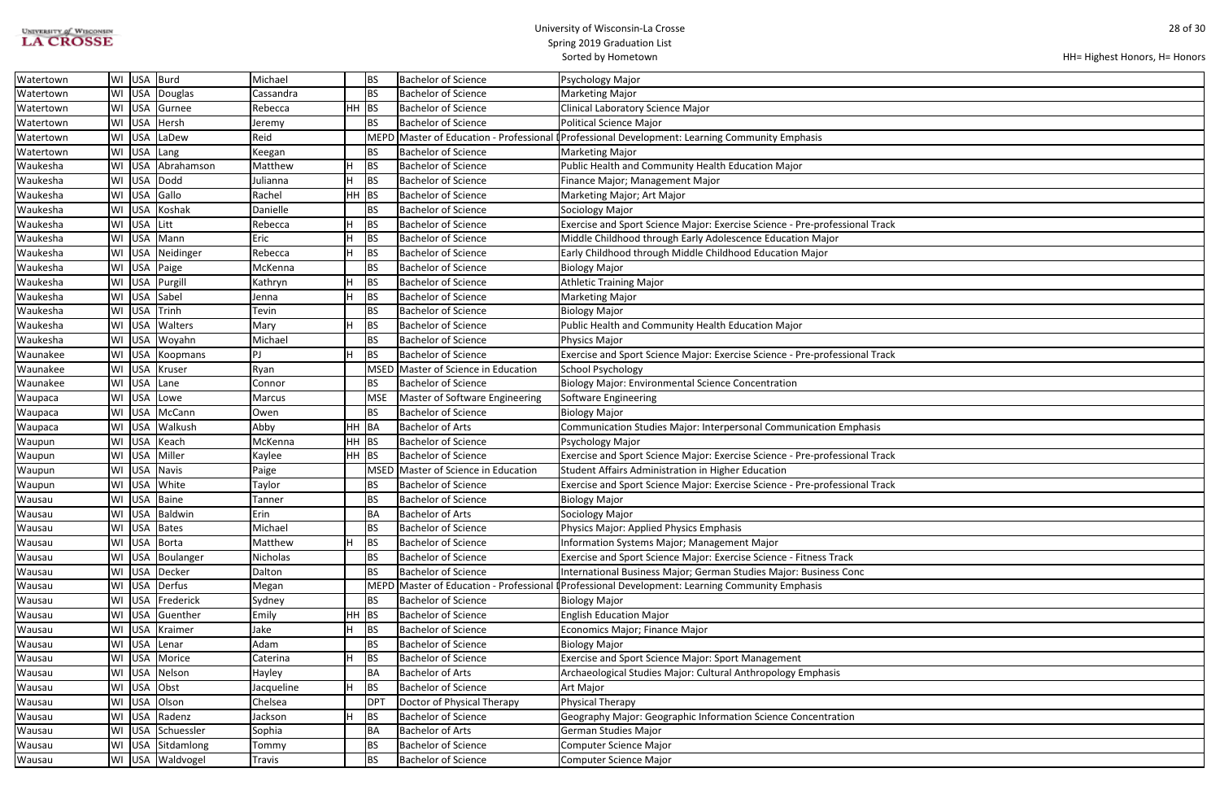| <b>UNIVERSITY of WISCONSIN</b> |  |
|--------------------------------|--|
| <b>LA CROSSE</b>               |  |

#### University of Wisconsin-La Crosse Spring 2019 Graduation List

Sorted by Hometown

```
HH= Highest Honors, H= Honors
```

| Watertown |    | WI USA Burd |                     | Michael         |         | <b>BS</b>   | <b>Bachelor of Science</b>     | Psychology Major                                                                          |
|-----------|----|-------------|---------------------|-----------------|---------|-------------|--------------------------------|-------------------------------------------------------------------------------------------|
| Watertown | WI |             | USA Douglas         | Cassandra       |         | BS          | <b>Bachelor of Science</b>     | <b>Marketing Major</b>                                                                    |
| Watertown | WI |             | USA Gurnee          | Rebecca         | HH      | BS          | <b>Bachelor of Science</b>     | <b>Clinical Laboratory Science Major</b>                                                  |
| Watertown | WI |             | USA Hersh           | Jeremy          |         | <b>BS</b>   | <b>Bachelor of Science</b>     | <b>Political Science Major</b>                                                            |
| Watertown | WI | <b>USA</b>  | LaDew               | Reid            |         | <b>MEPD</b> |                                | Master of Education - Professional (Professional Development: Learning Community Emphasis |
| Watertown | WI | USA Lang    |                     | Keegan          |         | <b>BS</b>   | <b>Bachelor of Science</b>     | <b>Marketing Major</b>                                                                    |
| Waukesha  | WI | <b>USA</b>  | Abrahamson          | Matthew         |         | BS          | <b>Bachelor of Science</b>     | Public Health and Community Health Education Major                                        |
| Waukesha  |    | WI USA      | Dodd                | Julianna        |         | <b>BS</b>   | <b>Bachelor of Science</b>     | Finance Major; Management Major                                                           |
| Waukesha  | WI | USA Gallo   |                     | Rachel          | HH      | BS          | <b>Bachelor of Science</b>     | Marketing Major; Art Major                                                                |
| Waukesha  | WI | <b>USA</b>  | Koshak              | Danielle        |         | <b>BS</b>   | <b>Bachelor of Science</b>     | Sociology Major                                                                           |
| Waukesha  | WI | <b>USA</b>  | Litt                | Rebecca         |         | BS          | <b>Bachelor of Science</b>     | Exercise and Sport Science Major: Exercise Science - Pre-professional Track               |
| Waukesha  | WI | <b>USA</b>  | Mann                | Eric            |         | BS          | <b>Bachelor of Science</b>     | Middle Childhood through Early Adolescence Education Major                                |
| Waukesha  |    | WI USA      | Neidinger           | Rebecca         | н       | <b>BS</b>   | <b>Bachelor of Science</b>     | Early Childhood through Middle Childhood Education Major                                  |
| Waukesha  |    | WI USA      | Paige               | McKenna         |         | <b>BS</b>   | <b>Bachelor of Science</b>     | <b>Biology Major</b>                                                                      |
| Waukesha  | WI |             | USA   Purgill       | Kathryn         |         | BS          | <b>Bachelor of Science</b>     | <b>Athletic Training Major</b>                                                            |
| Waukesha  | WI | USA         | Sabel               | Jenna           |         | BS          | <b>Bachelor of Science</b>     | <b>Marketing Major</b>                                                                    |
| Waukesha  | WI | <b>USA</b>  | Trinh               | Tevin           |         | BS          | <b>Bachelor of Science</b>     | <b>Biology Major</b>                                                                      |
| Waukesha  | WI | <b>USA</b>  | Walters             | Mary            |         | BS          | <b>Bachelor of Science</b>     | Public Health and Community Health Education Major                                        |
| Waukesha  | WI | USA         | Woyahn              | Michael         |         | <b>BS</b>   | <b>Bachelor of Science</b>     | <b>Physics Major</b>                                                                      |
| Waunakee  | WI | <b>USA</b>  | Koopmans            | PJ              |         | <b>BS</b>   | <b>Bachelor of Science</b>     | Exercise and Sport Science Major: Exercise Science - Pre-professional Track               |
| Waunakee  | WI | <b>USA</b>  | Kruser              | Ryan            |         | <b>MSED</b> | Master of Science in Education | <b>School Psychology</b>                                                                  |
| Waunakee  | WI | USA         | Lane                | Connor          |         | <b>BS</b>   | <b>Bachelor of Science</b>     | <b>Biology Major: Environmental Science Concentration</b>                                 |
| Waupaca   | WI | <b>USA</b>  | Lowe                | Marcus          |         | <b>MSE</b>  | Master of Software Engineering | Software Engineering                                                                      |
| Waupaca   | WI | <b>USA</b>  | McCann              | Owen            |         | <b>BS</b>   | <b>Bachelor of Science</b>     | <b>Biology Major</b>                                                                      |
| Waupaca   | WI | <b>USA</b>  | Walkush             | Abby            | HH.     | BA          | <b>Bachelor of Arts</b>        | Communication Studies Major: Interpersonal Communication Emphasis                         |
| Waupun    | WI | <b>USA</b>  | Keach               | McKenna         | $HH$ BS |             | <b>Bachelor of Science</b>     | Psychology Major                                                                          |
| Waupun    | WI | USA         | Miller              | Kaylee          | $HH$ BS |             | <b>Bachelor of Science</b>     | Exercise and Sport Science Major: Exercise Science - Pre-professional Track               |
| Waupun    | WI | <b>USA</b>  | <b>Navis</b>        | Paige           |         | <b>MSED</b> | Master of Science in Education | Student Affairs Administration in Higher Education                                        |
| Waupun    | WI | USA         | White               | Taylor          |         | <b>BS</b>   | <b>Bachelor of Science</b>     | Exercise and Sport Science Major: Exercise Science - Pre-professional Track               |
| Wausau    | WI |             | USA Baine           | Tanner          |         | <b>BS</b>   | <b>Bachelor of Science</b>     | <b>Biology Major</b>                                                                      |
| Wausau    |    |             | WI   USA   Baldwin  | Erin            |         | <b>BA</b>   | <b>Bachelor of Arts</b>        | Sociology Major                                                                           |
| Wausau    |    |             | WI USA Bates        | Michael         |         | <b>BS</b>   | <b>Bachelor of Science</b>     | Physics Major: Applied Physics Emphasis                                                   |
| Wausau    |    |             | WI USA Borta        | Matthew         |         | BS          | <b>Bachelor of Science</b>     | Information Systems Major; Management Major                                               |
| Wausau    |    |             | WI USA Boulanger    | <b>Nicholas</b> |         | <b>BS</b>   | <b>Bachelor of Science</b>     | Exercise and Sport Science Major: Exercise Science - Fitness Track                        |
| Wausau    |    |             | WI USA Decker       | Dalton          |         | <b>BS</b>   | <b>Bachelor of Science</b>     | International Business Major; German Studies Major: Business Conc                         |
| Wausau    |    |             | WI USA Derfus       | Megan           |         | MEPD        |                                | Master of Education - Professional (Professional Development: Learning Community Emphasis |
| Wausau    | WI |             | USA Frederick       | Sydney          |         | <b>BS</b>   | <b>Bachelor of Science</b>     | <b>Biology Major</b>                                                                      |
| Wausau    |    |             | WI   USA   Guenther | Emily           | $HH$ BS |             | <b>Bachelor of Science</b>     | <b>English Education Major</b>                                                            |
| Wausau    |    |             | WI USA Kraimer      | Jake            | H       | <b>BS</b>   | <b>Bachelor of Science</b>     | Economics Major; Finance Major                                                            |
| Wausau    |    |             | WI USA Lenar        | Adam            |         | <b>BS</b>   | <b>Bachelor of Science</b>     | <b>Biology Major</b>                                                                      |
| Wausau    |    |             | WI USA Morice       | Caterina        | Н       | <b>BS</b>   | <b>Bachelor of Science</b>     | <b>Exercise and Sport Science Major: Sport Management</b>                                 |
| Wausau    | WI |             | USA Nelson          | Hayley          |         | BA          | <b>Bachelor of Arts</b>        | Archaeological Studies Major: Cultural Anthropology Emphasis                              |
| Wausau    |    | WI USA Obst |                     | Jacqueline      | H       | BS          | <b>Bachelor of Science</b>     | Art Major                                                                                 |
| Wausau    |    |             | WI USA Olson        | Chelsea         |         | DPT         | Doctor of Physical Therapy     | Physical Therapy                                                                          |
| Wausau    |    |             | WI   USA   Radenz   | Jackson         | н       | <b>BS</b>   | <b>Bachelor of Science</b>     | Geography Major: Geographic Information Science Concentration                             |
| Wausau    |    |             | WI USA Schuessler   | Sophia          |         | BA          | <b>Bachelor of Arts</b>        | German Studies Major                                                                      |
| Wausau    |    |             | WI USA Sitdamlong   | Tommy           |         | BS          | <b>Bachelor of Science</b>     | <b>Computer Science Major</b>                                                             |
| Wausau    |    |             | WI USA Waldvogel    | Travis          |         | <b>BS</b>   | <b>Bachelor of Science</b>     | Computer Science Major                                                                    |
|           |    |             |                     |                 |         |             |                                |                                                                                           |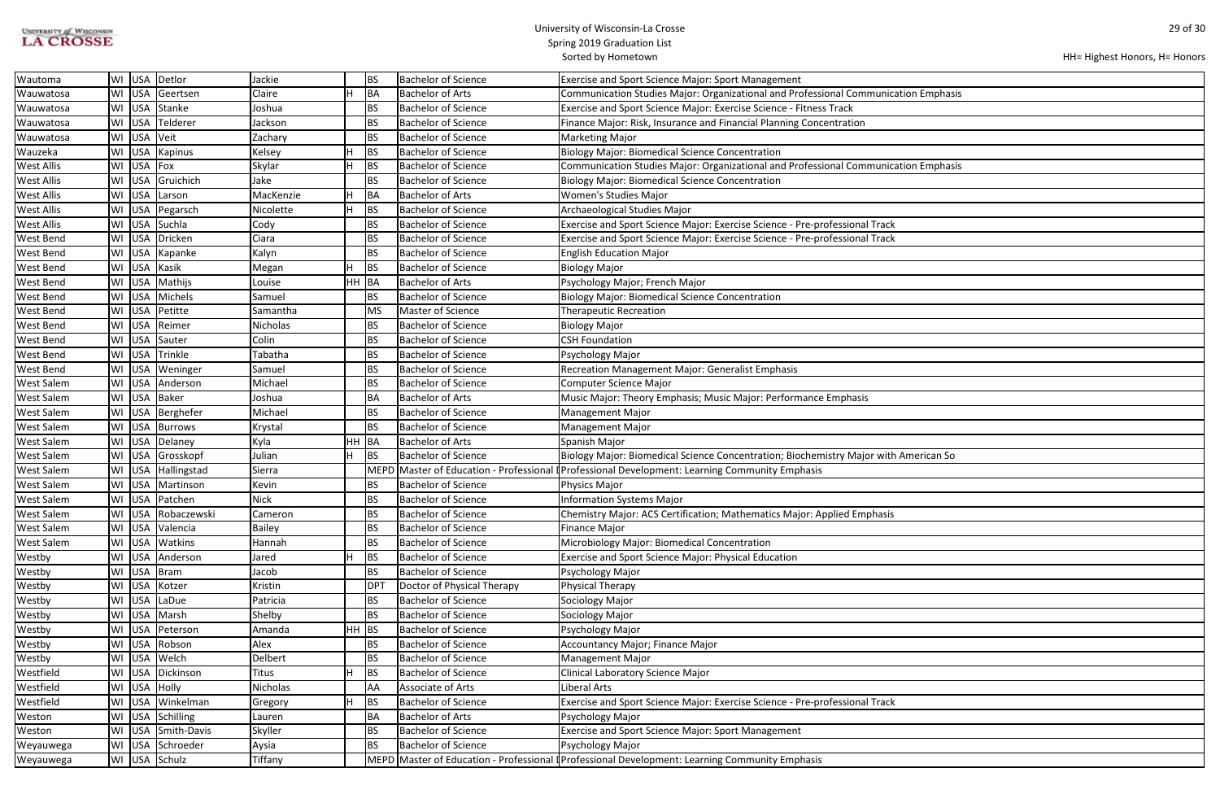| UNIVERSITY of WISCONSIN |  |
|-------------------------|--|
| <b>LA CROSSE</b>        |  |

| HH= Highest Honors, H= Honors |  |  |  |
|-------------------------------|--|--|--|
|-------------------------------|--|--|--|

| ation Emphasis |  |
|----------------|--|
|                |  |
|                |  |
|                |  |
|                |  |
|                |  |
|                |  |
| ation Emphasis |  |
|                |  |
|                |  |
|                |  |
|                |  |
|                |  |
|                |  |
|                |  |
|                |  |
|                |  |
|                |  |
|                |  |
|                |  |
|                |  |
|                |  |
|                |  |
|                |  |
|                |  |
|                |  |
|                |  |
|                |  |
|                |  |
|                |  |
|                |  |
|                |  |
|                |  |
|                |  |
|                |  |
|                |  |
|                |  |
|                |  |
| American So    |  |
|                |  |
|                |  |
|                |  |
|                |  |
|                |  |
|                |  |
|                |  |
|                |  |
|                |  |
|                |  |
|                |  |
|                |  |
|                |  |
|                |  |
|                |  |
|                |  |
|                |  |
|                |  |
|                |  |
|                |  |
|                |  |
|                |  |
|                |  |
|                |  |
|                |  |
|                |  |
|                |  |
|                |  |

| Wautoma           | WI | USA        | Detlor             | Jackie          |         | BS              | <b>Bachelor of Science</b> | <b>Exercise and Sport Science Major: Sport Management</b>                                      |
|-------------------|----|------------|--------------------|-----------------|---------|-----------------|----------------------------|------------------------------------------------------------------------------------------------|
| Wauwatosa         | WI | <b>USA</b> | Geertsen           | Claire          |         | BA              | <b>Bachelor of Arts</b>    | Communication Studies Major: Organizational and Professional Communication Emphasis            |
| Wauwatosa         | WI | <b>USA</b> | Stanke             | Joshua          |         | BS              | <b>Bachelor of Science</b> | Exercise and Sport Science Major: Exercise Science - Fitness Track                             |
| Wauwatosa         | WI | <b>USA</b> | Telderer           | Jackson         |         | BS              | <b>Bachelor of Science</b> | Finance Major: Risk, Insurance and Financial Planning Concentration                            |
| Wauwatosa         | WI | USA        | Veit               | Zachary         |         | <b>BS</b>       | <b>Bachelor of Science</b> | <b>Marketing Major</b>                                                                         |
| Wauzeka           | WI | <b>USA</b> | Kapinus            | Kelsey          |         | <b>BS</b>       | <b>Bachelor of Science</b> | <b>Biology Major: Biomedical Science Concentration</b>                                         |
| <b>West Allis</b> | WI | <b>USA</b> | Fox                | Skylar          | Н       | <b>BS</b>       | <b>Bachelor of Science</b> | Communication Studies Major: Organizational and Professional Communication Emphasis            |
| <b>West Allis</b> | WI | USA        | Gruichich          | Jake            |         | <b>BS</b>       | <b>Bachelor of Science</b> | <b>Biology Major: Biomedical Science Concentration</b>                                         |
| <b>West Allis</b> | WI | <b>USA</b> | Larson             | MacKenzie       |         | BA              | <b>Bachelor of Arts</b>    | Women's Studies Major                                                                          |
| <b>West Allis</b> | WI | <b>USA</b> | Pegarsch           | Nicolette       |         | <b>BS</b>       | <b>Bachelor of Science</b> | Archaeological Studies Major                                                                   |
| <b>West Allis</b> | WI | <b>USA</b> | Suchla             | Cody            |         | <b>BS</b>       | <b>Bachelor of Science</b> | Exercise and Sport Science Major: Exercise Science - Pre-professional Track                    |
| <b>West Bend</b>  | WI | <b>USA</b> | Dricken            | Ciara           |         | <b>BS</b>       | <b>Bachelor of Science</b> | Exercise and Sport Science Major: Exercise Science - Pre-professional Track                    |
| <b>West Bend</b>  | WI | <b>USA</b> | Kapanke            | Kalyn           |         | <b>BS</b>       | <b>Bachelor of Science</b> | <b>English Education Major</b>                                                                 |
| <b>West Bend</b>  | WI | <b>USA</b> | Kasik              | Megan           |         | <b>BS</b>       | <b>Bachelor of Science</b> | <b>Biology Major</b>                                                                           |
| <b>West Bend</b>  | WI | <b>USA</b> | Mathijs            | Louise          | HH BA   |                 | <b>Bachelor of Arts</b>    | Psychology Major; French Major                                                                 |
| <b>West Bend</b>  | WI | USA        | Michels            | Samuel          |         | BS              | <b>Bachelor of Science</b> | <b>Biology Major: Biomedical Science Concentration</b>                                         |
| <b>West Bend</b>  |    | WI USA     | Petitte            | Samantha        |         | <b>MS</b>       | Master of Science          | <b>Therapeutic Recreation</b>                                                                  |
| <b>West Bend</b>  |    |            | WI USA Reimer      | Nicholas        |         | BS              | <b>Bachelor of Science</b> | <b>Biology Major</b>                                                                           |
| <b>West Bend</b>  | WI | USA        | Sauter             | Colin           |         | <b>BS</b>       | <b>Bachelor of Science</b> | <b>CSH Foundation</b>                                                                          |
| <b>West Bend</b>  | WI | <b>USA</b> | Trinkle            | Tabatha         |         | <b>BS</b>       | <b>Bachelor of Science</b> | Psychology Major                                                                               |
| <b>West Bend</b>  | WI | USA        | Weninger           | Samuel          |         | BS              | <b>Bachelor of Science</b> | Recreation Management Major: Generalist Emphasis                                               |
| <b>West Salem</b> | WI |            | USA Anderson       | Michael         |         | <b>BS</b>       | <b>Bachelor of Science</b> | Computer Science Major                                                                         |
| <b>West Salem</b> |    |            | WI USA Baker       | Joshua          |         | BA              | <b>Bachelor of Arts</b>    | Music Major: Theory Emphasis; Music Major: Performance Emphasis                                |
| <b>West Salem</b> | WI |            | USA   Berghefer    | Michael         |         | <b>BS</b>       | <b>Bachelor of Science</b> | <b>Management Major</b>                                                                        |
| <b>West Salem</b> | WI |            | USA Burrows        | Krystal         |         | <b>BS</b>       | <b>Bachelor of Science</b> | <b>Management Major</b>                                                                        |
| <b>West Salem</b> | WI |            | USA Delaney        | Kyla            | HH BA   |                 | <b>Bachelor of Arts</b>    | Spanish Major                                                                                  |
| <b>West Salem</b> | WI | <b>USA</b> | Grosskopf          | Julian          |         | <b>BS</b>       | <b>Bachelor of Science</b> | Biology Major: Biomedical Science Concentration; Biochemistry Major with American So           |
| <b>West Salem</b> | WI |            | USA Hallingstad    | Sierra          |         |                 |                            | MEPD Master of Education - Professional (Professional Development: Learning Community Emphasis |
| <b>West Salem</b> |    |            | WI USA Martinson   | Kevin           |         | BS              | <b>Bachelor of Science</b> | Physics Major                                                                                  |
| <b>West Salem</b> |    |            | WI USA Patchen     | <b>Nick</b>     |         | BS              | <b>Bachelor of Science</b> | <b>Information Systems Major</b>                                                               |
| <b>West Salem</b> |    |            | WI USA Robaczewski | Cameron         |         | <b>BS</b>       | <b>Bachelor of Science</b> | Chemistry Major: ACS Certification; Mathematics Major: Applied Emphasis                        |
| <b>West Salem</b> | WI |            | USA Valencia       | <b>Bailey</b>   |         | BS              | <b>Bachelor of Science</b> | <b>Finance Major</b>                                                                           |
| <b>West Salem</b> |    |            | WI USA Watkins     | Hannah          |         | BS              | <b>Bachelor of Science</b> | Microbiology Major: Biomedical Concentration                                                   |
| Westby            |    |            | WI USA Anderson    | Jared           |         | <b>BS</b>       | <b>Bachelor of Science</b> | Exercise and Sport Science Major: Physical Education                                           |
| Westby            |    |            | WI USA Bram        | Jacob           |         | BS              | <b>Bachelor of Science</b> | Psychology Major                                                                               |
| Westby            |    |            | WI USA Kotzer      | Kristin         |         | DP <sup>-</sup> | Doctor of Physical Therapy | Physical Therapy                                                                               |
| Westby            |    | WI USA     | LaDue              | Patricia        |         | BS              | <b>Bachelor of Science</b> | Sociology Major                                                                                |
| Westby            |    | WI USA     | Marsh              | Shelby          |         | BS              | <b>Bachelor of Science</b> | Sociology Major                                                                                |
| Westby            | WI | <b>USA</b> | Peterson           | Amanda          | $HH$ BS |                 | <b>Bachelor of Science</b> | Psychology Major                                                                               |
| Westby            | WI |            | USA Robson         | Alex            |         | BS              | <b>Bachelor of Science</b> | Accountancy Major; Finance Major                                                               |
| Westby            |    |            | WI USA Welch       | Delbert         |         | BS              | <b>Bachelor of Science</b> | <b>Management Major</b>                                                                        |
| Westfield         | WI |            | USA Dickinson      | <b>Titus</b>    |         | <b>BS</b>       | <b>Bachelor of Science</b> | Clinical Laboratory Science Major                                                              |
| Westfield         |    |            | WI USA Holly       | <b>Nicholas</b> |         | AA              | Associate of Arts          | Liberal Arts                                                                                   |
| Westfield         |    |            | WI USA Winkelman   | Gregory         |         | <b>BS</b>       | <b>Bachelor of Science</b> | Exercise and Sport Science Major: Exercise Science - Pre-professional Track                    |
| Weston            | WI |            | USA Schilling      | Lauren          |         | BA              | <b>Bachelor of Arts</b>    | Psychology Major                                                                               |
| Weston            | WI |            | USA Smith-Davis    | Skyller         |         | <b>BS</b>       | <b>Bachelor of Science</b> | <b>Exercise and Sport Science Major: Sport Management</b>                                      |
| Weyauwega         | WI |            | USA Schroeder      | Aysia           |         | BS              | <b>Bachelor of Science</b> | Psychology Major                                                                               |
| Weyauwega         |    |            | WI USA Schulz      | Tiffany         |         |                 |                            | MEPD Master of Education - Professional (Professional Development: Learning Community Emphasis |
|                   |    |            |                    |                 |         |                 |                            |                                                                                                |